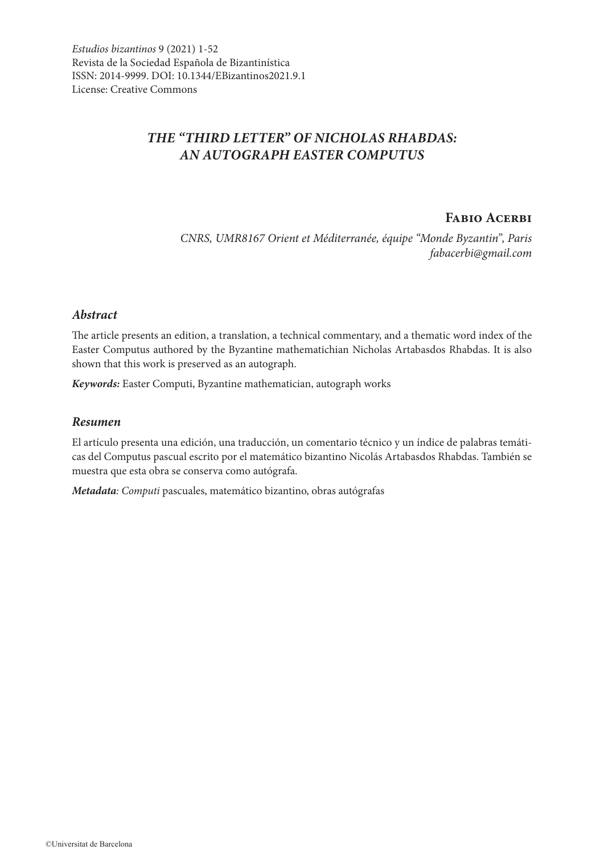# *THE "THIRD LETTER" OF NICHOLAS RHABDAS: AN AUTOGRAPH EASTER COMPUTUS*

# **Fabio Acerbi**

*CNRS, UMR8167 Orient et Méditerranée, équipe "Monde Byzantin", Paris fabacerbi@gmail.com*

## *Abstract*

The article presents an edition, a translation, a technical commentary, and a thematic word index of the Easter Computus authored by the Byzantine mathematichian Nicholas Artabasdos Rhabdas. It is also shown that this work is preserved as an autograph.

*Keywords:* Easter Computi, Byzantine mathematician, autograph works

#### *Resumen*

El artículo presenta una edición, una traducción, un comentario técnico y un índice de palabras temáticas del Computus pascual escrito por el matemático bizantino Nicolás Artabasdos Rhabdas. También se muestra que esta obra se conserva como autógrafa.

*Metadata: Computi* pascuales, matemático bizantino, obras autógrafas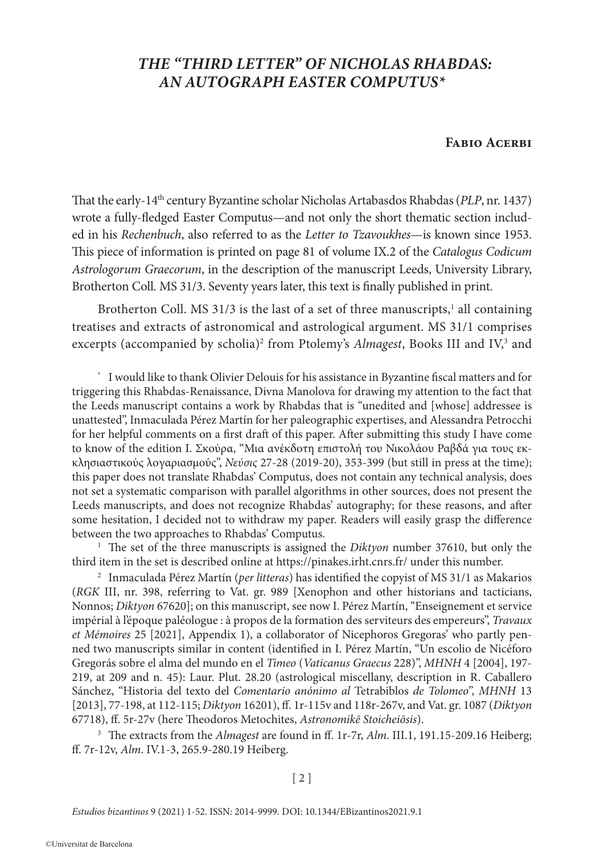# *THE "THIRD LETTER" OF NICHOLAS RHABDAS: AN AUTOGRAPH EASTER COMPUTUS\**

# **Fabio Acerbi**

That the early-14th century Byzantine scholar Nicholas Artabasdos Rhabdas (*PLP*, nr. 1437) wrote a fully-fledged Easter Computus—and not only the short thematic section included in his *Rechenbuch*, also referred to as the *Letter to Tzavoukhes*—is known since 1953. This piece of information is printed on page 81 of volume IX.2 of the *Catalogus Codicum Astrologorum Graecorum*, in the description of the manuscript Leeds, University Library, Brotherton Coll. MS 31/3. Seventy years later, this text is finally published in print.

Brotherton Coll. MS 31/3 is the last of a set of three manuscripts,<sup>1</sup> all containing treatises and extracts of astronomical and astrological argument. MS 31/1 comprises excerpts (accompanied by scholia)<sup>2</sup> from Ptolemy's Almagest, Books III and IV,<sup>3</sup> and

I would like to thank Olivier Delouis for his assistance in Byzantine fiscal matters and for triggering this Rhabdas-Renaissance, Divna Manolova for drawing my attention to the fact that the Leeds manuscript contains a work by Rhabdas that is "unedited and [whose] addressee is unattested", Inmaculada Pérez Martín for her paleographic expertises, and Alessandra Petrocchi for her helpful comments on a first draft of this paper. After submitting this study I have come to know of the edition Ι. Σκούρα, "Μια ανέκδοτη επιστολή του Νικολάου Ραβδά για τους εκκλησιαστικούς λογαριασμούς", *Νεύσις* 27-28 (2019-20), 353-399 (but still in press at the time); this paper does not translate Rhabdas' Computus, does not contain any technical analysis, does not set a systematic comparison with parallel algorithms in other sources, does not present the Leeds manuscripts, and does not recognize Rhabdas' autography; for these reasons, and after some hesitation, I decided not to withdraw my paper. Readers will easily grasp the difference between the two approaches to Rhabdas' Computus.

<sup>1</sup> The set of the three manuscripts is assigned the *Diktyon* number 37610, but only the third item in the set is described online at https://pinakes.irht.cnrs.fr/ under this number.

<sup>2</sup> Inmaculada Pérez Martín (*per litteras*) has identified the copyist of MS 31/1 as Makarios (*RGK* III, nr. 398, referring to Vat. gr. 989 [Xenophon and other historians and tacticians, Nonnos; *Diktyon* 67620]; on this manuscript, see now I. Pérez Martín, "Enseignement et service impérial à l'époque paléologue : à propos de la formation des serviteurs des empereurs", *Travaux et Mémoires* 25 [2021], Appendix 1), a collaborator of Nicephoros Gregoras' who partly penned two manuscripts similar in content (identified in I. Pérez Martín, "Un escolio de Nicéforo Gregorás sobre el alma del mundo en el *Timeo* (*Vaticanus Graecus* 228)", *MHNH* 4 [2004], 197- 219, at 209 and n. 45): Laur. Plut. 28.20 (astrological miscellany, description in R. Caballero Sánchez, "Historia del texto del *Comentario anónimo al* Tetrabiblos *de Tolomeo*", *MHNH* 13 [2013], 77-198, at 112-115; *Diktyon* 16201), ff. 1r-115v and 118r-267v, and Vat. gr. 1087 (*Diktyon* 67718), ff. 5r-27v (here Theodoros Metochites, *Astronomikē Stoicheiōsis*).

<sup>3</sup> The extracts from the *Almagest* are found in ff. 1r-7r, *Alm*. III.1, 191.15-209.16 Heiberg; ff. 7r-12v, *Alm*. IV.1-3, 265.9-280.19 Heiberg.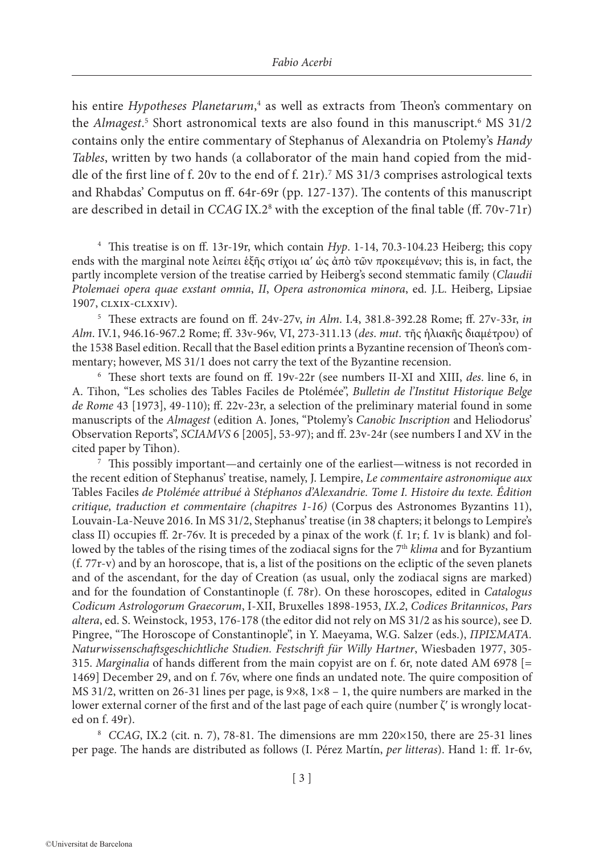his entire *Hypotheses Planetarum*, 4 as well as extracts from Theon's commentary on the *Almagest*.<sup>5</sup> Short astronomical texts are also found in this manuscript.<sup>6</sup> MS 31/2 contains only the entire commentary of Stephanus of Alexandria on Ptolemy's *Handy Tables*, written by two hands (a collaborator of the main hand copied from the middle of the first line of f. 20v to the end of f. 21r).7 MS 31/3 comprises astrological texts and Rhabdas' Computus on ff. 64r-69r (pp. 127-137). The contents of this manuscript are described in detail in *CCAG* IX.2<sup>8</sup> with the exception of the final table (ff. 70v-71r)

<sup>4</sup> This treatise is on ff. 13r-19r, which contain *Hyp*. 1-14, 70.3-104.23 Heiberg; this copy ends with the marginal note λείπει έξης στίχοι ια' ώς ἀπὸ τῶν προκειμένων; this is, in fact, the partly incomplete version of the treatise carried by Heiberg's second stemmatic family (*Claudii Ptolemaei opera quae exstant omnia*, *II*, *Opera astronomica minora*, ed. J.L. Heiberg, Lipsiae 1907, clxix-clxxiv).

<sup>5</sup> These extracts are found on ff. 24v-27v, *in Alm*. I.4, 381.8-392.28 Rome; ff. 27v-33r, *in Alm*. IV.1, 946.16-967.2 Rome; ff. 33v-96v, VI, 273-311.13 (*des*. *mut*. τῆς ἡλιακῆς διαμέτρου) of the 1538 Basel edition. Recall that the Basel edition prints a Byzantine recension of Theon's commentary; however, MS 31/1 does not carry the text of the Byzantine recension.

<sup>6</sup> These short texts are found on ff. 19v-22r (see numbers II-XI and XIII, *des*. line 6, in A. Tihon, "Les scholies des Tables Faciles de Ptolémée", *Bulletin de l'Institut Historique Belge de Rome* 43 [1973], 49-110); ff. 22v-23r, a selection of the preliminary material found in some manuscripts of the *Almagest* (edition A. Jones, "Ptolemy's *Canobic Inscription* and Heliodorus' Observation Reports", *SCIAMVS* 6 [2005], 53-97); and ff. 23v-24r (see numbers I and XV in the cited paper by Tihon).

 $\frac{7}{7}$  This possibly important—and certainly one of the earliest—witness is not recorded in the recent edition of Stephanus' treatise, namely, J. Lempire, *Le commentaire astronomique aux*  Tables Faciles *de Ptolémée attribué à Stéphanos d'Alexandrie. Tome I. Histoire du texte. Édition critique, traduction et commentaire (chapitres 1-16)* (Corpus des Astronomes Byzantins 11), Louvain-La-Neuve 2016. In MS 31/2, Stephanus' treatise (in 38 chapters; it belongs to Lempire's class II) occupies ff. 2r-76v. It is preceded by a pinax of the work (f. 1r; f. 1v is blank) and followed by the tables of the rising times of the zodiacal signs for the 7<sup>th</sup> *klima* and for Byzantium (f. 77r-v) and by an horoscope, that is, a list of the positions on the ecliptic of the seven planets and of the ascendant, for the day of Creation (as usual, only the zodiacal signs are marked) and for the foundation of Constantinople (f. 78r). On these horoscopes, edited in *Catalogus Codicum Astrologorum Graecorum*, I-XII, Bruxelles 1898-1953, *IX.2*, *Codices Britannicos*, *Pars altera*, ed. S. Weinstock, 1953, 176-178 (the editor did not rely on MS 31/2 as his source), see D. Pingree, "The Horoscope of Constantinople", in Y. Maeyama, W.G. Salzer (eds.), *ΠΡΙΣΜΑΤΑ. Naturwissenschaftsgeschichtliche Studien. Festschrift für Willy Hartner*, Wiesbaden 1977, 305- 315. *Marginalia* of hands different from the main copyist are on f. 6r, note dated AM 6978 [= 1469] December 29, and on f. 76v, where one finds an undated note. The quire composition of MS 31/2, written on 26-31 lines per page, is 9×8, 1×8 – 1, the quire numbers are marked in the lower external corner of the first and of the last page of each quire (number ζʹ is wrongly located on f. 49r).

<sup>8</sup> *CCAG*, IX.2 (cit. n. 7), 78-81. The dimensions are mm 220×150, there are 25-31 lines per page. The hands are distributed as follows (I. Pérez Martín, *per litteras*). Hand 1: ff. 1r-6v,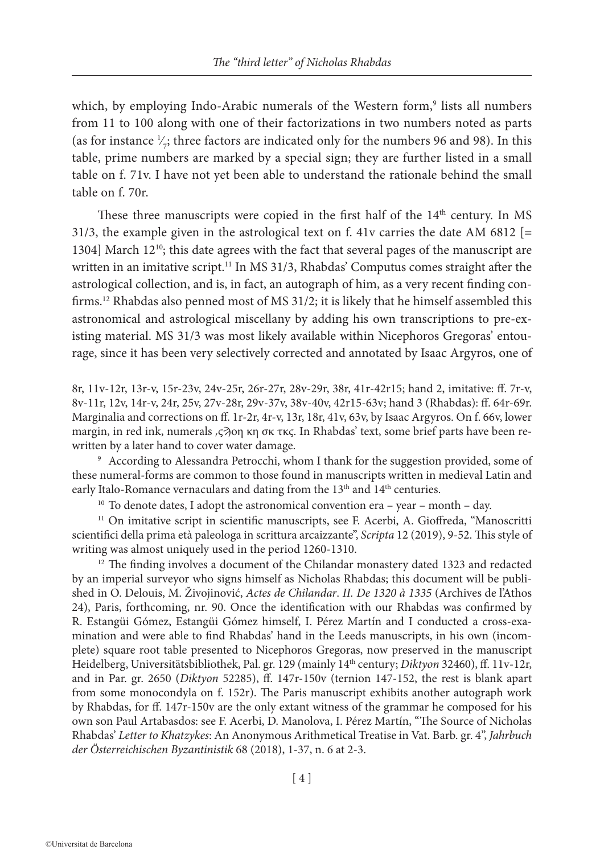which, by employing Indo-Arabic numerals of the Western form,<sup>9</sup> lists all numbers from 11 to 100 along with one of their factorizations in two numbers noted as parts (as for instance  $\frac{1}{7}$ ; three factors are indicated only for the numbers 96 and 98). In this ∕ table, prime numbers are marked by a special sign; they are further listed in a small table on f. 71v. I have not yet been able to understand the rationale behind the small table on f. 70r.

These three manuscripts were copied in the first half of the 14<sup>th</sup> century. In MS 31/3, the example given in the astrological text on f. 41v carries the date AM 6812 [= 1304] March 12<sup>10</sup>; this date agrees with the fact that several pages of the manuscript are written in an imitative script.<sup>11</sup> In MS 31/3, Rhabdas' Computus comes straight after the astrological collection, and is, in fact, an autograph of him, as a very recent finding confirms.12 Rhabdas also penned most of MS 31/2; it is likely that he himself assembled this astronomical and astrological miscellany by adding his own transcriptions to pre-existing material. MS 31/3 was most likely available within Nicephoros Gregoras' entourage, since it has been very selectively corrected and annotated by Isaac Argyros, one of

8r, 11v-12r, 13r-v, 15r-23v, 24v-25r, 26r-27r, 28v-29r, 38r, 41r-42r15; hand 2, imitative: ff. 7r-v, 8v-11r, 12v, 14r-v, 24r, 25v, 27v-28r, 29v-37v, 38v-40v, 42r15-63v; hand 3 (Rhabdas): ff. 64r-69r. Marginalia and corrections on ff. 1r-2r, 4r-v, 13r, 18r, 41v, 63v, by Isaac Argyros. On f. 66v, lower margin, in red ink, numerals ,ς $\partial$ οη κη σκ τκς. In Rhabdas' text, some brief parts have been rewritten by a later hand to cover water damage.

<sup>9</sup> According to Alessandra Petrocchi, whom I thank for the suggestion provided, some of these numeral-forms are common to those found in manuscripts written in medieval Latin and early Italo-Romance vernaculars and dating from the  $13<sup>th</sup>$  and  $14<sup>th</sup>$  centuries.

<sup>10</sup> To denote dates, I adopt the astronomical convention era – year – month – day.

<sup>11</sup> On imitative script in scientific manuscripts, see F. Acerbi, A. Gioffreda, "Manoscritti scientifici della prima età paleologa in scrittura arcaizzante", *Scripta* 12 (2019), 9-52. This style of writing was almost uniquely used in the period 1260-1310.

<sup>12</sup> The finding involves a document of the Chilandar monastery dated 1323 and redacted by an imperial surveyor who signs himself as Nicholas Rhabdas; this document will be published in O. Delouis, M. Živojinović, *Actes de Chilandar*. *II. De 1320 à 1335* (Archives de l'Athos 24), Paris, forthcoming, nr. 90. Once the identification with our Rhabdas was confirmed by R. Estangüi Gómez, Estangüi Gómez himself, I. Pérez Martín and I conducted a cross-examination and were able to find Rhabdas' hand in the Leeds manuscripts, in his own (incomplete) square root table presented to Nicephoros Gregoras, now preserved in the manuscript Heidelberg, Universitätsbibliothek, Pal. gr. 129 (mainly 14th century; *Diktyon* 32460), ff. 11v-12r, and in Par. gr. 2650 (*Diktyon* 52285), ff. 147r-150v (ternion 147-152, the rest is blank apart from some monocondyla on f. 152r). The Paris manuscript exhibits another autograph work by Rhabdas, for ff. 147r-150v are the only extant witness of the grammar he composed for his own son Paul Artabasdos: see F. Acerbi, D. Manolova, I. Pérez Martín, "The Source of Nicholas Rhabdas' *Letter to Khatzykes*: An Anonymous Arithmetical Treatise in Vat. Barb. gr. 4", *Jahrbuch der Österreichischen Byzantinistik* 68 (2018), 1-37, n. 6 at 2-3.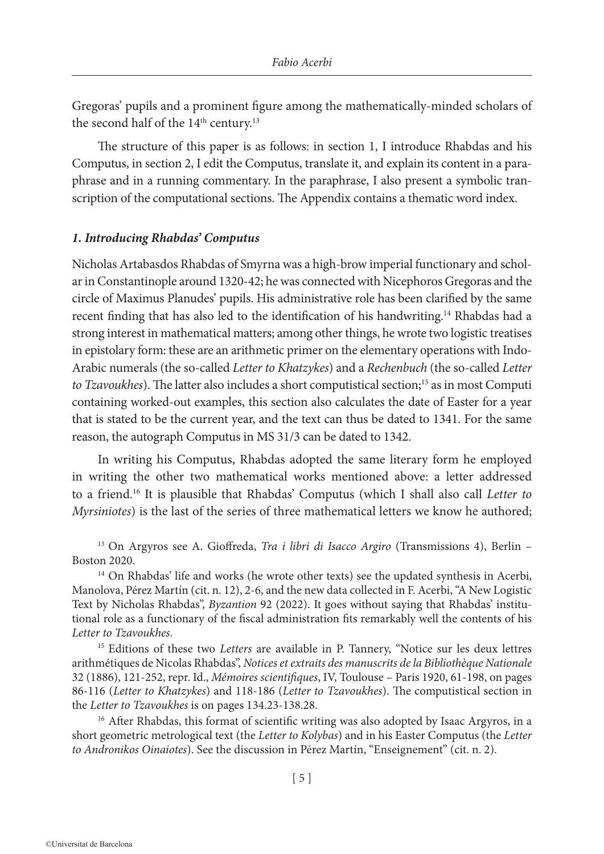Gregoras' pupils and a prominent figure among the mathematically-minded scholars of the second half of the 14<sup>th</sup> century.<sup>13</sup>

The structure of this paper is as follows: in section 1, I introduce Rhabdas and his Computus, in section 2, I edit the Computus, translate it, and explain its content in a paraphrase and in a running commentary. In the paraphrase, I also present a symbolic transcription of the computational sections. The Appendix contains a thematic word index.

## *1. Introducing Rhabdas' Computus*

Nicholas Artabasdos Rhabdas of Smyrna was a high-brow imperial functionary and scholar in Constantinople around 1320-42; he was connected with Nicephoros Gregoras and the circle of Maximus Planudes' pupils. His administrative role has been clarified by the same recent finding that has also led to the identification of his handwriting.<sup>14</sup> Rhabdas had a strong interest in mathematical matters; among other things, he wrote two logistic treatises in epistolary form: these are an arithmetic primer on the elementary operations with Indo-Arabic numerals (the so-called *Letter to Khatzykes*) and a *Rechenbuch* (the so-called *Letter*  to Tzavoukhes). The latter also includes a short computistical section;<sup>15</sup> as in most Computi containing worked-out examples, this section also calculates the date of Easter for a year that is stated to be the current year, and the text can thus be dated to 1341. For the same reason, the autograph Computus in MS 31/3 can be dated to 1342.

In writing his Computus, Rhabdas adopted the same literary form he employed in writing the other two mathematical works mentioned above: a letter addressed to a friend.16 It is plausible that Rhabdas' Computus (which I shall also call *Letter to Myrsiniotes*) is the last of the series of three mathematical letters we know he authored;

<sup>13</sup> On Argyros see A. Gioffreda, *Tra i libri di Isacco Argiro* (Transmissions 4), Berlin – Boston 2020.

<sup>14</sup> On Rhabdas' life and works (he wrote other texts) see the updated synthesis in Acerbi, Manolova, Pérez Martín (cit. n. 12), 2-6, and the new data collected in F. Acerbi, "A New Logistic Text by Nicholas Rhabdas", *Byzantion* 92 (2022). It goes without saying that Rhabdas' institutional role as a functionary of the fiscal administration fits remarkably well the contents of his *Letter to Tzavoukhes*.

<sup>15</sup> Editions of these two *Letters* are available in P. Tannery, "Notice sur les deux lettres arithmétiques de Nicolas Rhabdas", *Notices et extraits des manuscrits de la Bibliothèque Nationale* 32 (1886), 121-252, repr. Id., *Mémoires scientifiques*, IV, Toulouse – Paris 1920, 61-198, on pages 86-116 (*Letter to Khatzykes*) and 118-186 (*Letter to Tzavoukhes*). The computistical section in the *Letter to Tzavoukhes* is on pages 134.23-138.28.

<sup>16</sup> After Rhabdas, this format of scientific writing was also adopted by Isaac Argyros, in a short geometric metrological text (the *Letter to Kolybas*) and in his Easter Computus (the *Letter to Andronikos Oinaiotes*). See the discussion in Pérez Martín, "Enseignement" (cit. n. 2).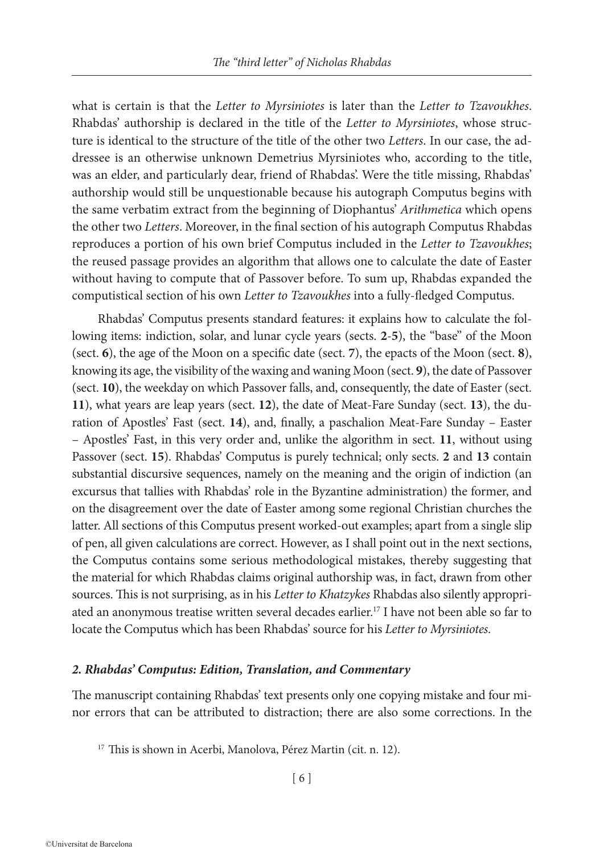what is certain is that the *Letter to Myrsiniotes* is later than the *Letter to Tzavoukhes*. Rhabdas' authorship is declared in the title of the *Letter to Myrsiniotes*, whose structure is identical to the structure of the title of the other two *Letters*. In our case, the addressee is an otherwise unknown Demetrius Myrsiniotes who, according to the title, was an elder, and particularly dear, friend of Rhabdas'. Were the title missing, Rhabdas' authorship would still be unquestionable because his autograph Computus begins with the same verbatim extract from the beginning of Diophantus' *Arithmetica* which opens the other two *Letters*. Moreover, in the final section of his autograph Computus Rhabdas reproduces a portion of his own brief Computus included in the *Letter to Tzavoukhes*; the reused passage provides an algorithm that allows one to calculate the date of Easter without having to compute that of Passover before. To sum up, Rhabdas expanded the computistical section of his own *Letter to Tzavoukhes* into a fully-fledged Computus.

Rhabdas' Computus presents standard features: it explains how to calculate the following items: indiction, solar, and lunar cycle years (sects. **2**-**5**), the "base" of the Moon (sect. **6**), the age of the Moon on a specific date (sect. **7**), the epacts of the Moon (sect. **8**), knowing its age, the visibility of the waxing and waning Moon (sect. **9**), the date of Passover (sect. **10**), the weekday on which Passover falls, and, consequently, the date of Easter (sect. **11**), what years are leap years (sect. **12**), the date of Meat-Fare Sunday (sect. **13**), the duration of Apostles' Fast (sect. **14**), and, finally, a paschalion Meat-Fare Sunday – Easter – Apostles' Fast, in this very order and, unlike the algorithm in sect. **11**, without using Passover (sect. **15**). Rhabdas' Computus is purely technical; only sects. **2** and **13** contain substantial discursive sequences, namely on the meaning and the origin of indiction (an excursus that tallies with Rhabdas' role in the Byzantine administration) the former, and on the disagreement over the date of Easter among some regional Christian churches the latter. All sections of this Computus present worked-out examples; apart from a single slip of pen, all given calculations are correct. However, as I shall point out in the next sections, the Computus contains some serious methodological mistakes, thereby suggesting that the material for which Rhabdas claims original authorship was, in fact, drawn from other sources. This is not surprising, as in his *Letter to Khatzykes* Rhabdas also silently appropriated an anonymous treatise written several decades earlier.17 I have not been able so far to locate the Computus which has been Rhabdas' source for his *Letter to Myrsiniotes*.

## *2. Rhabdas' Computus: Edition, Translation, and Commentary*

The manuscript containing Rhabdas' text presents only one copying mistake and four minor errors that can be attributed to distraction; there are also some corrections. In the

<sup>17</sup> This is shown in Acerbi, Manolova, Pérez Martin (cit. n. 12).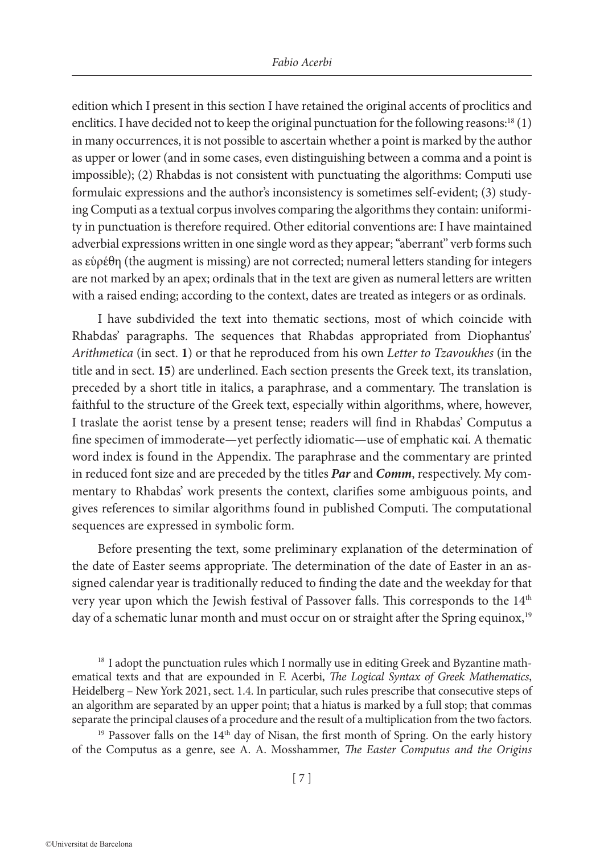edition which I present in this section I have retained the original accents of proclitics and enclitics. I have decided not to keep the original punctuation for the following reasons:<sup>18</sup> (1) in many occurrences, it is not possible to ascertain whether a point is marked by the author as upper or lower (and in some cases, even distinguishing between a comma and a point is impossible); (2) Rhabdas is not consistent with punctuating the algorithms: Computi use formulaic expressions and the author's inconsistency is sometimes self-evident; (3) studying Computi as a textual corpus involves comparing the algorithms they contain: uniformity in punctuation is therefore required. Other editorial conventions are: I have maintained adverbial expressions written in one single word as they appear; "aberrant" verb forms such as εὑρέθη (the augment is missing) are not corrected; numeral letters standing for integers are not marked by an apex; ordinals that in the text are given as numeral letters are written with a raised ending; according to the context, dates are treated as integers or as ordinals.

I have subdivided the text into thematic sections, most of which coincide with Rhabdas' paragraphs. The sequences that Rhabdas appropriated from Diophantus' *Arithmetica* (in sect. **1**) or that he reproduced from his own *Letter to Tzavoukhes* (in the title and in sect. **15**) are underlined. Each section presents the Greek text, its translation, preceded by a short title in italics, a paraphrase, and a commentary. The translation is faithful to the structure of the Greek text, especially within algorithms, where, however, I traslate the aorist tense by a present tense; readers will find in Rhabdas' Computus a fine specimen of immoderate—yet perfectly idiomatic—use of emphatic καί. A thematic word index is found in the Appendix. The paraphrase and the commentary are printed in reduced font size and are preceded by the titles *Par* and *Comm*, respectively. My commentary to Rhabdas' work presents the context, clarifies some ambiguous points, and gives references to similar algorithms found in published Computi. The computational sequences are expressed in symbolic form.

Before presenting the text, some preliminary explanation of the determination of the date of Easter seems appropriate. The determination of the date of Easter in an assigned calendar year is traditionally reduced to finding the date and the weekday for that very year upon which the Jewish festival of Passover falls. This corresponds to the 14<sup>th</sup> day of a schematic lunar month and must occur on or straight after the Spring equinox,<sup>19</sup>

<sup>18</sup> I adopt the punctuation rules which I normally use in editing Greek and Byzantine mathematical texts and that are expounded in F. Acerbi, *The Logical Syntax of Greek Mathematics*, Heidelberg – New York 2021, sect. 1.4. In particular, such rules prescribe that consecutive steps of an algorithm are separated by an upper point; that a hiatus is marked by a full stop; that commas separate the principal clauses of a procedure and the result of a multiplication from the two factors.

 $19$  Passover falls on the  $14<sup>th</sup>$  day of Nisan, the first month of Spring. On the early history of the Computus as a genre, see A. A. Mosshammer, *The Easter Computus and the Origins*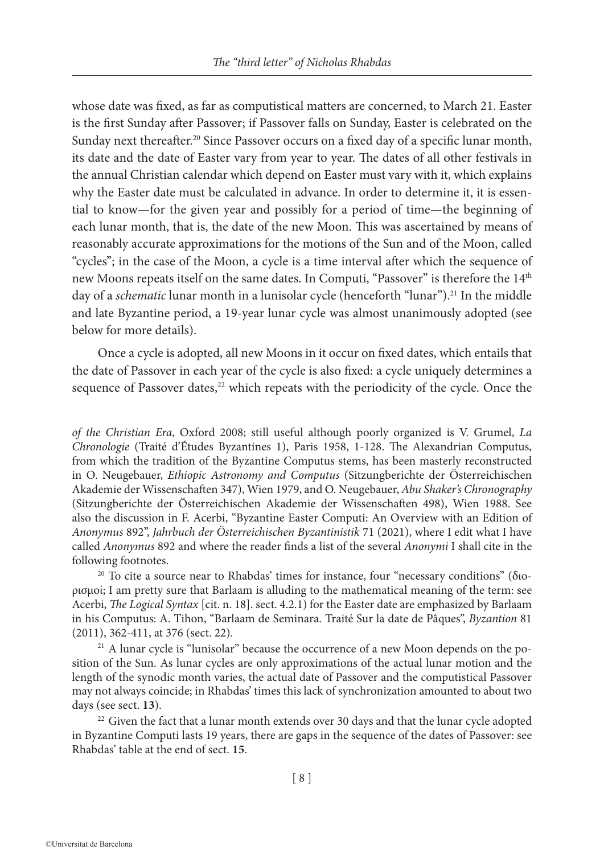whose date was fixed, as far as computistical matters are concerned, to March 21. Easter is the first Sunday after Passover; if Passover falls on Sunday, Easter is celebrated on the Sunday next thereafter.<sup>20</sup> Since Passover occurs on a fixed day of a specific lunar month, its date and the date of Easter vary from year to year. The dates of all other festivals in the annual Christian calendar which depend on Easter must vary with it, which explains why the Easter date must be calculated in advance. In order to determine it, it is essential to know—for the given year and possibly for a period of time—the beginning of each lunar month, that is, the date of the new Moon. This was ascertained by means of reasonably accurate approximations for the motions of the Sun and of the Moon, called "cycles"; in the case of the Moon, a cycle is a time interval after which the sequence of new Moons repeats itself on the same dates. In Computi, "Passover" is therefore the 14<sup>th</sup> day of a *schematic* lunar month in a lunisolar cycle (henceforth "lunar").<sup>21</sup> In the middle and late Byzantine period, a 19-year lunar cycle was almost unanimously adopted (see below for more details).

Once a cycle is adopted, all new Moons in it occur on fixed dates, which entails that the date of Passover in each year of the cycle is also fixed: a cycle uniquely determines a sequence of Passover dates,<sup>22</sup> which repeats with the periodicity of the cycle. Once the

*of the Christian Era*, Oxford 2008; still useful although poorly organized is V. Grumel, *La Chronologie* (Traité d'Études Byzantines 1), Paris 1958, 1-128. The Alexandrian Computus, from which the tradition of the Byzantine Computus stems, has been masterly reconstructed in O. Neugebauer, *Ethiopic Astronomy and Computus* (Sitzungberichte der Österreichischen Akademie der Wissenschaften 347), Wien 1979, and O. Neugebauer, *Abu Shaker's Chronography* (Sitzungberichte der Österreichischen Akademie der Wissenschaften 498), Wien 1988. See also the discussion in F. Acerbi, "Byzantine Easter Computi: An Overview with an Edition of *Anonymus* 892", *Jahrbuch der Österreichischen Byzantinistik* 71 (2021), where I edit what I have called *Anonymus* 892 and where the reader finds a list of the several *Anonymi* I shall cite in the following footnotes.

<sup>20</sup> To cite a source near to Rhabdas' times for instance, four "necessary conditions" (διορισμοί; I am pretty sure that Barlaam is alluding to the mathematical meaning of the term: see Acerbi, *The Logical Syntax* [cit. n. 18]. sect. 4.2.1) for the Easter date are emphasized by Barlaam in his Computus: A. Tihon, "Barlaam de Seminara. Traité Sur la date de Pâques", *Byzantion* 81 (2011), 362-411, at 376 (sect. 22).

<sup>21</sup> A lunar cycle is "lunisolar" because the occurrence of a new Moon depends on the position of the Sun. As lunar cycles are only approximations of the actual lunar motion and the length of the synodic month varies, the actual date of Passover and the computistical Passover may not always coincide; in Rhabdas' times this lack of synchronization amounted to about two days (see sect. **13**).

 $22$  Given the fact that a lunar month extends over 30 days and that the lunar cycle adopted in Byzantine Computi lasts 19 years, there are gaps in the sequence of the dates of Passover: see Rhabdas' table at the end of sect. **15**.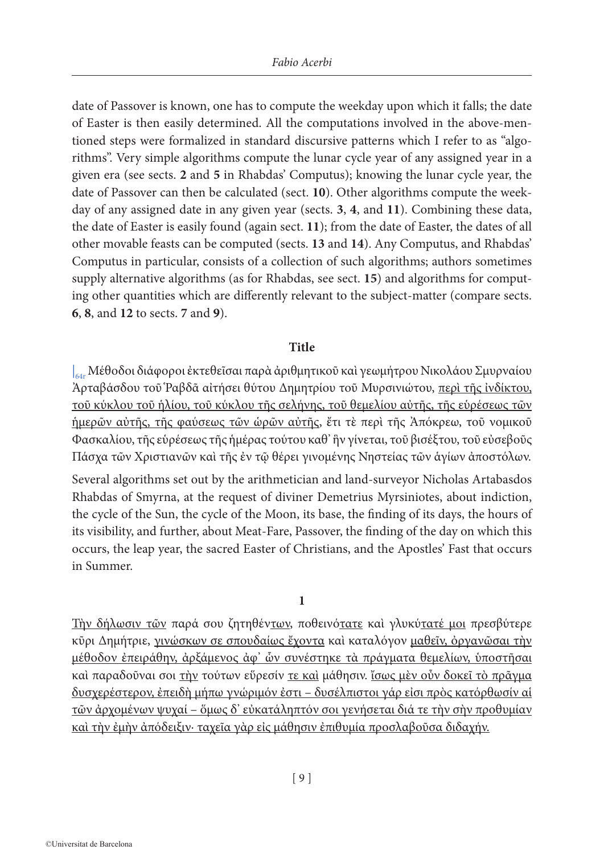date of Passover is known, one has to compute the weekday upon which it falls; the date of Easter is then easily determined. All the computations involved in the above-mentioned steps were formalized in standard discursive patterns which I refer to as "algorithms". Very simple algorithms compute the lunar cycle year of any assigned year in a given era (see sects. **2** and **5** in Rhabdas' Computus); knowing the lunar cycle year, the date of Passover can then be calculated (sect. **10**). Other algorithms compute the weekday of any assigned date in any given year (sects. **3**, **4**, and **11**). Combining these data, the date of Easter is easily found (again sect. **11**); from the date of Easter, the dates of all other movable feasts can be computed (sects. **13** and **14**). Any Computus, and Rhabdas' Computus in particular, consists of a collection of such algorithms; authors sometimes supply alternative algorithms (as for Rhabdas, see sect. **15**) and algorithms for computing other quantities which are differently relevant to the subject-matter (compare sects. **6**, **8**, and **12** to sects. **7** and **9**).

## **Title**

| 64r Μέθοδοι διάφοροι ἐκτεθεῖσαι παρὰ ἀριθμητικοῦ καὶ γεωμήτρου Νικολάου Σμυρναίου Ἀρταβάσδου τοῦ Ῥαβδᾶ αἰτήσει θύτου Δημητρίου τοῦ Μυρσινιώτου, περὶ τῆς ἰνδίκτου, τοῦ κύκλου τοῦ ἡλίου, τοῦ κύκλου τῆς σελήνης, τοῦ θεμελίου αὐτῆς, τῆς εὑρέσεως τῶν ἡμερῶν αὐτῆς, τῆς φαύσεως τῶν ὡρῶν αὐτῆς, ἔτι τὲ περὶ τῆς Ἀπόκρεω, τοῦ νομικοῦ Φασκαλίου, τῆς εὑρέσεως τῆς ἡμέρας τούτου καθ' ἣν γίνεται, τοῦ βισέξτου, τοῦ εὐσεβοῦς Πάσχα τῶν Χριστιανῶν καὶ τῆς ἐν τῷ θέρει γινομένης Νηστείας τῶν ἁγίων ἀποστόλων.

Several algorithms set out by the arithmetician and land-surveyor Nicholas Artabasdos Rhabdas of Smyrna, at the request of diviner Demetrius Myrsiniotes, about indiction, the cycle of the Sun, the cycle of the Moon, its base, the finding of its days, the hours of its visibility, and further, about Meat-Fare, Passover, the finding of the day on which this occurs, the leap year, the sacred Easter of Christians, and the Apostles' Fast that occurs in Summer.

# **1**

Τὴν δήλωσιν τῶν παρά σου ζητηθέντων, ποθεινότατε καὶ γλυκύτατέ μοι πρεσβύτερε κῦρι Δημήτριε, γινώσκων σε σπουδαίως ἔχοντα καὶ καταλόγον μαθεῖν, ὀργανῶσαι τὴν μέθοδον ἐπειράθην, ἀρξάμενος ἀφ' ὧν συνέστηκε τὰ πράγματα θεμελίων, ὑποστῆσαι καὶ παραδοῦναι σοι τὴν τούτων εὕρεσίν τε καὶ μάθησιν. ἴσως μὲν οὖν δοκεῖ τὸ πρᾶγμα δυσχερέστερον, ἐπειδὴ μήπω γνώριμόν ἐστι – δυσέλπιστοι γάρ εἰσι πρὸς κατόρθωσίν αἱ τῶν ἀρχομένων ψυχαί – ὅμως δ' εὐκατάληπτόν σοι γενήσεται διά τε τὴν σὴν προθυμίαν καὶ τὴν ἐμὴν ἀπόδειξιν· ταχεῖα γὰρ εἰς μάθησιν ἐπιθυμία προσλαβοῦσα διδαχήν.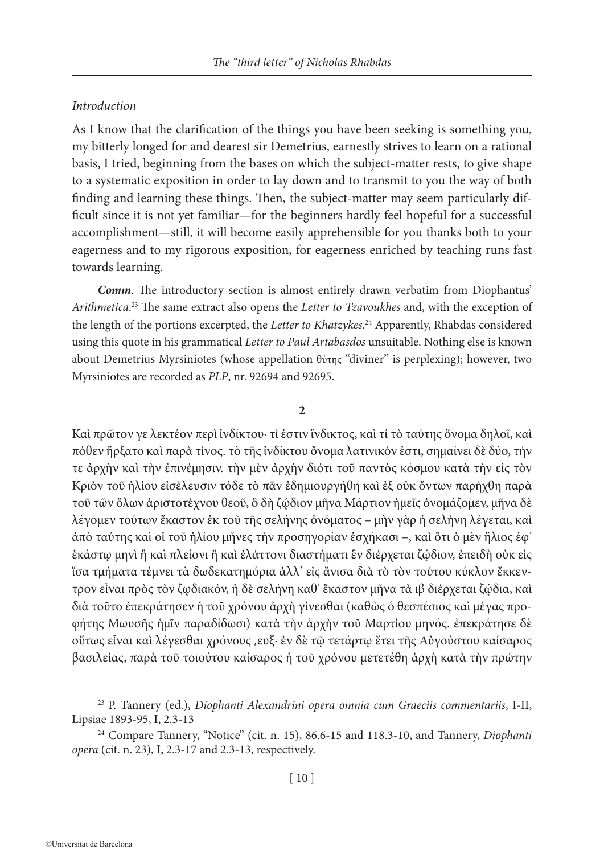# *Introduction*

As I know that the clarification of the things you have been seeking is something you, my bitterly longed for and dearest sir Demetrius, earnestly strives to learn on a rational basis, I tried, beginning from the bases on which the subject-matter rests, to give shape to a systematic exposition in order to lay down and to transmit to you the way of both finding and learning these things. Then, the subject-matter may seem particularly difficult since it is not yet familiar—for the beginners hardly feel hopeful for a successful accomplishment—still, it will become easily apprehensible for you thanks both to your eagerness and to my rigorous exposition, for eagerness enriched by teaching runs fast towards learning.

*Comm*. The introductory section is almost entirely drawn verbatim from Diophantus' *Arithmetica*. 23 The same extract also opens the *Letter to Tzavoukhes* and, with the exception of the length of the portions excerpted, the *Letter to Khatzykes*. 24 Apparently, Rhabdas considered using this quote in his grammatical *Letter to Paul Artabasdos* unsuitable. Nothing else is known about Demetrius Myrsiniotes (whose appellation θύτης "diviner" is perplexing); however, two Myrsiniotes are recorded as *PLP*, nr. 92694 and 92695.

## **2**

Καὶ πρῶτον γε λεκτέον περὶ ἰνδίκτου· τί ἐστιν ἴνδικτος, καὶ τί τὸ ταύτης ὄνομα δηλοῖ, καὶ πόθεν ἤρξατο καὶ παρὰ τίνος. τὸ τῆς ἰνδίκτου ὄνομα λατινικόν ἐστι, σημαίνει δὲ δύο, τήν τε ἀρχὴν καὶ τὴν ἐπινέμησιν. τὴν μὲν ἀρχὴν διότι τοῦ παντὸς κόσμου κατὰ τὴν εἰς τὸν Κριὸν τοῦ ἡλίου εἰσέλευσιν τόδε τὸ πᾶν ἐδημιουργήθη καὶ ἐξ οὐκ ὄντων παρήχθη παρὰ τοῦ τῶν ὅλων ἀριστοτέχνου θεοῦ, ὃ δὴ ζῴδιον μῆνα Μάρτιον ἡμεῖς ὀνομάζομεν, μῆνα δὲ λέγομεν τούτων ἕκαστον ἐκ τοῦ τῆς σελήνης ὀνόματος – μὴν γὰρ ἡ σελήνη λέγεται, καὶ ἀπὸ ταύτης καὶ οἱ τοῦ ἡλίου μῆνες τὴν προσηγορίαν ἐσχήκασι –, καὶ ὅτι ὁ μὲν ἥλιος ἐφ' ἑκάστῳ μηνὶ ἢ καὶ πλείονι ἢ καὶ ἐλάττονι διαστήματι ἓν διέρχεται ζῴδιον, ἐπειδὴ οὐκ εἰς ἴσα τμήματα τέμνει τὰ δωδεκατημόρια ἀλλ' εἰς ἄνισα διὰ τὸ τὸν τούτου κύκλον ἔκκεντρον εἶναι πρὸς τὸν ζῳδιακόν, ἡ δὲ σελήνη καθ' ἕκαστον μῆνα τὰ ιβ διέρχεται ζῴδια, καὶ διὰ τοῦτο ἐπεκράτησεν ἡ τοῦ χρόνου ἀρχὴ γίνεσθαι (καθὼς ὁ θεσπέσιος καὶ μέγας προφήτης Μωυσῆς ἡμῖν παραδίδωσι) κατὰ τὴν ἀρχὴν τοῦ Μαρτίου μηνός. ἐπεκράτησε δὲ οὕτως εἶναι καὶ λέγεσθαι χρόνους ͵ευξ· ἐν δὲ τῷ τετάρτῳ ἔτει τῆς Αὐγούστου καίσαρος βασιλείας, παρὰ τοῦ τοιούτου καίσαρος ἡ τοῦ χρόνου μετετέθη ἀρχὴ κατὰ τὴν πρώτην

<sup>24</sup> Compare Tannery, "Notice" (cit. n. 15), 86.6-15 and 118.3-10, and Tannery, *Diophanti opera* (cit. n. 23), I, 2.3-17 and 2.3-13, respectively.

<sup>23</sup> P. Tannery (ed.), *Diophanti Alexandrini opera omnia cum Graeciis commentariis*, I-II, Lipsiae 1893-95, I, 2.3-13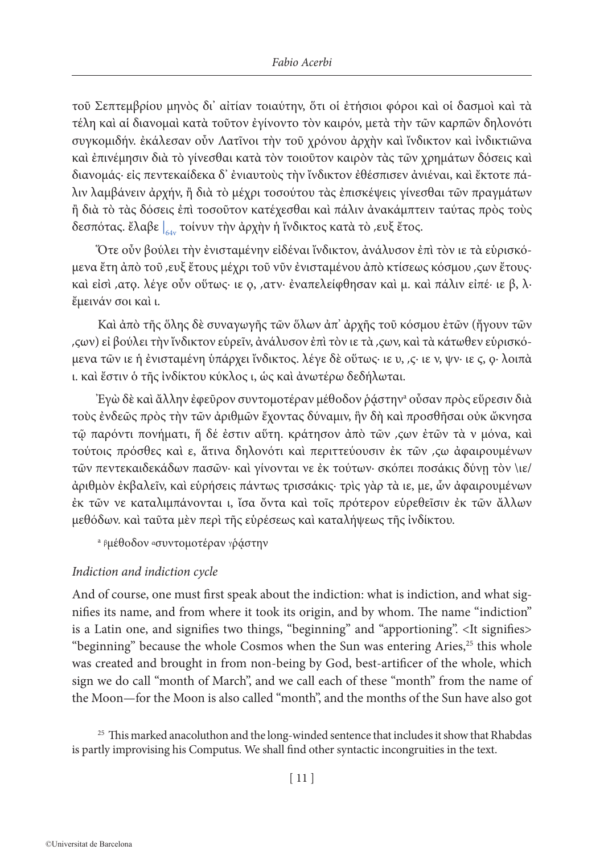τοῦ Σεπτεμβρίου μηνὸς δι' αἰτίαν τοιαύτην, ὅτι οἱ ἐτήσιοι φόροι καὶ οἱ δασμοὶ καὶ τὰ τέλη καὶ αἱ διανομαὶ κατὰ τοῦτον ἐγίνοντο τὸν καιρόν, μετὰ τὴν τῶν καρπῶν δηλονότι συγκομιδήν. ἐκάλεσαν οὖν Λατῖνοι τὴν τοῦ χρόνου ἀρχὴν καὶ ἴνδικτον καὶ ἰνδικτιῶνα καὶ ἐπινέμησιν διὰ τὸ γίνεσθαι κατὰ τὸν τοιοῦτον καιρὸν τὰς τῶν χρημάτων δόσεις καὶ διανομάς· εἰς πεντεκαίδεκα δ' ἐνιαυτοὺς τὴν ἴνδικτον ἐθέσπισεν ἀνιέναι, καὶ ἔκτοτε πάλιν λαμβάνειν ἀρχήν, ἢ διὰ τὸ μέχρι τοσούτου τὰς ἐπισκέψεις γίνεσθαι τῶν πραγμάτων ἢ διὰ τὸ τὰς δόσεις ἐπὶ τοσοῦτον κατέχεσθαι καὶ πάλιν ἀνακάμπτειν ταύτας πρὸς τοὺς δεσπότας. ἔλαβε |<sub>64v</sub> τοίνυν τὴν ἀρχὴν ἡ ἴνδικτος κατὰ τὸ ,ευξ ἔτος.

Ὅτε οὖν βούλει τὴν ἐνισταμένην εἰδέναι ἴνδικτον, ἀνάλυσον ἐπὶ τὸν ιε τὰ εὑρισκόμενα ἔτη ἀπὸ τοῦ ͵ευξ ἔτους μέχρι τοῦ νῦν ἐνισταμένου ἀπὸ κτίσεως κόσμου ͵ϛων ἔτους· καὶ εἰσὶ ͵ατϙ. λέγε οὖν οὕτως· ιε ϙ, ͵ατν· ἐναπελείφθησαν καὶ μ. καὶ πάλιν εἰπέ· ιε β, λ· ἔμεινάν σοι καὶ ι.

Καὶ ἀπὸ τῆς ὅλης δὲ συναγωγῆς τῶν ὅλων ἀπ' ἀρχῆς τοῦ κόσμου ἐτῶν (ἤγουν τῶν ͵ϛων) εἰ βούλει τὴν ἴνδικτον εὑρεῖν, ἀνάλυσον ἐπὶ τὸν ιε τὰ ͵ϛων, καὶ τὰ κάτωθεν εὑρισκόμενα τῶν ιε ἡ ἐνισταμένη ὑπάρχει ἴνδικτος. λέγε δὲ οὕτως· ιε υ, ͵ϛ· ιε ν, ψν· ιε ϛ, ϙ· λοιπὰ ι. καὶ ἔστιν ὁ τῆς ἰνδίκτου κύκλος ι, ὡς καὶ ἀνωτέρω δεδήλωται.

Ἐγὼ δὲ καὶ ἄλλην ἐφεῦρον συντομοτέραν μέθοδον ῥᾴστηνa οὖσαν πρὸς εὕρεσιν διὰ τοὺς ἐνδεῶς πρὸς τὴν τῶν ἀριθμῶν ἔχοντας δύναμιν, ἣν δὴ καὶ προσθῆσαι οὐκ ὤκνησα τῷ παρόντι πονήματι, ἥ δέ ἐστιν αὕτη. κράτησον ἀπὸ τῶν ͵ϛων ἐτῶν τὰ ν μόνα, καὶ τούτοις πρόσθες καὶ ε, ἅτινα δηλονότι καὶ περιττεύουσιν ἐκ τῶν ͵ϛω ἀφαιρουμένων τῶν πεντεκαιδεκάδων πασῶν· καὶ γίνονται νε ἐκ τούτων· σκόπει ποσάκις δύνῃ τὸν \ιε/ ἀριθμὸν ἐκβαλεῖν, καὶ εὑρήσεις πάντως τρισσάκις· τρὶς γὰρ τὰ ιε, με, ὧν ἀφαιρουμένων ἐκ τῶν νε καταλιμπάνονται ι, ἴσα ὄντα καὶ τοῖς πρότερον εὑρεθεῖσιν ἐκ τῶν ἄλλων μεθόδων. καὶ ταῦτα μὲν περὶ τῆς εὑρέσεως καὶ καταλήψεως τῆς ἰνδίκτου.

<sup>a β</sup>μέθοδον «συντομοτέραν γράστην

# *Indiction and indiction cycle*

And of course, one must first speak about the indiction: what is indiction, and what signifies its name, and from where it took its origin, and by whom. The name "indiction" is a Latin one, and signifies two things, "beginning" and "apportioning". <It signifies> "beginning" because the whole Cosmos when the Sun was entering Aries,<sup>25</sup> this whole was created and brought in from non-being by God, best-artificer of the whole, which sign we do call "month of March", and we call each of these "month" from the name of the Moon—for the Moon is also called "month", and the months of the Sun have also got

<sup>25</sup> This marked anacoluthon and the long-winded sentence that includes it show that Rhabdas is partly improvising his Computus. We shall find other syntactic incongruities in the text.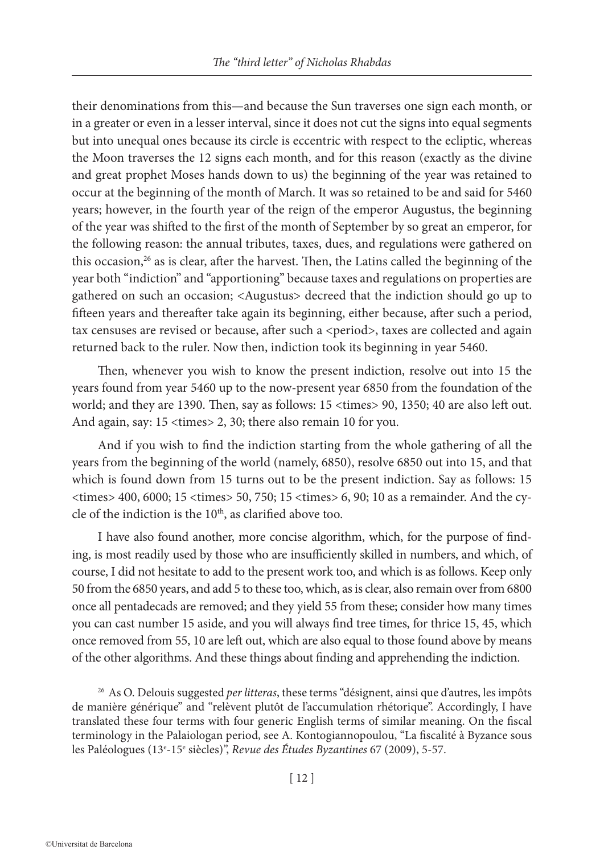their denominations from this—and because the Sun traverses one sign each month, or in a greater or even in a lesser interval, since it does not cut the signs into equal segments but into unequal ones because its circle is eccentric with respect to the ecliptic, whereas the Moon traverses the 12 signs each month, and for this reason (exactly as the divine and great prophet Moses hands down to us) the beginning of the year was retained to occur at the beginning of the month of March. It was so retained to be and said for 5460 years; however, in the fourth year of the reign of the emperor Augustus, the beginning of the year was shifted to the first of the month of September by so great an emperor, for the following reason: the annual tributes, taxes, dues, and regulations were gathered on this occasion, $26$  as is clear, after the harvest. Then, the Latins called the beginning of the year both "indiction" and "apportioning" because taxes and regulations on properties are gathered on such an occasion; <Augustus> decreed that the indiction should go up to fifteen years and thereafter take again its beginning, either because, after such a period, tax censuses are revised or because, after such a <period>, taxes are collected and again returned back to the ruler. Now then, indiction took its beginning in year 5460.

Then, whenever you wish to know the present indiction, resolve out into 15 the years found from year 5460 up to the now-present year 6850 from the foundation of the world; and they are 1390. Then, say as follows: 15 <times> 90, 1350; 40 are also left out. And again, say: 15 <times> 2, 30; there also remain 10 for you.

And if you wish to find the indiction starting from the whole gathering of all the years from the beginning of the world (namely, 6850), resolve 6850 out into 15, and that which is found down from 15 turns out to be the present indiction. Say as follows: 15 <times> 400, 6000; 15 <times> 50, 750; 15 <times> 6, 90; 10 as a remainder. And the cycle of the indiction is the 10th, as clarified above too.

I have also found another, more concise algorithm, which, for the purpose of finding, is most readily used by those who are insufficiently skilled in numbers, and which, of course, I did not hesitate to add to the present work too, and which is as follows. Keep only 50 from the 6850 years, and add 5 to these too, which, as is clear, also remain over from 6800 once all pentadecads are removed; and they yield 55 from these; consider how many times you can cast number 15 aside, and you will always find tree times, for thrice 15, 45, which once removed from 55, 10 are left out, which are also equal to those found above by means of the other algorithms. And these things about finding and apprehending the indiction.

<sup>26</sup> As O. Delouis suggested *per litteras*, these terms "désignent, ainsi que d'autres, les impôts de manière générique" and "relèvent plutôt de l'accumulation rhétorique". Accordingly, I have translated these four terms with four generic English terms of similar meaning. On the fiscal terminology in the Palaiologan period, see A. Kontogiannopoulou, "La fiscalité à Byzance sous les Paléologues (13e -15e siècles)", *Revue des Études Byzantines* 67 (2009), 5-57.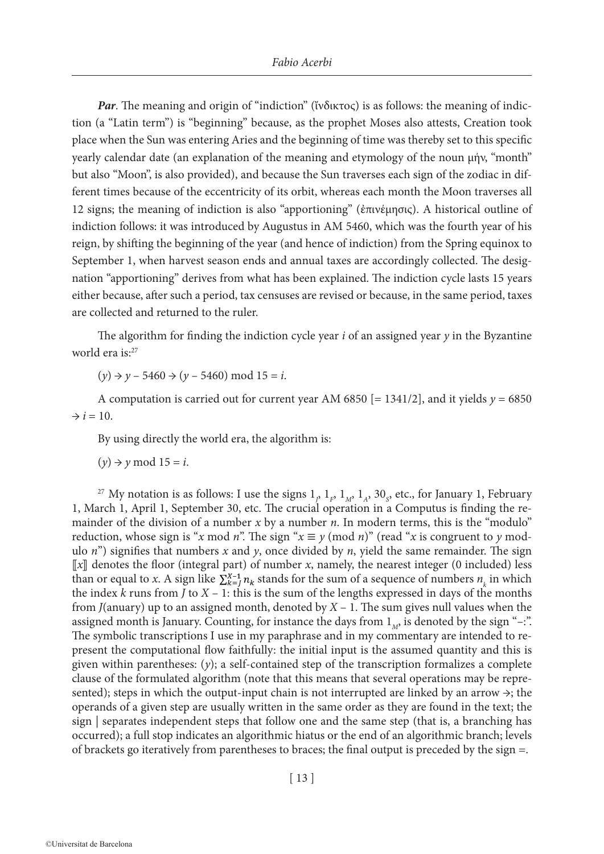*Par*. The meaning and origin of "indiction" (ἴνδικτος) is as follows: the meaning of indiction (a "Latin term") is "beginning" because, as the prophet Moses also attests, Creation took place when the Sun was entering Aries and the beginning of time was thereby set to this specific yearly calendar date (an explanation of the meaning and etymology of the noun μήν, "month" but also "Moon", is also provided), and because the Sun traverses each sign of the zodiac in different times because of the eccentricity of its orbit, whereas each month the Moon traverses all 12 signs; the meaning of indiction is also "apportioning" (ἐπινέμησις). A historical outline of indiction follows: it was introduced by Augustus in AM 5460, which was the fourth year of his reign, by shifting the beginning of the year (and hence of indiction) from the Spring equinox to September 1, when harvest season ends and annual taxes are accordingly collected. The designation "apportioning" derives from what has been explained. The indiction cycle lasts 15 years either because, after such a period, tax censuses are revised or because, in the same period, taxes are collected and returned to the ruler.

The algorithm for finding the indiction cycle year *i* of an assigned year *y* in the Byzantine world era is:<sup>27</sup>

 $(y) \rightarrow y - 5460 \rightarrow (y - 5460) \text{ mod } 15 = i.$ 

A computation is carried out for current year AM 6850 [= 1341/2], and it yields  $y = 6850$  $\rightarrow i = 10$ .

By using directly the world era, the algorithm is:

 $(y) \rightarrow y \mod 15 = i$ .

<sup>27</sup> My notation is as follows: I use the signs  $1_{p}$ ,  $1_{F}$ ,  $1_{M}$ ,  $1_{A}$ ,  $30_{S}$ , etc., for January 1, February 1, March 1, April 1, September 30, etc. The crucial operation in a Computus is finding the remainder of the division of a number *x* by a number *n*. In modern terms, this is the "modulo" reduction, whose sign is "*x* mod *n*". The sign " $x \equiv y \pmod{n}$ " (read "*x* is congruent to *y* modulo *n*") signifies that numbers *x* and *y*, once divided by *n*, yield the same remainder. The sign ⟦*x*⟧ denotes the floor (integral part) of number *x*, namely, the nearest integer (0 included) less than or equal to *x*. A sign like  $\sum_{k=1}^{X-1} n_k$  stands for the sum of a sequence of numbers  $n_k$  in which the index  $k$  runs from  $J$  to  $X - 1$ : this is the sum of the lengths expressed in days of the months from *J*(anuary) up to an assigned month, denoted by *X* – 1. The sum gives null values when the assigned month is January. Counting, for instance the days from  $1_M$ , is denoted by the sign "-:". The symbolic transcriptions I use in my paraphrase and in my commentary are intended to represent the computational flow faithfully: the initial input is the assumed quantity and this is given within parentheses: (*y*); a self-contained step of the transcription formalizes a complete clause of the formulated algorithm (note that this means that several operations may be represented); steps in which the output-input chain is not interrupted are linked by an arrow  $\rightarrow$ ; the operands of a given step are usually written in the same order as they are found in the text; the sign | separates independent steps that follow one and the same step (that is, a branching has occurred); a full stop indicates an algorithmic hiatus or the end of an algorithmic branch; levels of brackets go iteratively from parentheses to braces; the final output is preceded by the sign =.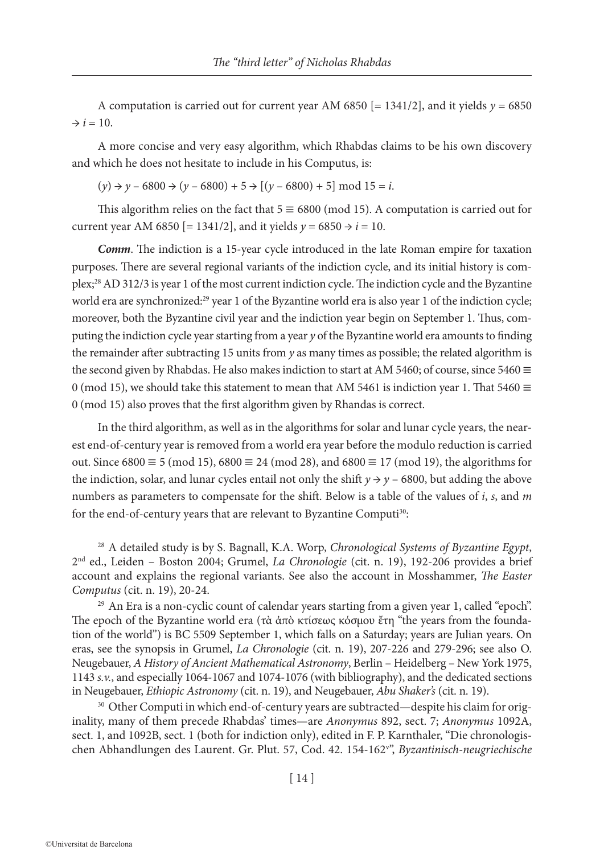A computation is carried out for current year AM 6850  $[= 1341/2]$ , and it yields  $y = 6850$  $\rightarrow i = 10$ .

A more concise and very easy algorithm, which Rhabdas claims to be his own discovery and which he does not hesitate to include in his Computus, is:

 $(y) \rightarrow y - 6800 \rightarrow (y - 6800) + 5 \rightarrow [(y - 6800) + 5] \text{ mod } 15 = i.$ 

This algorithm relies on the fact that  $5 \equiv 6800 \pmod{15}$ . A computation is carried out for current year AM 6850 [= 1341/2], and it yields  $y = 6850 \rightarrow i = 10$ .

*Comm*. The indiction is a 15-year cycle introduced in the late Roman empire for taxation purposes. There are several regional variants of the indiction cycle, and its initial history is complex;28 AD 312/3 is year 1 of the most current indiction cycle. The indiction cycle and the Byzantine world era are synchronized:<sup>29</sup> year 1 of the Byzantine world era is also year 1 of the indiction cycle; moreover, both the Byzantine civil year and the indiction year begin on September 1. Thus, computing the indiction cycle year starting from a year *y* of the Byzantine world era amounts to finding the remainder after subtracting 15 units from *y* as many times as possible; the related algorithm is the second given by Rhabdas. He also makes indiction to start at AM 5460; of course, since 5460  $\equiv$ 0 (mod 15), we should take this statement to mean that AM 5461 is indiction year 1. That 5460  $\equiv$ 0 (mod 15) also proves that the first algorithm given by Rhandas is correct.

In the third algorithm, as well as in the algorithms for solar and lunar cycle years, the nearest end-of-century year is removed from a world era year before the modulo reduction is carried out. Since 6800  $\equiv$  5 (mod 15), 6800  $\equiv$  24 (mod 28), and 6800  $\equiv$  17 (mod 19), the algorithms for the indiction, solar, and lunar cycles entail not only the shift  $y \rightarrow y - 6800$ , but adding the above numbers as parameters to compensate for the shift. Below is a table of the values of *i*, *s*, and *m* for the end-of-century years that are relevant to Byzantine Computi<sup>30</sup>:

<sup>28</sup> A detailed study is by S. Bagnall, K.A. Worp, *Chronological Systems of Byzantine Egypt*, 2nd ed., Leiden – Boston 2004; Grumel, *La Chronologie* (cit. n. 19), 192-206 provides a brief account and explains the regional variants. See also the account in Mosshammer, *The Easter Computus* (cit. n. 19), 20-24.

<sup>29</sup> An Era is a non-cyclic count of calendar years starting from a given year 1, called "epoch". The epoch of the Byzantine world era (τὰ ἀπὸ κτίσεως κόσμου ἔτη "the years from the foundation of the world") is BC 5509 September 1, which falls on a Saturday; years are Julian years. On eras, see the synopsis in Grumel, *La Chronologie* (cit. n. 19), 207-226 and 279-296; see also O. Neugebauer, *A History of Ancient Mathematical Astronomy*, Berlin – Heidelberg – New York 1975, 1143 *s.v.*, and especially 1064-1067 and 1074-1076 (with bibliography), and the dedicated sections in Neugebauer, *Ethiopic Astronomy* (cit. n. 19), and Neugebauer, *Abu Shaker's* (cit. n. 19).

<sup>30</sup> Other Computi in which end-of-century years are subtracted—despite his claim for originality, many of them precede Rhabdas' times—are *Anonymus* 892, sect. 7; *Anonymus* 1092A, sect. 1, and 1092B, sect. 1 (both for indiction only), edited in F. P. Karnthaler, "Die chronologischen Abhandlungen des Laurent. Gr. Plut. 57, Cod. 42. 154-162v ", *Byzantinisch-neugriechische*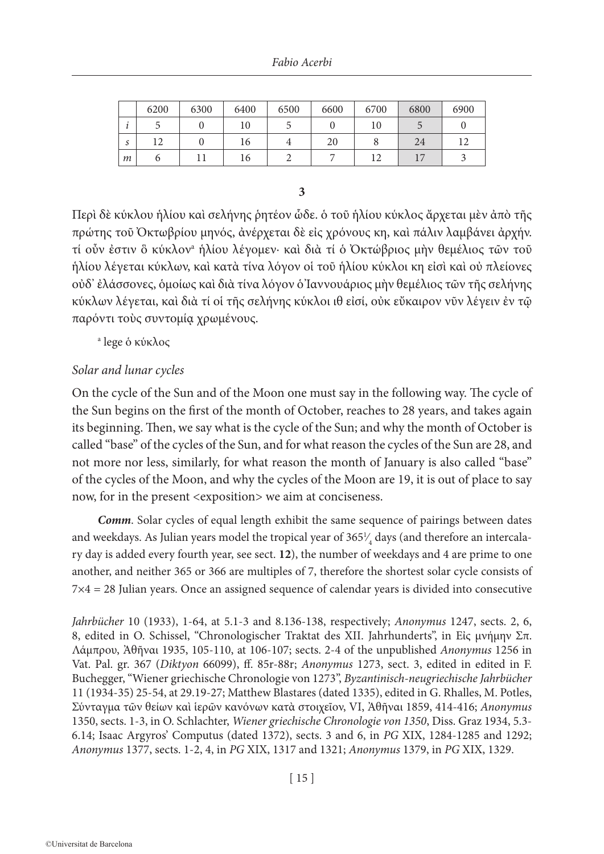|    | 6200 | 6300 | 6400 | 6500 | 6600 | 6700 | 6800       | 6900 |
|----|------|------|------|------|------|------|------------|------|
| ٠. |      |      | 10   |      |      |      |            |      |
| S  |      |      | 16   |      | 20   |      | 24         |      |
| m  |      |      | 16   |      |      |      | $\sqrt{7}$ |      |

**3**

Περὶ δὲ κύκλου ἡλίου καὶ σελήνης ῥητέον ὧδε. ὁ τοῦ ἡλίου κύκλος ἄρχεται μὲν ἀπὸ τῆς πρώτης τοῦ Ὀκτωβρίου μηνός, ἀνέρχεται δὲ εἰς χρόνους κη, καὶ πάλιν λαμβάνει ἀρχήν. τί οὖν ἐστιν ὃ κύκλονa ἡλίου λέγομεν· καὶ διὰ τί ὁ Ὀκτώβριος μὴν θεμέλιος τῶν τοῦ ἡλίου λέγεται κύκλων, καὶ κατὰ τίνα λόγον οἱ τοῦ ἡλίου κύκλοι κη εἰσὶ καὶ οὐ πλείονες οὐδ' ἐλάσσονες, ὁμοίως καὶ διὰ τίνα λόγον ὁ Ἰαννουάριος μὴν θεμέλιος τῶν τῆς σελήνης κύκλων λέγεται, καὶ διὰ τί οἱ τῆς σελήνης κύκλοι ιθ εἰσί, οὐκ εὔκαιρον νῦν λέγειν ἐν τῷ παρόντι τοὺς συντομίᾳ χρωμένους.

a lege ὁ κύκλος

# *Solar and lunar cycles*

On the cycle of the Sun and of the Moon one must say in the following way. The cycle of the Sun begins on the first of the month of October, reaches to 28 years, and takes again its beginning. Then, we say what is the cycle of the Sun; and why the month of October is called "base" of the cycles of the Sun, and for what reason the cycles of the Sun are 28, and not more nor less, similarly, for what reason the month of January is also called "base" of the cycles of the Moon, and why the cycles of the Moon are 19, it is out of place to say now, for in the present <exposition> we aim at conciseness.

*Comm*. Solar cycles of equal length exhibit the same sequence of pairings between dates and weekdays. As Julian years model the tropical year of 365 $\frac{1}{4}$  days (and therefore an intercala-∕ ry day is added every fourth year, see sect. **12**), the number of weekdays and 4 are prime to one another, and neither 365 or 366 are multiples of 7, therefore the shortest solar cycle consists of 7×4 = 28 Julian years. Once an assigned sequence of calendar years is divided into consecutive

*Jahrbücher* 10 (1933), 1-64, at 5.1-3 and 8.136-138, respectively; *Anonymus* 1247, sects. 2, 6, 8, edited in O. Schissel, "Chronologischer Traktat des XII. Jahrhunderts", in Εἰς μνήμην Σπ. Λάμπρου, Ἀθῆναι 1935, 105-110, at 106-107; sects. 2-4 of the unpublished *Anonymus* 1256 in Vat. Pal. gr. 367 (*Diktyon* 66099), ff. 85r-88r; *Anonymus* 1273, sect. 3, edited in edited in F. Buchegger, "Wiener griechische Chronologie von 1273", *Byzantinisch-neugriechische Jahrbücher* 11 (1934-35) 25-54, at 29.19-27; Matthew Blastares (dated 1335), edited in G. Rhalles, M. Potles, Σύνταγμα τῶν θείων καὶ ἱερῶν κανόνων κατὰ στοιχεῖον, VI, Ἀθῆναι 1859, 414-416; *Anonymus* 1350, sects. 1-3, in O. Schlachter, *Wiener griechische Chronologie von 1350*, Diss. Graz 1934, 5.3- 6.14; Isaac Argyros' Computus (dated 1372), sects. 3 and 6, in *PG* XIX, 1284-1285 and 1292; *Anonymus* 1377, sects. 1-2, 4, in *PG* XIX, 1317 and 1321; *Anonymus* 1379, in *PG* XIX, 1329.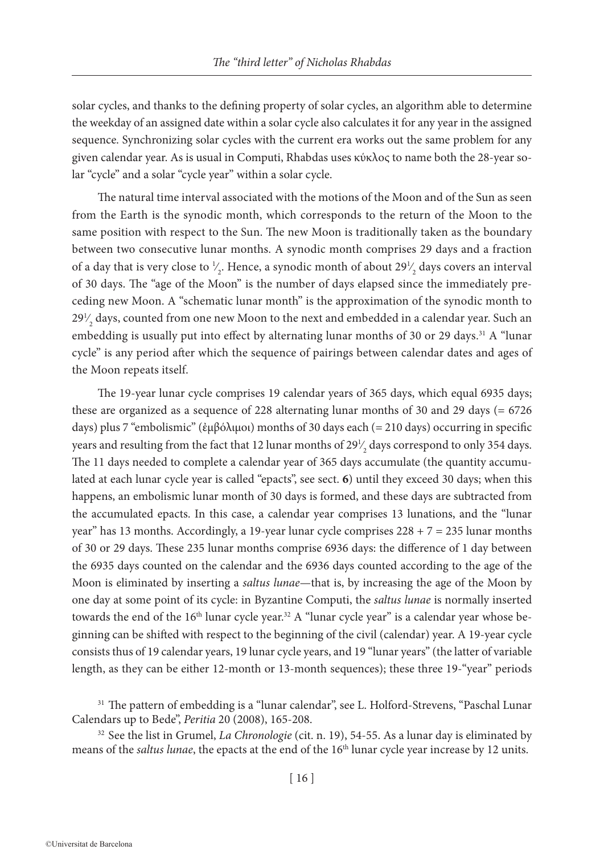solar cycles, and thanks to the defining property of solar cycles, an algorithm able to determine the weekday of an assigned date within a solar cycle also calculates it for any year in the assigned sequence. Synchronizing solar cycles with the current era works out the same problem for any given calendar year. As is usual in Computi, Rhabdas uses κύκλος to name both the 28-year solar "cycle" and a solar "cycle year" within a solar cycle.

The natural time interval associated with the motions of the Moon and of the Sun as seen from the Earth is the synodic month, which corresponds to the return of the Moon to the same position with respect to the Sun. The new Moon is traditionally taken as the boundary between two consecutive lunar months. A synodic month comprises 29 days and a fraction of a day that is very close to  $\frac{1}{2}$ . Hence, a synodic month of about 29 $\frac{1}{2}$  days covers an interval ∕ ∕ of 30 days. The "age of the Moon" is the number of days elapsed since the immediately preceding new Moon. A "schematic lunar month" is the approximation of the synodic month to  $29\frac{1}{2}$  days, counted from one new Moon to the next and embedded in a calendar year. Such an ∕ embedding is usually put into effect by alternating lunar months of 30 or 29 days.<sup>31</sup> A "lunar cycle" is any period after which the sequence of pairings between calendar dates and ages of the Moon repeats itself.

The 19-year lunar cycle comprises 19 calendar years of 365 days, which equal 6935 days; these are organized as a sequence of 228 alternating lunar months of 30 and 29 days (= 6726 days) plus 7 "embolismic" (ἐμβόλιμοι) months of 30 days each (= 210 days) occurring in specific years and resulting from the fact that 12 lunar months of  $29\frac{1}{2}$  days correspond to only 354 days. ∕ The 11 days needed to complete a calendar year of 365 days accumulate (the quantity accumulated at each lunar cycle year is called "epacts", see sect. **6**) until they exceed 30 days; when this happens, an embolismic lunar month of 30 days is formed, and these days are subtracted from the accumulated epacts. In this case, a calendar year comprises 13 lunations, and the "lunar year" has 13 months. Accordingly, a 19-year lunar cycle comprises  $228 + 7 = 235$  lunar months of 30 or 29 days. These 235 lunar months comprise 6936 days: the difference of 1 day between the 6935 days counted on the calendar and the 6936 days counted according to the age of the Moon is eliminated by inserting a *saltus lunae*—that is, by increasing the age of the Moon by one day at some point of its cycle: in Byzantine Computi, the *saltus lunae* is normally inserted towards the end of the 16<sup>th</sup> lunar cycle year.<sup>32</sup> A "lunar cycle year" is a calendar year whose beginning can be shifted with respect to the beginning of the civil (calendar) year. A 19-year cycle consists thus of 19 calendar years, 19 lunar cycle years, and 19 "lunar years" (the latter of variable length, as they can be either 12-month or 13-month sequences); these three 19-"year" periods

<sup>31</sup> The pattern of embedding is a "lunar calendar", see L. Holford-Strevens, "Paschal Lunar Calendars up to Bede", *Peritia* 20 (2008), 165-208.

<sup>32</sup> See the list in Grumel, *La Chronologie* (cit. n. 19), 54-55. As a lunar day is eliminated by means of the *saltus lunae*, the epacts at the end of the 16<sup>th</sup> lunar cycle year increase by 12 units.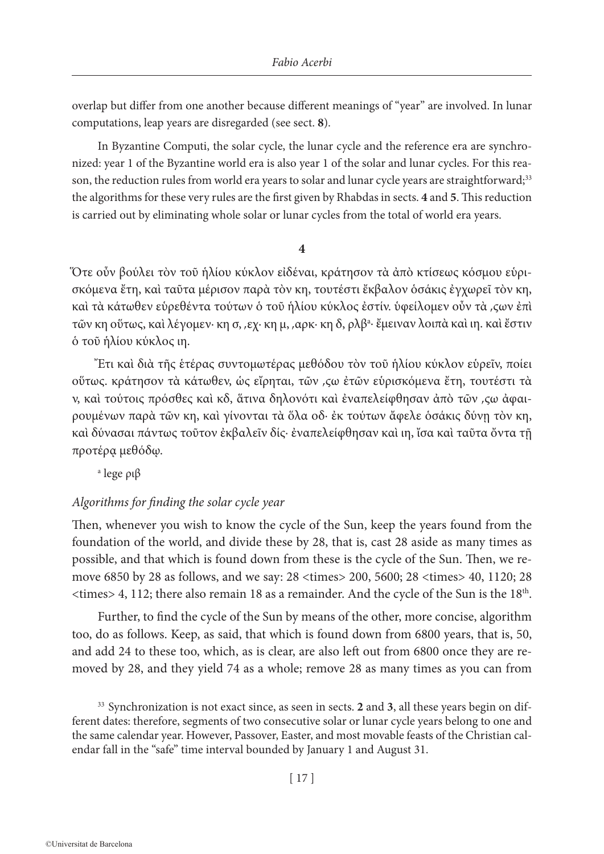overlap but differ from one another because different meanings of "year" are involved. In lunar computations, leap years are disregarded (see sect. **8**).

In Byzantine Computi, the solar cycle, the lunar cycle and the reference era are synchronized: year 1 of the Byzantine world era is also year 1 of the solar and lunar cycles. For this reason, the reduction rules from world era years to solar and lunar cycle years are straightforward;<sup>33</sup> the algorithms for these very rules are the first given by Rhabdas in sects. **4** and **5**. This reduction is carried out by eliminating whole solar or lunar cycles from the total of world era years.

#### **4**

Ὅτε οὖν βούλει τὸν τοῦ ἡλίου κύκλον εἰδέναι, κράτησον τὰ ἀπὸ κτίσεως κόσμου εὑρισκόμενα ἔτη, καὶ ταῦτα μέρισον παρὰ τὸν κη, τουτέστι ἔκβαλον ὁσάκις ἐγχωρεῖ τὸν κη, καὶ τὰ κάτωθεν εὑρεθέντα τούτων ὁ τοῦ ἡλίου κύκλος ἐστίν. ὑφείλομεν οὖν τὰ ͵ϛων ἐπὶ τῶν κη οὕτως, καὶ λέγομεν· κη σ, ͵εχ· κη μ, ͵αρκ· κη δ, ρλβa · ἔμειναν λοιπὰ καὶ ιη. καὶ ἔστιν ὁ τοῦ ἡλίου κύκλος ιη.

Ἔτι καὶ διὰ τῆς ἑτέρας συντομωτέρας μεθόδου τὸν τοῦ ἡλίου κύκλον εὑρεῖν, ποίει οὕτως. κράτησον τὰ κάτωθεν, ὡς εἴρηται, τῶν ͵ϛω ἐτῶν εὑρισκόμενα ἔτη, τουτέστι τὰ ν, καὶ τούτοις πρόσθες καὶ κδ, ἅτινα δηλονότι καὶ ἐναπελείφθησαν ἀπὸ τῶν ͵ϛω ἀφαιρουμένων παρὰ τῶν κη, καὶ γίνονται τὰ ὅλα οδ· ἐκ τούτων ἄφελε ὁσάκις δύνῃ τὸν κη, καὶ δύνασαι πάντως τοῦτον ἐκβαλεῖν δίς· ἐναπελείφθησαν καὶ ιη, ἴσα καὶ ταῦτα ὄντα τῇ προτέρᾳ μεθόδῳ.

a lege ριβ

# *Algorithms for finding the solar cycle year*

Then, whenever you wish to know the cycle of the Sun, keep the years found from the foundation of the world, and divide these by 28, that is, cast 28 aside as many times as possible, and that which is found down from these is the cycle of the Sun. Then, we remove 6850 by 28 as follows, and we say: 28 <times> 200, 5600; 28 <times> 40, 1120; 28  $\langle$  times > 4, 112; there also remain 18 as a remainder. And the cycle of the Sun is the 18<sup>th</sup>.

Further, to find the cycle of the Sun by means of the other, more concise, algorithm too, do as follows. Keep, as said, that which is found down from 6800 years, that is, 50, and add 24 to these too, which, as is clear, are also left out from 6800 once they are removed by 28, and they yield 74 as a whole; remove 28 as many times as you can from

<sup>33</sup> Synchronization is not exact since, as seen in sects. **2** and **3**, all these years begin on different dates: therefore, segments of two consecutive solar or lunar cycle years belong to one and the same calendar year. However, Passover, Easter, and most movable feasts of the Christian calendar fall in the "safe" time interval bounded by January 1 and August 31.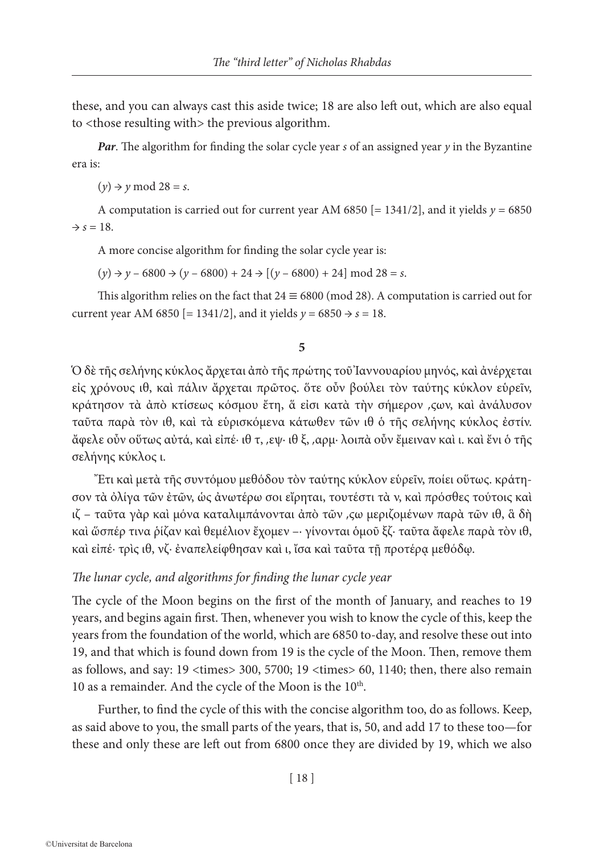these, and you can always cast this aside twice; 18 are also left out, which are also equal to <those resulting with> the previous algorithm.

*Par*. The algorithm for finding the solar cycle year *s* of an assigned year *y* in the Byzantine era is:

 $(y) \rightarrow y \mod 28 = s$ .

A computation is carried out for current year AM 6850  $[= 1341/2]$ , and it yields  $y = 6850$  $\Rightarrow$  *s* = 18.

A more concise algorithm for finding the solar cycle year is:

 $(y) \rightarrow y - 6800 \rightarrow (y - 6800) + 24 \rightarrow [(y - 6800) + 24] \text{ mod } 28 = s.$ 

This algorithm relies on the fact that  $24 \equiv 6800 \pmod{28}$ . A computation is carried out for current year AM 6850 [= 1341/2], and it yields  $y = 6850 \rightarrow s = 18$ .

#### **5**

Ὁ δὲ τῆς σελήνης κύκλος ἄρχεται ἀπὸ τῆς πρώτης τοῦ Ἰαννουαρίου μηνός, καὶ ἀνέρχεται εἰς χρόνους ιθ, καὶ πάλιν ἄρχεται πρῶτος. ὅτε οὖν βούλει τὸν ταύτης κύκλον εὑρεῖν, κράτησον τὰ ἀπὸ κτίσεως κόσμου ἔτη, ἅ εἰσι κατὰ τὴν σήμερον ͵ϛων, καὶ ἀνάλυσον ταῦτα παρὰ τὸν ιθ, καὶ τὰ εὑρισκόμενα κάτωθεν τῶν ιθ ὁ τῆς σελήνης κύκλος ἐστίν. ἄφελε οὖν οὕτως αὐτά, καὶ εἰπέ· ιθ τ, ͵εψ· ιθ ξ, ͵αρμ· λοιπὰ οὖν ἔμειναν καὶ ι. καὶ ἔνι ὁ τῆς σελήνης κύκλος ι.

Ἔτι καὶ μετὰ τῆς συντόμου μεθόδου τὸν ταύτης κύκλον εὑρεῖν, ποίει οὕτως. κράτησον τὰ ὀλίγα τῶν ἐτῶν, ὡς ἀνωτέρω σοι εἴρηται, τουτέστι τὰ ν, καὶ πρόσθες τούτοις καὶ ιζ – ταῦτα γὰρ καὶ μόνα καταλιμπάνονται ἀπὸ τῶν ͵ϛω μεριζομένων παρὰ τῶν ιθ, ἃ δὴ καὶ ὥσπέρ τινα ῥίζαν καὶ θεμέλιον ἔχομεν –· γίνονται ὁμοῦ ξζ· ταῦτα ἄφελε παρὰ τὸν ιθ, καὶ εἰπέ· τρὶς ιθ, νζ· ἐναπελείφθησαν καὶ ι, ἴσα καὶ ταῦτα τῇ προτέρᾳ μεθόδῳ.

#### *The lunar cycle, and algorithms for finding the lunar cycle year*

The cycle of the Moon begins on the first of the month of January, and reaches to 19 years, and begins again first. Then, whenever you wish to know the cycle of this, keep the years from the foundation of the world, which are 6850 to-day, and resolve these out into 19, and that which is found down from 19 is the cycle of the Moon. Then, remove them as follows, and say: 19 <times> 300, 5700; 19 <times> 60, 1140; then, there also remain 10 as a remainder. And the cycle of the Moon is the 10<sup>th</sup>.

Further, to find the cycle of this with the concise algorithm too, do as follows. Keep, as said above to you, the small parts of the years, that is, 50, and add 17 to these too—for these and only these are left out from 6800 once they are divided by 19, which we also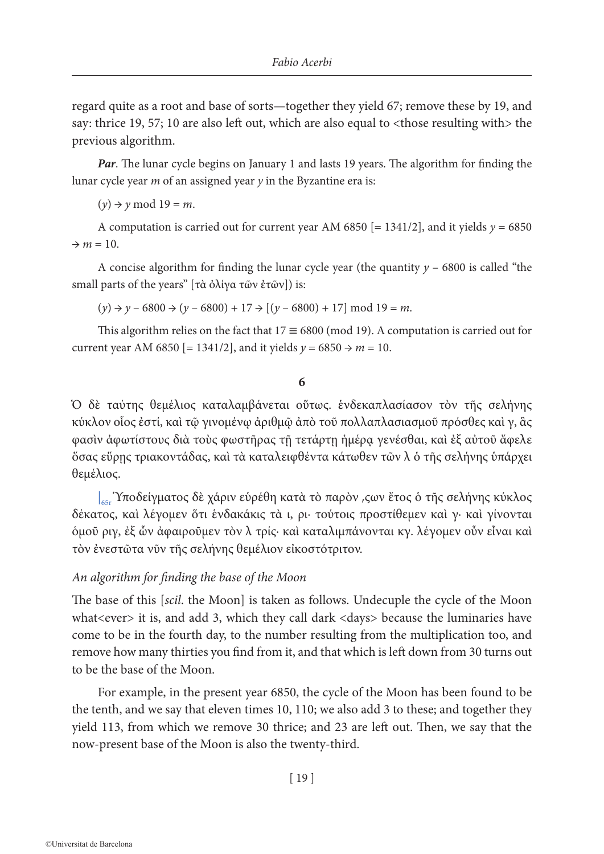regard quite as a root and base of sorts—together they yield 67; remove these by 19, and say: thrice 19, 57; 10 are also left out, which are also equal to <those resulting with> the previous algorithm.

*Par*. The lunar cycle begins on January 1 and lasts 19 years. The algorithm for finding the lunar cycle year *m* of an assigned year *y* in the Byzantine era is:

 $(y) \rightarrow y \mod 19 = m$ .

A computation is carried out for current year AM 6850  $[= 1341/2]$ , and it yields  $y = 6850$  $\rightarrow$  *m* = 10.

A concise algorithm for finding the lunar cycle year (the quantity *y* – 6800 is called "the small parts of the years" [τὰ ὀλίγα τῶν ἐτῶν]) is:

 $(y) \rightarrow y - 6800 \rightarrow (y - 6800) + 17 \rightarrow [(y - 6800) + 17] \text{ mod } 19 = m.$ 

This algorithm relies on the fact that  $17 \equiv 6800 \pmod{19}$ . A computation is carried out for current year AM 6850 [= 1341/2], and it yields  $y = 6850 \rightarrow m = 10$ .

**6**

Ὁ δὲ ταύτης θεμέλιος καταλαμβάνεται οὕτως. ἑνδεκαπλασίασον τὸν τῆς σελήνης κύκλον οἷος ἐστί, καὶ τῷ γινομένῳ ἀριθμῷ ἀπὸ τοῦ πολλαπλασιασμοῦ πρόσθες καὶ γ, ἃς φασὶν ἀφωτίστους διὰ τοὺς φωστῆρας τῇ τετάρτῃ ἡμέρᾳ γενέσθαι, καὶ ἐξ αὐτοῦ ἄφελε ὅσας εὕρῃς τριακοντάδας, καὶ τὰ καταλειφθέντα κάτωθεν τῶν λ ὁ τῆς σελήνης ὑπάρχει θεμέλιος.

| 65r Ὑποδείγματος δὲ χάριν εὑρέθη κατὰ τὸ παρὸν ͵ϛων ἔτος ὁ τῆς σελήνης κύκλος δέκατος, καὶ λέγομεν ὅτι ἑνδακάκις τὰ ι, ρι· τούτοις προστίθεμεν καὶ γ· καὶ γίνονται ὁμοῦ ριγ, ἐξ ὧν ἀφαιροῦμεν τὸν λ τρίς· καὶ καταλιμπάνονται κγ. λέγομεν οὖν εἶναι καὶ τὸν ἐνεστῶτα νῦν τῆς σελήνης θεμέλιον εἰκοστότριτον.

## *An algorithm for finding the base of the Moon*

The base of this [*scil*. the Moon] is taken as follows. Undecuple the cycle of the Moon what<ever> it is, and add 3, which they call dark <days> because the luminaries have come to be in the fourth day, to the number resulting from the multiplication too, and remove how many thirties you find from it, and that which is left down from 30 turns out to be the base of the Moon.

For example, in the present year 6850, the cycle of the Moon has been found to be the tenth, and we say that eleven times 10, 110; we also add 3 to these; and together they yield 113, from which we remove 30 thrice; and 23 are left out. Then, we say that the now-present base of the Moon is also the twenty-third.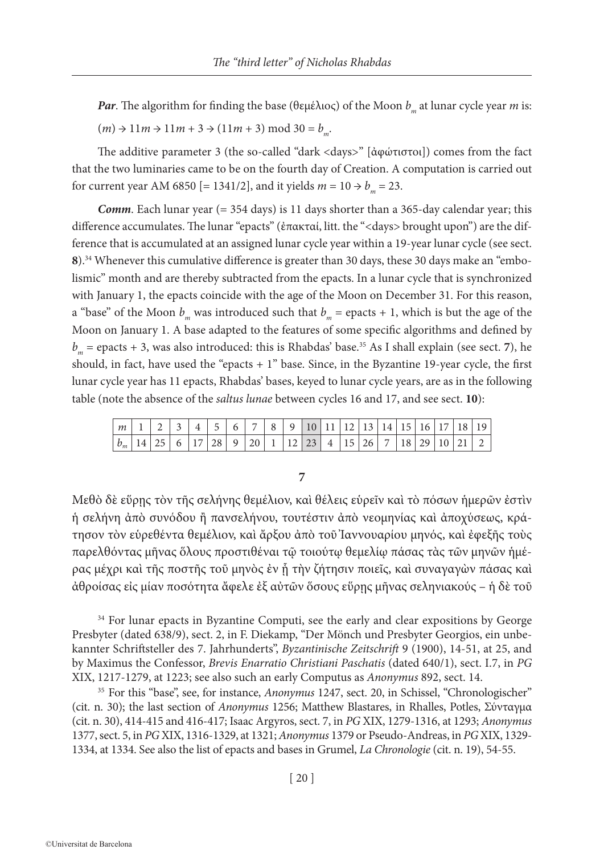*Par*. The algorithm for finding the base (θεμέλιος) of the Moon *b<sub>m</sub>* at lunar cycle year *m* is:  $(m) \rightarrow 11m \rightarrow 11m + 3 \rightarrow (11m + 3) \text{ mod } 30 = b_m$ .

The additive parameter 3 (the so-called "dark <days>" [ἀφώτιστοι]) comes from the fact that the two luminaries came to be on the fourth day of Creation. A computation is carried out for current year AM 6850 [= 1341/2], and it yields  $m = 10 \rightarrow b_m = 23$ .

*Comm.* Each lunar year (= 354 days) is 11 days shorter than a 365-day calendar year; this difference accumulates. The lunar "epacts" (ἐπακταί, litt. the "<days> brought upon") are the difference that is accumulated at an assigned lunar cycle year within a 19-year lunar cycle (see sect. **8**).34 Whenever this cumulative difference is greater than 30 days, these 30 days make an "embolismic" month and are thereby subtracted from the epacts. In a lunar cycle that is synchronized with January 1, the epacts coincide with the age of the Moon on December 31. For this reason, a "base" of the Moon  $b_m$  was introduced such that  $b_m$  = epacts + 1, which is but the age of the Moon on January 1. A base adapted to the features of some specific algorithms and defined by  $b_m$  = epacts + 3, was also introduced: this is Rhabdas' base.<sup>35</sup> As I shall explain (see sect. 7), he should, in fact, have used the "epacts + 1" base. Since, in the Byzantine 19-year cycle, the first lunar cycle year has 11 epacts, Rhabdas' bases, keyed to lunar cycle years, are as in the following table (note the absence of the *saltus lunae* between cycles 16 and 17, and see sect. **10**):

| m     |    | $\sim$ 1    | $\mathbf{\Lambda}$ | $\overline{a}$ | $-61$ | $\vert 7 \vert$  | $8 \mid 9$ |      |    |              |                 | $\sqrt{10}$   11   12   13   14   15   . |      |         | 16 17 | 18 19 |
|-------|----|-------------|--------------------|----------------|-------|------------------|------------|------|----|--------------|-----------------|------------------------------------------|------|---------|-------|-------|
| $b_m$ | つに | $6^{\circ}$ |                    | $28 \mid 9$    |       | $20 \mid 1 \mid$ |            | 12 l | 23 | $\mathbf{A}$ | 15 <sup>1</sup> | $\vert$ 26 $\vert$ 7                     | 18 I | ∵7 GI 1 |       |       |

#### **7**

Μεθὸ δὲ εὕρῃς τὸν τῆς σελήνης θεμέλιον, καὶ θέλεις εὑρεῖν καὶ τὸ πόσων ἡμερῶν ἐστὶν ἡ σελήνη ἀπὸ συνόδου ἢ πανσελήνου, τουτέστιν ἀπὸ νεομηνίας καὶ ἀποχύσεως, κράτησον τὸν εὑρεθέντα θεμέλιον, καὶ ἄρξου ἀπὸ τοῦ Ἰαννουαρίου μηνός, καὶ ἐφεξῆς τοὺς παρελθόντας μῆνας ὅλους προστιθέναι τῷ τοιούτῳ θεμελίῳ πάσας τὰς τῶν μηνῶν ἡμέρας μέχρι καὶ τῆς ποστῆς τοῦ μηνὸς ἐν ᾗ τὴν ζήτησιν ποιεῖς, καὶ συναγαγὼν πάσας καὶ ἀθροίσας εἰς μίαν ποσότητα ἄφελε ἐξ αὐτῶν ὅσους εὕρῃς μῆνας σεληνιακούς – ἡ δὲ τοῦ

<sup>34</sup> For lunar epacts in Byzantine Computi, see the early and clear expositions by George Presbyter (dated 638/9), sect. 2, in F. Diekamp, "Der Mönch und Presbyter Georgios, ein unbekannter Schriftsteller des 7. Jahrhunderts", *Byzantinische Zeitschrift* 9 (1900), 14-51, at 25, and by Maximus the Confessor, *Brevis Enarratio Christiani Paschatis* (dated 640/1), sect. I.7, in *PG* XIX, 1217-1279, at 1223; see also such an early Computus as *Anonymus* 892, sect. 14.

<sup>35</sup> For this "base", see, for instance, *Anonymus* 1247, sect. 20, in Schissel, "Chronologischer" (cit. n. 30); the last section of *Anonymus* 1256; Matthew Blastares, in Rhalles, Potles, Σύνταγμα (cit. n. 30), 414-415 and 416-417; Isaac Argyros, sect. 7, in *PG* XIX, 1279-1316, at 1293; *Anonymus* 1377, sect. 5, in *PG* XIX, 1316-1329, at 1321; *Anonymus* 1379 or Pseudo-Andreas, in *PG* XIX, 1329- 1334, at 1334. See also the list of epacts and bases in Grumel, *La Chronologie* (cit. n. 19), 54-55.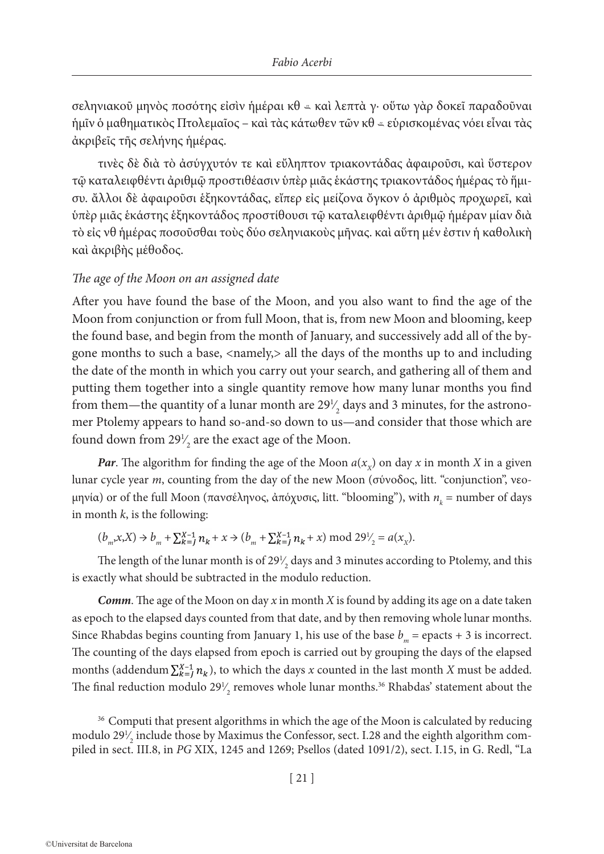σεληνιακοῦ μηνὸς ποσότης εἰσὶν ἡμέραι κθ καὶ λεπτὰ γ· οὕτω γὰρ δοκεῖ παραδοῦναι ἡμῖν ὁ μαθηματικὸς Πτολεμαῖος – καὶ τὰς κάτωθεν τῶν κθ εὑρισκομένας νόει εἶναι τὰς ἀκριβεῖς τῆς σελήνης ἡμέρας.

τινὲς δὲ διὰ τὸ ἀσύγχυτόν τε καὶ εὔληπτον τριακοντάδας ἀφαιροῦσι, καὶ ὕστερον τῷ καταλειφθέντι ἀριθμῷ προστιθέασιν ὑπὲρ μιᾶς ἑκάστης τριακοντάδος ἡμέρας τὸ ἥμισυ. ἄλλοι δὲ ἀφαιροῦσι ἑξηκοντάδας, εἴπερ εἰς μείζονα ὄγκον ὁ ἀριθμὸς προχωρεῖ, καὶ ὑπὲρ μιᾶς ἑκάστης ἑξηκοντάδος προστίθουσι τῷ καταλειφθέντι ἀριθμῷ ἡμέραν μίαν διὰ τὸ εἰς νθ ἡμέρας ποσοῦσθαι τοὺς δύο σεληνιακοὺς μῆνας. καὶ αὕτη μέν ἐστιν ἡ καθολικὴ καὶ ἀκριβὴς μέθοδος.

#### *The age of the Moon on an assigned date*

After you have found the base of the Moon, and you also want to find the age of the Moon from conjunction or from full Moon, that is, from new Moon and blooming, keep the found base, and begin from the month of January, and successively add all of the bygone months to such a base, <namely,> all the days of the months up to and including the date of the month in which you carry out your search, and gathering all of them and putting them together into a single quantity remove how many lunar months you find from them—the quantity of a lunar month are  $29\frac{1}{2}$  days and 3 minutes, for the astrono-∕ mer Ptolemy appears to hand so-and-so down to us—and consider that those which are found down from  $29\frac{1}{2}$  are the exact age of the Moon. ∕

*Par*. The algorithm for finding the age of the Moon  $a(x<sub>x</sub>)$  on day *x* in month *X* in a given lunar cycle year *m*, counting from the day of the new Moon (σύνοδος, litt. "conjunction", νεομηνία) or of the full Moon (πανσέληνος, ἀπόχυσις, litt. "blooming"), with  $n_{k}$  = number of days in month  $k$ , is the following:

 $(b_m, x, X) \rightarrow b_m + \sum_{k=1}^{X-1} n_k + x \rightarrow (b_m + \sum_{k=1}^{X-1} n_k + x) \mod 29^1/2} = a(x_X).$ ∕

The length of the lunar month is of 29 $\frac{1}{2}$  days and 3 minutes according to Ptolemy, and this ∕ is exactly what should be subtracted in the modulo reduction.

*Comm*. The age of the Moon on day *x* in month *X* is found by adding its age on a date taken as epoch to the elapsed days counted from that date, and by then removing whole lunar months. Since Rhabdas begins counting from January 1, his use of the base  $b_m$  = epacts + 3 is incorrect. The counting of the days elapsed from epoch is carried out by grouping the days of the elapsed months (addendum  $\sum_{k=1}^{X-1} n_k$ ), to which the days *x* counted in the last month *X* must be added. The final reduction modulo 29 $\frac{1}{2}$  removes whole lunar months.<sup>36</sup> Rhabdas' statement about the ∕

<sup>36</sup> Computi that present algorithms in which the age of the Moon is calculated by reducing modulo 29 $\frac{1}{2}$  include those by Maximus the Confessor, sect. I.28 and the eighth algorithm com-∕ piled in sect. III.8, in *PG* XIX, 1245 and 1269; Psellos (dated 1091/2), sect. I.15, in G. Redl, "La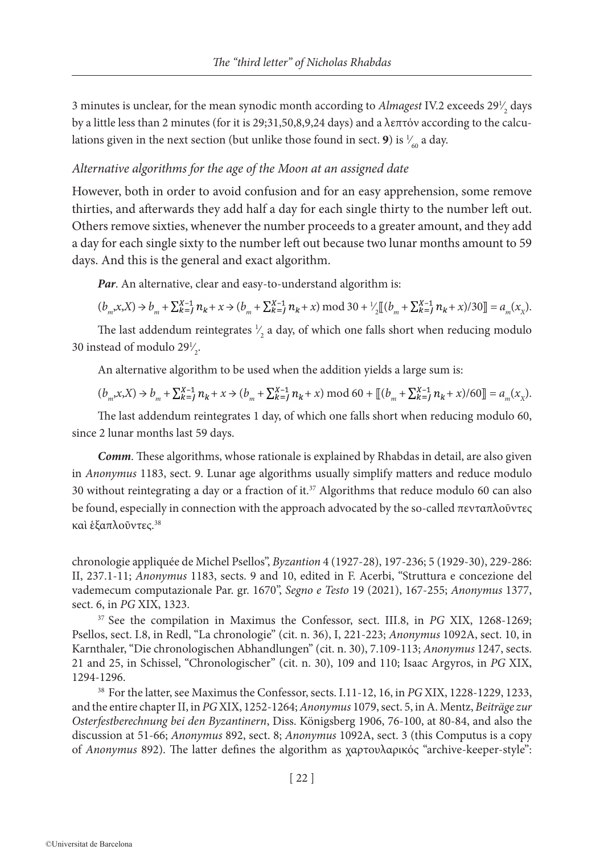3 minutes is unclear, for the mean synodic month according to  $A$ *lmagest* IV.2 exceeds  $29\frac{1}{2}$  days ∕ by a little less than 2 minutes (for it is 29;31,50,8,9,24 days) and a λεπτόν according to the calculations given in the next section (but unlike those found in sect. **9**) is  $\frac{1}{60}$  a day. ∕

#### *Alternative algorithms for the age of the Moon at an assigned date*

However, both in order to avoid confusion and for an easy apprehension, some remove thirties, and afterwards they add half a day for each single thirty to the number left out. Others remove sixties, whenever the number proceeds to a greater amount, and they add a day for each single sixty to the number left out because two lunar months amount to 59 days. And this is the general and exact algorithm.

*Par*. An alternative, clear and easy-to-understand algorithm is:

$$
(b_m x X) \to b_m + \sum_{k=1}^{X-1} n_k + x \to (b_m + \sum_{k=1}^{X-1} n_k + x) \mod 30 + \frac{1}{2} [[b_m + \sum_{k=1}^{X-1} n_k + x]/30]] = a_m(x_X).
$$

The last addendum reintegrates  $\frac{1}{2}$  a day, of which one falls short when reducing modulo ∕ 30 instead of modulo  $29\frac{1}{2}$ . ∕

An alternative algorithm to be used when the addition yields a large sum is:

$$
(b_m x X) \to b_m + \sum_{k=1}^{X-1} n_k + x \to (b_m + \sum_{k=1}^{X-1} n_k + x) \mod 60 + [[(b_m + \sum_{k=1}^{X-1} n_k + x)/60]] = a_m(x_X).
$$

The last addendum reintegrates 1 day, of which one falls short when reducing modulo 60, since 2 lunar months last 59 days.

*Comm*. These algorithms, whose rationale is explained by Rhabdas in detail, are also given in *Anonymus* 1183, sect. 9. Lunar age algorithms usually simplify matters and reduce modulo 30 without reintegrating a day or a fraction of it.37 Algorithms that reduce modulo 60 can also be found, especially in connection with the approach advocated by the so-called πενταπλοῦντες καὶ ἑξαπλοῦντες.38

chronologie appliquée de Michel Psellos", *Byzantion* 4 (1927-28), 197-236; 5 (1929-30), 229-286: II, 237.1-11; *Anonymus* 1183, sects. 9 and 10, edited in F. Acerbi, "Struttura e concezione del vademecum computazionale Par. gr. 1670", *Segno e Testo* 19 (2021), 167-255; *Anonymus* 1377, sect. 6, in *PG* XIX, 1323.

<sup>37</sup> See the compilation in Maximus the Confessor, sect. III.8, in *PG* XIX, 1268-1269; Psellos, sect. I.8, in Redl, "La chronologie" (cit. n. 36), I, 221-223; *Anonymus* 1092A, sect. 10, in Karnthaler, "Die chronologischen Abhandlungen" (cit. n. 30), 7.109-113; *Anonymus* 1247, sects. 21 and 25, in Schissel, "Chronologischer" (cit. n. 30), 109 and 110; Isaac Argyros, in *PG* XIX, 1294-1296.

<sup>38</sup> For the latter, see Maximus the Confessor, sects. I.11-12, 16, in *PG* XIX, 1228-1229, 1233, and the entire chapter II, in *PG* XIX, 1252-1264; *Anonymus* 1079, sect. 5, in A. Mentz, *Beiträge zur Osterfestberechnung bei den Byzantinern*, Diss. Königsberg 1906, 76-100, at 80-84, and also the discussion at 51-66; *Anonymus* 892, sect. 8; *Anonymus* 1092A, sect. 3 (this Computus is a copy of *Anonymus* 892). The latter defines the algorithm as χαρτουλαρικός "archive-keeper-style":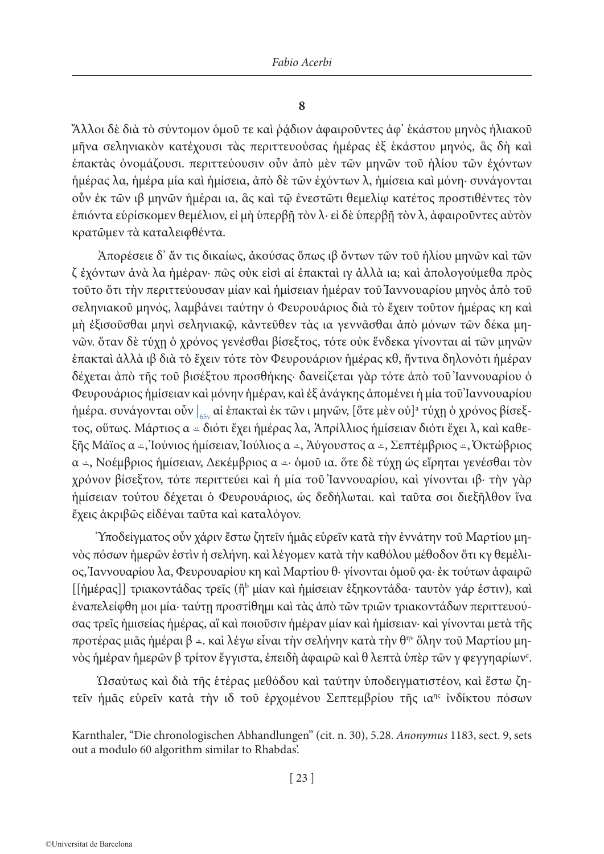# **8**

Ἄλλοι δὲ διὰ τὸ σύντομον ὁμοῦ τε καὶ ῥᾴδιον ἀφαιροῦντες ἀφ' ἑκάστου μηνὸς ἡλιακοῦ μῆνα σεληνιακὸν κατέχουσι τὰς περιττευούσας ἡμέρας ἐξ ἑκάστου μηνός, ἃς δὴ καὶ ἐπακτὰς ὀνομάζουσι. περιττεύουσιν οὖν ἀπὸ μὲν τῶν μηνῶν τοῦ ἡλίου τῶν ἐχόντων ἡμέρας λα, ἡμέρα μία καὶ ἡμίσεια, ἀπὸ δὲ τῶν ἐχόντων λ, ἡμίσεια καὶ μόνη· συνάγονται οὖν ἐκ τῶν ιβ μηνῶν ἡμέραι ια, ἃς καὶ τῷ ἐνεστῶτι θεμελίῳ κατέτος προστιθέντες τὸν ἐπιόντα εὑρίσκομεν θεμέλιον, εἰ μὴ ὑπερβῇ τὸν λ· εἰ δὲ ὑπερβῇ τὸν λ, ἀφαιροῦντες αὐτὸν κρατῶμεν τὰ καταλειφθέντα.

Ἀπορέσειε δ' ἄν τις δικαίως, ἀκούσας ὅπως ιβ ὄντων τῶν τοῦ ἡλίου μηνῶν καὶ τῶν ζ ἐχόντων ἀνὰ λα ἡμέραν· πῶς οὐκ εἰσὶ αἱ ἐπακταὶ ιγ ἀλλὰ ια; καὶ ἀπολογούμεθα πρὸς τοῦτο ὅτι τὴν περιττεύουσαν μίαν καὶ ἡμίσειαν ἡμέραν τοῦ Ἰαννουαρίου μηνὸς ἀπὸ τοῦ σεληνιακοῦ μηνός, λαμβάνει ταύτην ὁ Φευρουάριος διὰ τὸ ἔχειν τοῦτον ἡμέρας κη καὶ μὴ ἐξισοῦσθαι μηνὶ σεληνιακῷ, κἀντεῦθεν τὰς ια γεννᾶσθαι ἀπὸ μόνων τῶν δέκα μηνῶν. ὅταν δὲ τύχῃ ὁ χρόνος γενέσθαι βίσεξτος, τότε οὐκ ἕνδεκα γίνονται αἱ τῶν μηνῶν ἐπακταὶ ἀλλὰ ιβ διὰ τὸ ἔχειν τότε τὸν Φευρουάριον ἡμέρας κθ, ἥντινα δηλονότι ἡμέραν δέχεται ἀπὸ τῆς τοῦ βισέξτου προσθήκης· δανείζεται γὰρ τότε ἀπὸ τοῦ Ἰαννουαρίου ὁ Φευρουάριος ἡμίσειαν καὶ μόνην ἡμέραν, καὶ ἐξ ἀνάγκης ἀπομένει ἡ μία τοῦ Ἰαννουαρίου ήμέρα. συνάγονται οὖν |<sub>65v</sub> αἱ ἐπακταὶ ἐκ τῶν ι μηνῶν, [ὅτε μὲν οὐ]ª τύχῃ ὁ χρόνος βίσεξτος, οὕτως. Μάρτιος α διότι ἔχει ἡμέρας λα, Ἀπρίλλιος ἡμίσειαν διότι ἔχει λ, καὶ καθεξῆς Μάϊος α *≖,* Ἰούνιος ἡμίσειαν, Ἰούλιος α *≖*, Ἀύγουστος α *≖*, Σεπτέμβριος *≖*, Ὀκτώβριος α -, Νοέμβριος ήμίσειαν, Δεκέμβριος α - όμοῦ ια. ὅτε δὲ τύχη ὡς εἴρηται γενέσθαι τὸν χρόνον βίσεξτον, τότε περιττεύει καὶ ἡ μία τοῦ Ἰαννουαρίου, καὶ γίνονται ιβ· τὴν γὰρ ἡμίσειαν τούτου δέχεται ὁ Φευρουάριος, ὡς δεδήλωται. καὶ ταῦτα σοι διεξῆλθον ἵνα ἔχεις ἀκριβῶς εἰδέναι ταῦτα καὶ καταλόγον.

Ὑποδείγματος οὖν χάριν ἔστω ζητεῖν ἡμᾶς εὑρεῖν κατὰ τὴν ἐννάτην τοῦ Μαρτίου μηνὸς πόσων ἡμερῶν ἐστὶν ἡ σελήνη. καὶ λέγομεν κατὰ τὴν καθόλου μέθοδον ὅτι κγ θεμέλιος, Ἰαννουαρίου λα, Φευρουαρίου κη καὶ Μαρτίου θ· γίνονται ὁμοῦ ϙα· ἐκ τούτων ἀφαιρῶ [[ἡμέρας]] τριακοντάδας τρεῖς (ἢ<sup>b</sup> μίαν καὶ ἡμίσειαν ἑξηκοντάδα· ταυτὸν γάρ ἐστιν), καὶ ἐναπελείφθη μοι μία· ταύτῃ προστίθημι καὶ τὰς ἀπὸ τῶν τριῶν τριακοντάδων περιττευούσας τρεῖς ἡμισείας ἡμέρας, αἳ καὶ ποιοῦσιν ἡμέραν μίαν καὶ ἡμίσειαν· καὶ γίνονται μετὰ τῆς προτέρας μιᾶς ἡμέραι β =. καὶ λέγω εἶναι τὴν σελήνην κατὰ τὴν θ<sup>ην</sup> ὅλην τοῦ Μαρτίου μηνὸς ἡμέραν ἡμερῶν β τρίτον ἔγγιστα, ἐπειδὴ ἀφαιρῶ καὶ θ λεπτὰ ὑπὲρ τῶν γ φεγγηαρίων<sup>ς</sup>.

Ὡσαύτως καὶ διὰ τῆς ἑτέρας μεθόδου καὶ ταύτην ὑποδειγματιστέον, καὶ ἔστω ζητεῖν ἡμᾶς εὑρεῖν κατὰ τὴν ιδ τοῦ ἐρχομένου Σεπτεμβρίου τῆς ιαης ἰνδίκτου πόσων

Karnthaler, "Die chronologischen Abhandlungen" (cit. n. 30), 5.28. *Anonymus* 1183, sect. 9, sets out a modulo 60 algorithm similar to Rhabdas'.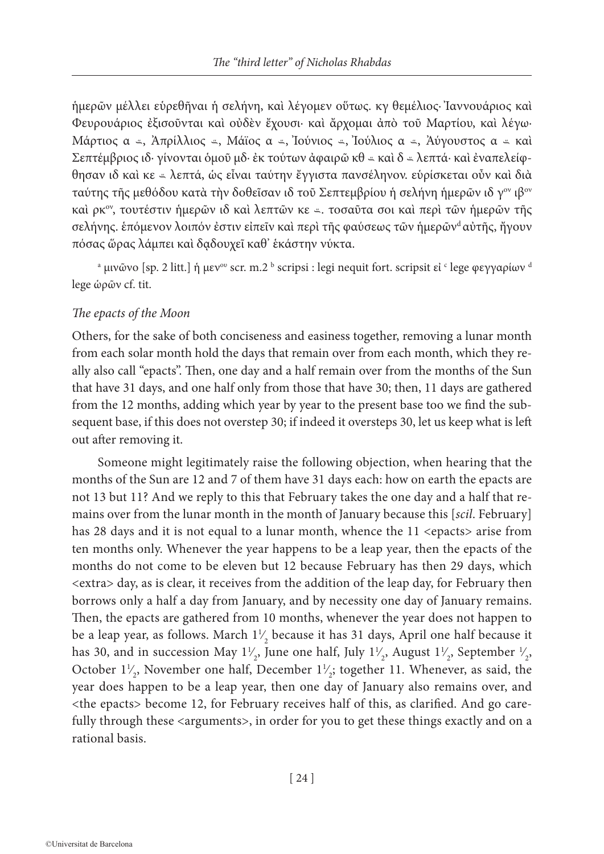ἡμερῶν μέλλει εὑρεθῆναι ἡ σελήνη, καὶ λέγομεν οὕτως. κγ θεμέλιος· Ἰαννουάριος καὶ Φευρουάριος ἐξισοῦνται καὶ οὐδὲν ἔχουσι· καὶ ἄρχομαι ἀπὸ τοῦ Μαρτίου, καὶ λέγω· Μάρτιος α -, Ἀπρίλλιος -, Μάϊος α -, Ἰούνιος -, Ἰούλιος α -, Ἀύγουστος α - καὶ Σεπτέμβριος ιδ· γίνονται όμοῦ μδ· ἐκ τούτων ἀφαιρῶ κθ *ε* καὶ δ *ε* λεπτά· καὶ ἐναπελείφθησαν ιδ καὶ κε λεπτά, ὡς εἶναι ταύτην ἔγγιστα πανσέληνον. εὑρίσκεται οὖν καὶ διὰ ταύτης τῆς μεθόδου κατὰ τὴν δοθεῖσαν ιδ τοῦ Σεπτεμβρίου ἡ σελήνη ἡμερῶν ιδ γ<sup>ον</sup> ιβ<sup>ον</sup> καί ρκ<sup>ον</sup>, τουτέστιν ήμερῶν ιδ καί λεπτῶν κε - τοσαῦτα σοι καί περὶ τῶν ήμερῶν τῆς σελήνης. επόμενον λοιπόν έστιν είπεῖν καὶ περὶ τῆς φαύσεως τῶν ἡμερῶν<sup>d</sup> αὐτῆς, ἤγουν πόσας ὥρας λάμπει καὶ δᾳδουχεῖ καθ' ἑκάστην νύκτα.

a μινῶνο [sp. 2 litt.] ἡ μεν<sup>ου</sup> scr. m.2 ʰ scripsi : legi nequit fort. scripsit εἰ ˤ lege φεγγαρίων <sup>d</sup> lege ὡρῶν cf. tit.

## *The epacts of the Moon*

Others, for the sake of both conciseness and easiness together, removing a lunar month from each solar month hold the days that remain over from each month, which they really also call "epacts". Then, one day and a half remain over from the months of the Sun that have 31 days, and one half only from those that have 30; then, 11 days are gathered from the 12 months, adding which year by year to the present base too we find the subsequent base, if this does not overstep 30; if indeed it oversteps 30, let us keep what is left out after removing it.

Someone might legitimately raise the following objection, when hearing that the months of the Sun are 12 and 7 of them have 31 days each: how on earth the epacts are not 13 but 11? And we reply to this that February takes the one day and a half that remains over from the lunar month in the month of January because this [*scil*. February] has 28 days and it is not equal to a lunar month, whence the 11 <epacts> arise from ten months only. Whenever the year happens to be a leap year, then the epacts of the months do not come to be eleven but 12 because February has then 29 days, which <extra> day, as is clear, it receives from the addition of the leap day, for February then borrows only a half a day from January, and by necessity one day of January remains. Then, the epacts are gathered from 10 months, whenever the year does not happen to be a leap year, as follows. March  $1\frac{1}{2}$  because it has 31 days, April one half because it ∕ has 30, and in succession May  $1\frac{1}{2}$ , June one half, July  $1\frac{1}{2}$ , August  $1\frac{1}{2}$ , September  $\frac{1}{2}$ , ∕ ∕ ∕ ∕ October  $1\frac{1}{2}$ , November one half, December  $1\frac{1}{2}$ ; together 11. Whenever, as said, the ∕ ∕ year does happen to be a leap year, then one day of January also remains over, and <the epacts> become 12, for February receives half of this, as clarified. And go carefully through these <arguments>, in order for you to get these things exactly and on a rational basis.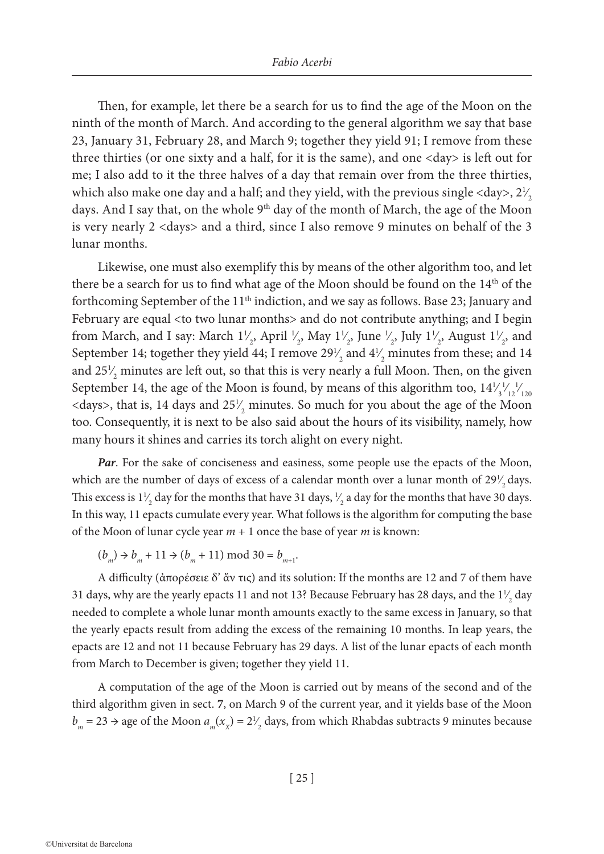Then, for example, let there be a search for us to find the age of the Moon on the ninth of the month of March. And according to the general algorithm we say that base 23, January 31, February 28, and March 9; together they yield 91; I remove from these three thirties (or one sixty and a half, for it is the same), and one <day> is left out for me; I also add to it the three halves of a day that remain over from the three thirties, which also make one day and a half; and they yield, with the previous single <day>,  $2\frac{1}{2}$ ∕ days. And I say that, on the whole 9<sup>th</sup> day of the month of March, the age of the Moon is very nearly 2 <days> and a third, since I also remove 9 minutes on behalf of the 3 lunar months.

Likewise, one must also exemplify this by means of the other algorithm too, and let there be a search for us to find what age of the Moon should be found on the 14<sup>th</sup> of the forthcoming September of the  $11<sup>th</sup>$  indiction, and we say as follows. Base 23; January and February are equal <to two lunar months> and do not contribute anything; and I begin from March, and I say: March  $1\frac{1}{2}$ , April  $\frac{1}{2}$ , May  $1\frac{1}{2}$ , June  $\frac{1}{2}$ , July  $1\frac{1}{2}$ , August  $1\frac{1}{2}$ , and ∕ ∕ ∕ ∕ ∕ ∕ September 14; together they yield 44; I remove  $29\frac{1}{2}$  and  $4\frac{1}{2}$  minutes from these; and 14 ∕ ∕ and  $25\frac{1}{2}$  minutes are left out, so that this is very nearly a full Moon. Then, on the given ∕ September 14, the age of the Moon is found, by means of this algorithm too,  $14\frac{1}{3}$ ∕ 1 ∕ 12 1 ∕ 120 <days>, that is, 14 days and  $25\frac{1}{2}$  minutes. So much for you about the age of the Moon ∕ too. Consequently, it is next to be also said about the hours of its visibility, namely, how many hours it shines and carries its torch alight on every night.

*Par*. For the sake of conciseness and easiness, some people use the epacts of the Moon, which are the number of days of excess of a calendar month over a lunar month of  $29\frac{1}{2}$  days. ∕ This excess is  $1\frac{1}{2}$  day for the months that have 31 days,  $\frac{1}{2}$  a day for the months that have 30 days. ∕ ∕ In this way, 11 epacts cumulate every year. What follows is the algorithm for computing the base of the Moon of lunar cycle year *m* + 1 once the base of year *m* is known:

 $(b_m) \rightarrow b_m + 11 \rightarrow (b_m + 11) \text{ mod } 30 = b_{m+1}.$ 

A difficulty (ἀπορέσειε δ' ἄν τις) and its solution: If the months are 12 and 7 of them have 31 days, why are the yearly epacts 11 and not 13? Because February has 28 days, and the  $1\frac{1}{2}$  day ∕ needed to complete a whole lunar month amounts exactly to the same excess in January, so that the yearly epacts result from adding the excess of the remaining 10 months. In leap years, the epacts are 12 and not 11 because February has 29 days. A list of the lunar epacts of each month from March to December is given; together they yield 11.

A computation of the age of the Moon is carried out by means of the second and of the third algorithm given in sect. **7**, on March 9 of the current year, and it yields base of the Moon  $b_m = 23 \rightarrow$  age of the Moon  $a_m(x_x) = 2\frac{1}{2}$  days, from which Rhabdas subtracts 9 minutes because ∕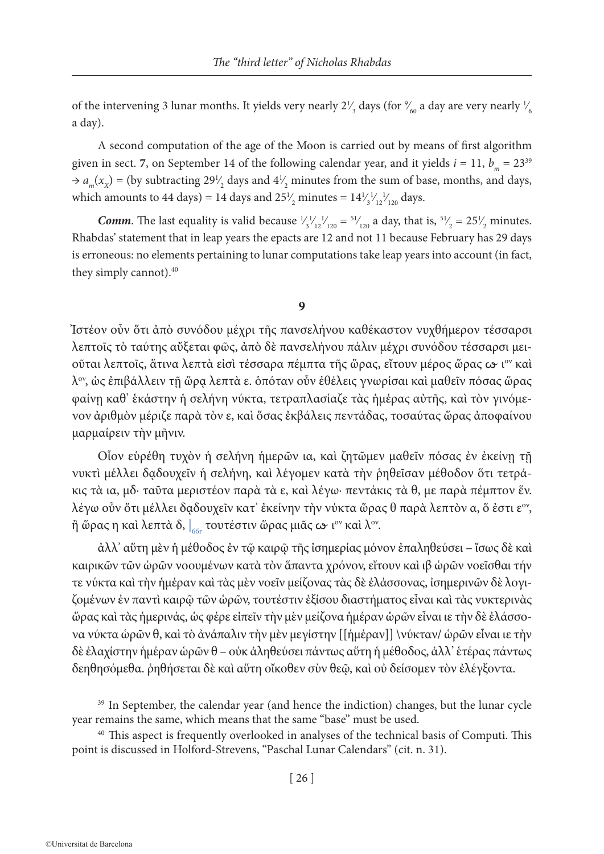of the intervening 3 lunar months. It yields very nearly  $2\frac{1}{3}$  days (for  $\frac{9}{60}$  a day are very nearly  $\frac{1}{6}$ ∕ ∕ ∕ a day).

A second computation of the age of the Moon is carried out by means of first algorithm given in sect. 7, on September 14 of the following calendar year, and it yields  $i = 11$ ,  $b_m = 23^{39}$  $\rightarrow a_m(x_x) =$  (by subtracting 29<sup>1</sup>/<sub>2</sub> days and 4<sup>1</sup>/<sub>2</sub> minutes from the sum of base, months, and days, ∕ ∕ which amounts to 44 days) = 14 days and  $25\frac{1}{2}$  minutes =  $14\frac{1}{3}\frac{1}{12}\frac{1}{120}$  days. ∕ ∕ ∕ ∕

*Comm*. The last equality is valid because  $\frac{1}{3}$ / $\frac{1}{12}$ / $\frac{1}{120}$  =  $\frac{51}{120}$  a day, that is,  $\frac{51}{2}$  = 25<sup>1/</sup><sub>2</sub> minutes. ∕ ∕ ∕ ∕ Rhabdas' statement that in leap years the epacts are 12 and not 11 because February has 29 days is erroneous: no elements pertaining to lunar computations take leap years into account (in fact, they simply cannot).<sup>40</sup>

#### **9**

Ἰστέον οὖν ὅτι ἀπὸ συνόδου μέχρι τῆς πανσελήνου καθέκαστον νυχθήμερον τέσσαρσι λεπτοῖς τὸ ταύτης αὔξεται φῶς, ἀπὸ δὲ πανσελήνου πάλιν μέχρι συνόδου τέσσαρσι μειοῦται λεπτοῖς, ἅτινα λεπτὰ εἰσὶ τέσσαρα πέμπτα τῆς ὥρας, εἴτουν μέρος ὥρας ω ι<sup>ον</sup> καὶ λον, ὡς ἐπιβάλλειν τῇ ὥρᾳ λεπτὰ ε. ὁπόταν οὖν ἐθέλεις γνωρίσαι καὶ μαθεῖν πόσας ὥρας φαίνῃ καθ' ἑκάστην ἡ σελήνη νύκτα, τετραπλασίαζε τὰς ἡμέρας αὐτῆς, καὶ τὸν γινόμενον ἀριθμὸν μέριζε παρὰ τὸν ε, καὶ ὅσας ἐκβάλεις πεντάδας, τοσαύτας ὥρας ἀποφαίνου μαρμαίρειν τὴν μῆνιν.

Οἷον εὑρέθη τυχὸν ἡ σελήνη ἡμερῶν ια, καὶ ζητῶμεν μαθεῖν πόσας ἐν ἐκείνῃ τῇ νυκτὶ μέλλει δᾳδουχεῖν ἡ σελήνη, καὶ λέγομεν κατὰ τὴν ῥηθεῖσαν μέθοδον ὅτι τετράκις τὰ ια, μδ· ταῦτα μεριστέον παρὰ τὰ ε, καὶ λέγω· πεντάκις τὰ θ, με παρὰ πέμπτον ἕν. λέγω οὖν ὅτι μέλλει δᾳδουχεῖν κατ' ἐκείνην τὴν νύκτα ὥρας θ παρὰ λεπτὸν α, ὅ ἐστι εον, ἢ ὥρας η καὶ λεπτὰ δ,  $\left.\right|_{66 \mathrm{r}}$  τουτέστιν ὥρας μιᾶς  $\boldsymbol{\omega}$  ι $^\mathrm{ov}$  καὶ λ $^\mathrm{ov}$ .

ἀλλ' αὕτη μὲν ἡ μέθοδος ἐν τῷ καιρῷ τῆς ἰσημερίας μόνον ἐπαληθεύσει – ἴσως δὲ καὶ καιρικῶν τῶν ὡρῶν νοουμένων κατὰ τὸν ἅπαντα χρόνον, εἴτουν καὶ ιβ ὡρῶν νοεῖσθαι τήν τε νύκτα καὶ τὴν ἡμέραν καὶ τὰς μὲν νοεῖν μείζονας τὰς δὲ ἐλάσσονας, ἰσημερινῶν δὲ λογιζομένων ἐν παντὶ καιρῷ τῶν ὡρῶν, τουτέστιν ἐξίσου διαστήματος εἶναι καὶ τὰς νυκτερινὰς ὥρας καὶ τὰς ἡμερινάς, ὡς φέρε εἰπεῖν τὴν μὲν μείζονα ἡμέραν ὡρῶν εἶναι ιε τὴν δὲ ἐλάσσονα νύκτα ὡρῶν θ, καὶ τὸ ἀνάπαλιν τὴν μὲν μεγίστην [[ἡμέραν]] \νύκταν/ ὡρῶν εἶναι ιε τὴν δὲ ἐλαχίστην ἡμέραν ὡρῶν θ – οὐκ ἀληθεύσει πάντως αὕτη ἡ μέθοδος, ἀλλ' ἑτέρας πάντως δεηθησόμεθα. ῥηθήσεται δὲ καὶ αὕτη οἴκοθεν σὺν θεῷ, καὶ οὐ δείσομεν τὸν ἐλέγξοντα.

<sup>39</sup> In September, the calendar year (and hence the indiction) changes, but the lunar cycle year remains the same, which means that the same "base" must be used.

<sup>40</sup> This aspect is frequently overlooked in analyses of the technical basis of Computi. This point is discussed in Holford-Strevens, "Paschal Lunar Calendars" (cit. n. 31).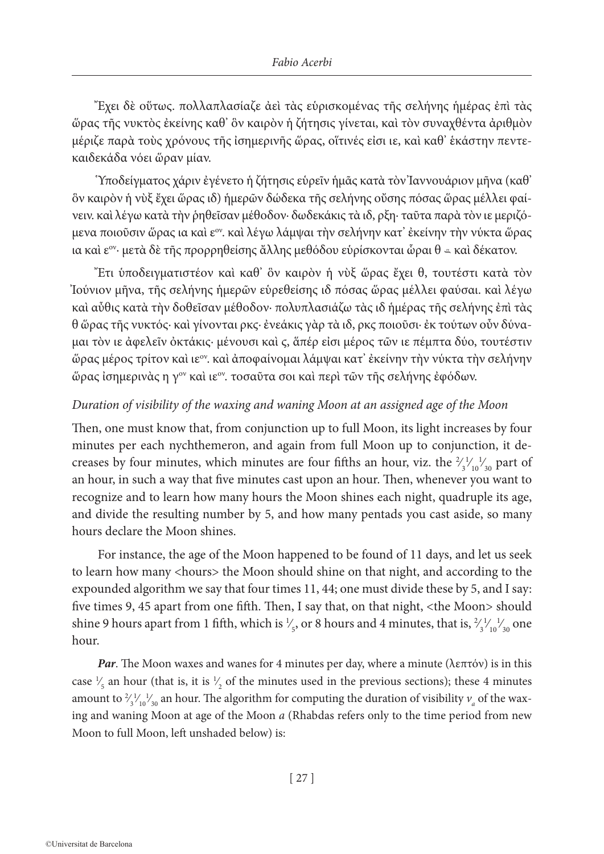Ἔχει δὲ οὕτως. πολλαπλασίαζε ἀεὶ τὰς εὑρισκομένας τῆς σελήνης ἡμέρας ἐπὶ τὰς ὥρας τῆς νυκτὸς ἐκείνης καθ' ὃν καιρὸν ἡ ζήτησις γίνεται, καὶ τὸν συναχθέντα ἀριθμὸν μέριζε παρὰ τοὺς χρόνους τῆς ἰσημερινῆς ὥρας, οἵτινές εἰσι ιε, καὶ καθ' ἑκάστην πεντεκαιδεκάδα νόει ὥραν μίαν.

Ὑποδείγματος χάριν ἐγένετο ἡ ζήτησις εὑρεῖν ἡμᾶς κατὰ τὸν Ἰαννουάριον μῆνα (καθ' ὃν καιρὸν ἡ νὺξ ἔχει ὥρας ιδ) ἡμερῶν δώδεκα τῆς σελήνης οὔσης πόσας ὥρας μέλλει φαίνειν. καὶ λέγω κατὰ τὴν ῥηθεῖσαν μέθοδον· δωδεκάκις τὰ ιδ, ρξη· ταῦτα παρὰ τὸν ιε μεριζόμενα ποιοῦσιν ὥρας ια καὶ εον. καὶ λέγω λάμψαι τὴν σελήνην κατ' ἐκείνην τὴν νύκτα ὥρας ια καὶ ε<sup>ον</sup>· μετὰ δὲ τῆς προρρηθείσης ἄλλης μεθόδου εὑρίσκονται ὧραι θ = καὶ δέκατον.

Ἔτι ὑποδειγματιστέον καὶ καθ' ὃν καιρὸν ἡ νὺξ ὥρας ἔχει θ, τουτέστι κατὰ τὸν Ἰούνιον μῆνα, τῆς σελήνης ἡμερῶν εὑρεθείσης ιδ πόσας ὥρας μέλλει φαύσαι. καὶ λέγω καὶ αὖθις κατὰ τὴν δοθεῖσαν μέθοδον· πολυπλασιάζω τὰς ιδ ἡμέρας τῆς σελήνης ἐπὶ τὰς θ ὥρας τῆς νυκτός· καὶ γίνονται ρκϛ· ἐνεάκις γὰρ τὰ ιδ, ρκϛ ποιοῦσι· ἐκ τούτων οὖν δύναμαι τὸν ιε ἀφελεῖν ὀκτάκις· μένουσι καὶ ϛ, ἅπέρ εἰσι μέρος τῶν ιε πέμπτα δύο, τουτέστιν ὥρας μέρος τρίτον καὶ ιεον. καὶ ἀποφαίνομαι λάμψαι κατ' ἐκείνην τὴν νύκτα τὴν σελήνην ὥρας ἰσημερινὰς η γον καὶ ιεον. τοσαῦτα σοι καὶ περὶ τῶν τῆς σελήνης ἐφόδων.

# *Duration of visibility of the waxing and waning Moon at an assigned age of the Moon*

Then, one must know that, from conjunction up to full Moon, its light increases by four minutes per each nychthemeron, and again from full Moon up to conjunction, it decreases by four minutes, which minutes are four fifths an hour, viz. the  $\frac{2}{3}$ ∕ 1 ∕ 10  $\frac{1}{30}$  part of ∕ an hour, in such a way that five minutes cast upon an hour. Then, whenever you want to recognize and to learn how many hours the Moon shines each night, quadruple its age, and divide the resulting number by 5, and how many pentads you cast aside, so many hours declare the Moon shines.

For instance, the age of the Moon happened to be found of 11 days, and let us seek to learn how many <hours> the Moon should shine on that night, and according to the expounded algorithm we say that four times 11, 44; one must divide these by 5, and I say: five times 9, 45 apart from one fifth. Then, I say that, on that night, <the Moon> should shine 9 hours apart from 1 fifth, which is  $\frac{1}{5}$ , or 8 hours and 4 minutes, that is,  $\frac{2}{3}$ ∕ ∕ 1 ∕ 10  $\frac{1}{30}$  one ∕ hour.

*Par*. The Moon waxes and wanes for 4 minutes per day, where a minute (λεπτόν) is in this case  $\frac{1}{5}$  an hour (that is, it is  $\frac{1}{2}$  of the minutes used in the previous sections); these 4 minutes ∕ ∕ amount to  $\frac{2}{3}$ <sup>1</sup>/<sub>1</sub><sup>1</sup>/<sub>30</sub> an hour. The algorithm for computing the duration of visibility  $v_a$  of the wax-∕ ∕ ∕ ing and waning Moon at age of the Moon *a* (Rhabdas refers only to the time period from new Moon to full Moon, left unshaded below) is: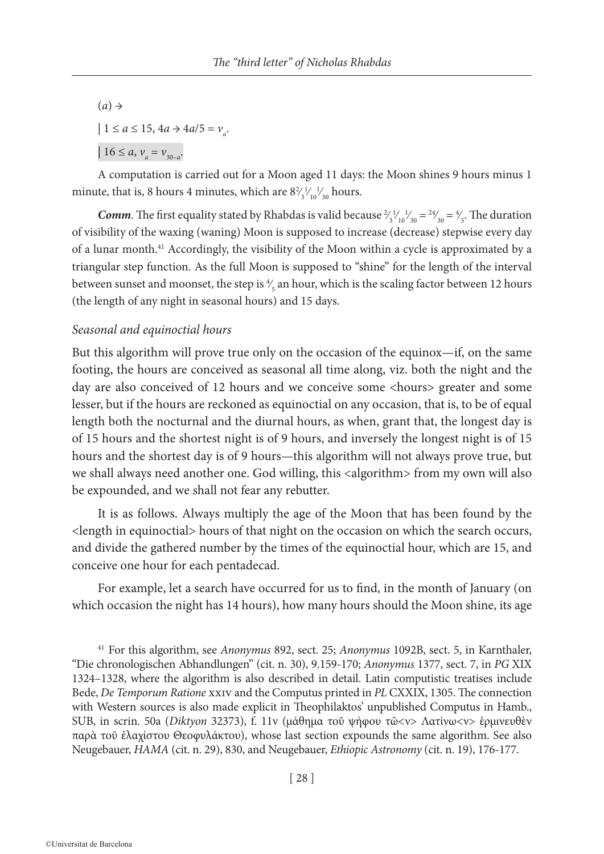$(a) \rightarrow$  $| 1 \le a \le 15$ ,  $4a \rightarrow 4a/5 = v_a$ .  $| 16 \le a, v_a = v_{30-a}$ 

A computation is carried out for a Moon aged 11 days: the Moon shines 9 hours minus 1 minute, that is, 8 hours 4 minutes, which are  $8\frac{2}{3}^{1/2}$ ,  $\frac{1}{3}^{1/2}$  hours. ∕ ∕ ∕

*Comm*. The first equality stated by Rhabdas is valid because  $\frac{2}{3}$ <sup>1</sup><sub>10</sub><sup>1</sup><sub>30</sub> =  $\frac{24}{30}$  =  $\frac{4}{5}$ . The duration ∕ ∕ ∕ ∕ of visibility of the waxing (waning) Moon is supposed to increase (decrease) stepwise every day of a lunar month.41 Accordingly, the visibility of the Moon within a cycle is approximated by a triangular step function. As the full Moon is supposed to "shine" for the length of the interval between sunset and moonset, the step is  $\frac{4}{5}$  an hour, which is the scaling factor between 12 hours ∕ (the length of any night in seasonal hours) and 15 days.

## *Seasonal and equinoctial hours*

But this algorithm will prove true only on the occasion of the equinox—if, on the same footing, the hours are conceived as seasonal all time along, viz. both the night and the day are also conceived of 12 hours and we conceive some <hours> greater and some lesser, but if the hours are reckoned as equinoctial on any occasion, that is, to be of equal length both the nocturnal and the diurnal hours, as when, grant that, the longest day is of 15 hours and the shortest night is of 9 hours, and inversely the longest night is of 15 hours and the shortest day is of 9 hours—this algorithm will not always prove true, but we shall always need another one. God willing, this <algorithm> from my own will also be expounded, and we shall not fear any rebutter.

It is as follows. Always multiply the age of the Moon that has been found by the <length in equinoctial> hours of that night on the occasion on which the search occurs, and divide the gathered number by the times of the equinoctial hour, which are 15, and conceive one hour for each pentadecad.

For example, let a search have occurred for us to find, in the month of January (on which occasion the night has 14 hours), how many hours should the Moon shine, its age

<sup>41</sup> For this algorithm, see *Anonymus* 892, sect. 25; *Anonymus* 1092B, sect. 5, in Karnthaler, "Die chronologischen Abhandlungen" (cit. n. 30), 9.159-170; *Anonymus* 1377, sect. 7, in *PG* XIX 1324–1328, where the algorithm is also described in detail. Latin computistic treatises include Bede, *De Temporum Ratione* xxiv and the Computus printed in *PL* CXXIX, 1305. The connection with Western sources is also made explicit in Theophilaktos' unpublished Computus in Hamb., SUB, in scrin. 50a (*Diktyon* 32373), f. 11v (μάθημα τοῦ ψήφου τῶ<ν> Λατίνω<ν> ἑρμινευθὲν παρὰ τοῦ ἐλαχίστου Θεοφυλάκτου), whose last section expounds the same algorithm. See also Neugebauer, *HAMA* (cit. n. 29), 830, and Neugebauer, *Ethiopic Astronomy* (cit. n. 19), 176-177.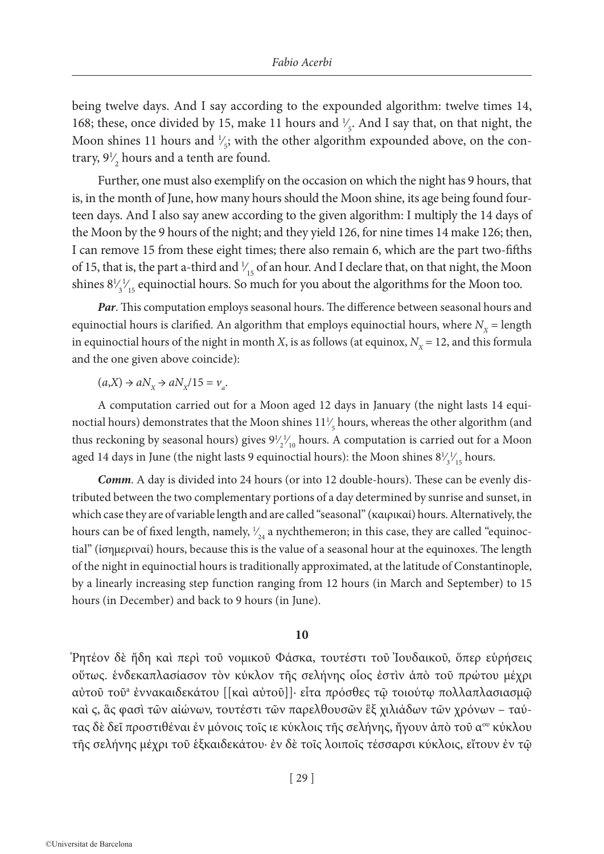being twelve days. And I say according to the expounded algorithm: twelve times 14, 168; these, once divided by 15, make 11 hours and  $\frac{1}{5}$ . And I say that, on that night, the ∕ Moon shines 11 hours and  $\frac{1}{5}$ ; with the other algorithm expounded above, on the con-∕ trary,  $9\frac{1}{2}$  hours and a tenth are found. ∕

Further, one must also exemplify on the occasion on which the night has 9 hours, that is, in the month of June, how many hours should the Moon shine, its age being found fourteen days. And I also say anew according to the given algorithm: I multiply the 14 days of the Moon by the 9 hours of the night; and they yield 126, for nine times 14 make 126; then, I can remove 15 from these eight times; there also remain 6, which are the part two-fifths of 15, that is, the part a-third and  $\frac{1}{15}$  of an hour. And I declare that, on that night, the Moon ∕ shines  $8\frac{1}{3}$ ∕  $\frac{1}{15}$  equinoctial hours. So much for you about the algorithms for the Moon too. ∕

*Par*. This computation employs seasonal hours. The difference between seasonal hours and equinoctial hours is clarified. An algorithm that employs equinoctial hours, where  $N_x =$  length in equinoctial hours of the night in month *X*, is as follows (at equinox,  $N_x = 12$ , and this formula and the one given above coincide):

 $(a,X) \rightarrow aN_X \rightarrow aN_X/15 = v_a$ .

A computation carried out for a Moon aged 12 days in January (the night lasts 14 equinoctial hours) demonstrates that the Moon shines  $11\frac{1}{5}$  hours, whereas the other algorithm (and ∕ thus reckoning by seasonal hours) gives  $9\frac{1}{2}\frac{1}{10}$  hours. A computation is carried out for a Moon ∕ ∕ aged 14 days in June (the night lasts 9 equinoctial hours): the Moon shines  $8\frac{1}{3}\frac{1}{15}$  hours. ∕ ∕

*Comm*. A day is divided into 24 hours (or into 12 double-hours). These can be evenly distributed between the two complementary portions of a day determined by sunrise and sunset, in which case they are of variable length and are called "seasonal" (καιρικαί) hours. Alternatively, the hours can be of fixed length, namely,  $\frac{1}{24}$  a nychthemeron; in this case, they are called "equinoc-∕ tial" (ἰσημεριναί) hours, because this is the value of a seasonal hour at the equinoxes. The length of the night in equinoctial hours is traditionally approximated, at the latitude of Constantinople, by a linearly increasing step function ranging from 12 hours (in March and September) to 15 hours (in December) and back to 9 hours (in June).

#### **10**

Ῥητέον δὲ ἤδη καὶ περὶ τοῦ νομικοῦ Φάσκα, τουτέστι τοῦ Ἰουδαικοῦ, ὅπερ εὑρήσεις οὕτως. ἑνδεκαπλασίασον τὸν κύκλον τῆς σελήνης οἷος ἐστὶν ἀπὸ τοῦ πρώτου μέχρι αὐτοῦ τοῦa ἐννακαιδεκάτου [[καὶ αὐτοῦ]]· εἶτα πρόσθες τῷ τοιούτῳ πολλαπλασιασμῷ καὶ ϛ, ἃς φασὶ τῶν αἰώνων, τουτέστι τῶν παρελθουσῶν ἓξ χιλιάδων τῶν χρόνων – ταύτας δὲ δεῖ προστιθέναι ἐν μόνοις τοῖς ιε κύκλοις τῆς σελήνης, ἤγουν ἀπὸ τοῦ α<sup>ου</sup> κύκλου τῆς σελήνης μέχρι τοῦ ἑξκαιδεκάτου· ἐν δὲ τοῖς λοιποῖς τέσσαρσι κύκλοις, εἴτουν ἐν τῷ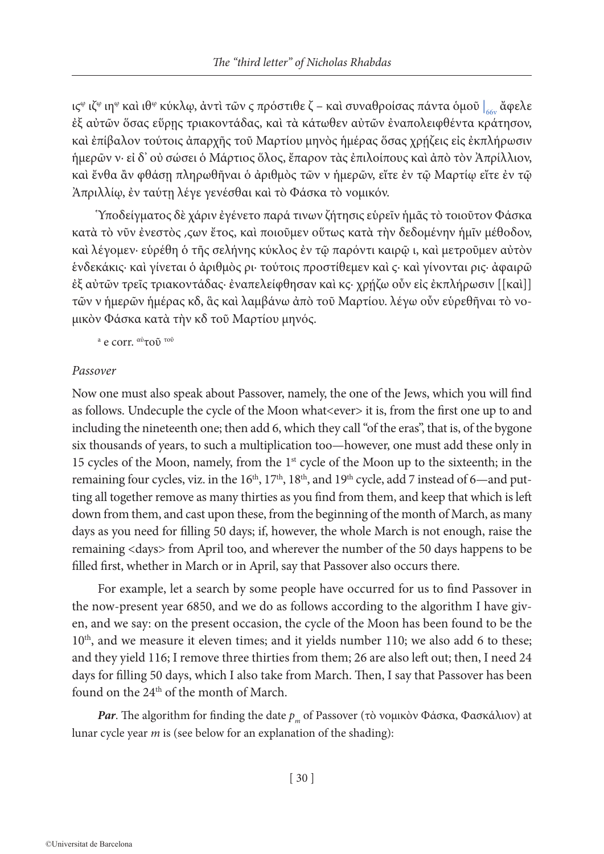ιςʷ ιζʷ ιηʷ καὶ ιθʷ κύκλῳ, ἀντὶ τῶν ς πρόστιθε ζ – καὶ συναθροίσας πάντα ὁμοῦ  $\vert_{\rm 66v}$  ἄφελε ἐξ αὐτῶν ὅσας εὕρῃς τριακοντάδας, καὶ τὰ κάτωθεν αὐτῶν ἐναπολειφθέντα κράτησον, καὶ ἐπίβαλον τούτοις ἀπαρχῆς τοῦ Μαρτίου μηνὸς ἡμέρας ὅσας χρῄζεις εἰς ἐκπλήρωσιν ἡμερῶν ν· εἰ δ' οὐ σώσει ὁ Μάρτιος ὅλος, ἔπαρον τὰς ἐπιλοίπους καὶ ἀπὸ τὸν Ἀπρίλλιον, καὶ ἔνθα ἂν φθάσῃ πληρωθῆναι ὁ ἀριθμὸς τῶν ν ἡμερῶν, εἴτε ἐν τῷ Μαρτίῳ εἴτε ἐν τῷ Ἀπριλλίῳ, ἐν ταύτῃ λέγε γενέσθαι καὶ τὸ Φάσκα τὸ νομικόν.

Ὑποδείγματος δὲ χάριν ἐγένετο παρά τινων ζήτησις εὑρεῖν ἡμᾶς τὸ τοιοῦτον Φάσκα κατὰ τὸ νῦν ἐνεστὸς ͵ϛων ἔτος, καὶ ποιοῦμεν οὕτως κατὰ τὴν δεδομένην ἡμῖν μέθοδον, καὶ λέγομεν· εὑρέθη ὁ τῆς σελήνης κύκλος ἐν τῷ παρόντι καιρῷ ι, καὶ μετροῦμεν αὐτὸν ενδεκάκις· καὶ γίνεται ὁ ἀριθμὸς ρι· τούτοις προστίθεμεν καὶ ς· καὶ γίνονται ρις· ἀφαιρῶ ἐξ αὐτῶν τρεῖς τριακοντάδας· ἐναπελείφθησαν καὶ κϛ· χρῄζω οὖν εἰς ἐκπλήρωσιν [[καὶ]] τῶν ν ἡμερῶν ἡμέρας κδ, ἃς καὶ λαμβάνω ἀπὸ τοῦ Μαρτίου. λέγω οὖν εὑρεθῆναι τὸ νομικὸν Φάσκα κατὰ τὴν κδ τοῦ Μαρτίου μηνός.

<sup>a</sup> e corr. <sup>αὐ</sup>τοῦ <sup>τοῦ</sup>

#### *Passover*

Now one must also speak about Passover, namely, the one of the Jews, which you will find as follows. Undecuple the cycle of the Moon what<ever> it is, from the first one up to and including the nineteenth one; then add 6, which they call "of the eras", that is, of the bygone six thousands of years, to such a multiplication too—however, one must add these only in 15 cycles of the Moon, namely, from the 1st cycle of the Moon up to the sixteenth; in the remaining four cycles, viz. in the  $16<sup>th</sup>$ ,  $17<sup>th</sup>$ ,  $18<sup>th</sup>$ , and  $19<sup>th</sup>$  cycle, add 7 instead of 6—and putting all together remove as many thirties as you find from them, and keep that which is left down from them, and cast upon these, from the beginning of the month of March, as many days as you need for filling 50 days; if, however, the whole March is not enough, raise the remaining <days> from April too, and wherever the number of the 50 days happens to be filled first, whether in March or in April, say that Passover also occurs there.

For example, let a search by some people have occurred for us to find Passover in the now-present year 6850, and we do as follows according to the algorithm I have given, and we say: on the present occasion, the cycle of the Moon has been found to be the  $10<sup>th</sup>$ , and we measure it eleven times; and it yields number 110; we also add 6 to these; and they yield 116; I remove three thirties from them; 26 are also left out; then, I need 24 days for filling 50 days, which I also take from March. Then, I say that Passover has been found on the 24<sup>th</sup> of the month of March.

*Par*. The algorithm for finding the date  $p_m$  of Passover (τὸ νομικὸν Φάσκα, Φασκάλιον) at lunar cycle year *m* is (see below for an explanation of the shading):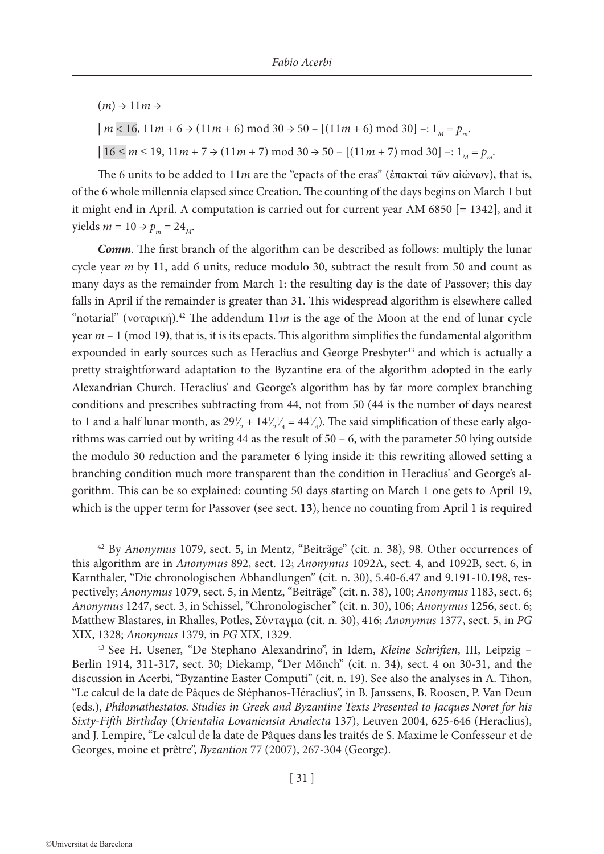$(m) \rightarrow 11m \rightarrow$  $\mid m \leq 16, 11m + 6 \rightarrow (11m + 6) \mod 30 \rightarrow 50 - [(11m + 6) \mod 30] -: 1_M = p_m$ .  $| 16 \le m \le 19, 11m + 7 \Rightarrow (11m + 7) \mod 30 \Rightarrow 50 - [(11m + 7) \mod 30] -: 1_m = p_m$ .

The 6 units to be added to 11*m* are the "epacts of the eras" (ἐπακταὶ τῶν αἰώνων), that is, of the 6 whole millennia elapsed since Creation. The counting of the days begins on March 1 but it might end in April. A computation is carried out for current year AM 6850 [= 1342], and it  $yields \ m = 10 \rightarrow p_m = 24_M.$ 

*Comm*. The first branch of the algorithm can be described as follows: multiply the lunar cycle year *m* by 11, add 6 units, reduce modulo 30, subtract the result from 50 and count as many days as the remainder from March 1: the resulting day is the date of Passover; this day falls in April if the remainder is greater than 31. This widespread algorithm is elsewhere called "notarial" (νοταρική).<sup>42</sup> The addendum  $11m$  is the age of the Moon at the end of lunar cycle year *m* – 1 (mod 19), that is, it is its epacts. This algorithm simplifies the fundamental algorithm expounded in early sources such as Heraclius and George Presbyter<sup>43</sup> and which is actually a pretty straightforward adaptation to the Byzantine era of the algorithm adopted in the early Alexandrian Church. Heraclius' and George's algorithm has by far more complex branching conditions and prescribes subtracting from 44, not from 50 (44 is the number of days nearest to 1 and a half lunar month, as  $29\frac{1}{2} + 14\frac{1}{2}\frac{1}{4} = 44\frac{1}{4}$ . The said simplification of these early algo-∕ ∕ ∕ ∕ rithms was carried out by writing 44 as the result of 50 – 6, with the parameter 50 lying outside the modulo 30 reduction and the parameter 6 lying inside it: this rewriting allowed setting a branching condition much more transparent than the condition in Heraclius' and George's algorithm. This can be so explained: counting 50 days starting on March 1 one gets to April 19, which is the upper term for Passover (see sect. **13**), hence no counting from April 1 is required

<sup>42</sup> By *Anonymus* 1079, sect. 5, in Mentz, "Beiträge" (cit. n. 38), 98. Other occurrences of this algorithm are in *Anonymus* 892, sect. 12; *Anonymus* 1092A, sect. 4, and 1092B, sect. 6, in Karnthaler, "Die chronologischen Abhandlungen" (cit. n. 30), 5.40-6.47 and 9.191-10.198, respectively; *Anonymus* 1079, sect. 5, in Mentz, "Beiträge" (cit. n. 38), 100; *Anonymus* 1183, sect. 6; *Anonymus* 1247, sect. 3, in Schissel, "Chronologischer" (cit. n. 30), 106; *Anonymus* 1256, sect. 6; Matthew Blastares, in Rhalles, Potles, Σύνταγμα (cit. n. 30), 416; *Anonymus* 1377, sect. 5, in *PG* XIX, 1328; *Anonymus* 1379, in *PG* XIX, 1329.

<sup>43</sup> See H. Usener, "De Stephano Alexandrino", in Idem, *Kleine Schriften*, III, Leipzig – Berlin 1914, 311-317, sect. 30; Diekamp, "Der Mönch" (cit. n. 34), sect. 4 on 30-31, and the discussion in Acerbi, "Byzantine Easter Computi" (cit. n. 19). See also the analyses in A. Tihon, "Le calcul de la date de Pâques de Stéphanos-Héraclius", in B. Janssens, B. Roosen, P. Van Deun (eds.), *Philomathestatos. Studies in Greek and Byzantine Texts Presented to Jacques Noret for his Sixty-Fifth Birthday* (*Orientalia Lovaniensia Analecta* 137), Leuven 2004, 625-646 (Heraclius), and J. Lempire, "Le calcul de la date de Pâques dans les traités de S. Maxime le Confesseur et de Georges, moine et prêtre", *Byzantion* 77 (2007), 267-304 (George).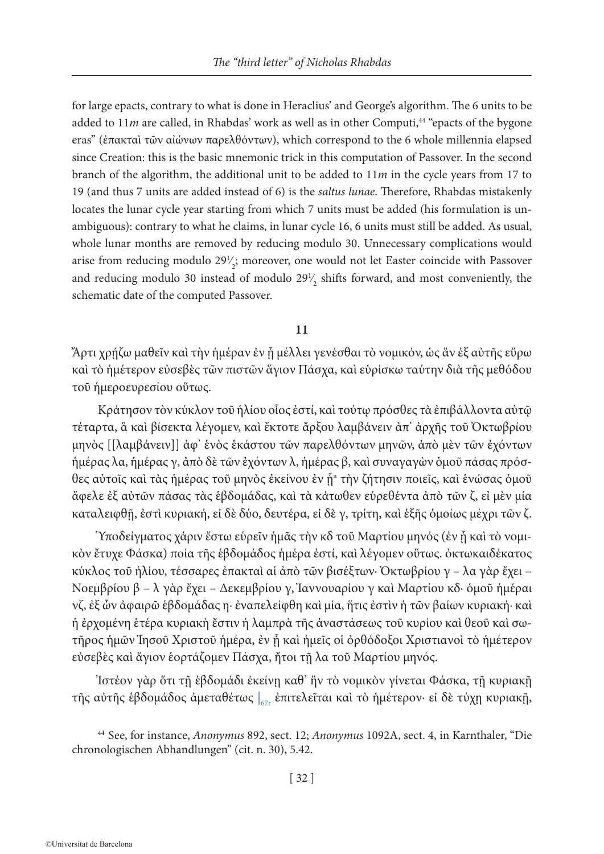for large epacts, contrary to what is done in Heraclius' and George's algorithm. The 6 units to be added to 11*m* are called, in Rhabdas' work as well as in other Computi,<sup>44</sup> "epacts of the bygone eras" (ἐπακταὶ τῶν αἰώνων παρελθόντων), which correspond to the 6 whole millennia elapsed since Creation: this is the basic mnemonic trick in this computation of Passover. In the second branch of the algorithm, the additional unit to be added to 11*m* in the cycle years from 17 to 19 (and thus 7 units are added instead of 6) is the *saltus lunae*. Therefore, Rhabdas mistakenly locates the lunar cycle year starting from which 7 units must be added (his formulation is unambiguous): contrary to what he claims, in lunar cycle 16, 6 units must still be added. As usual, whole lunar months are removed by reducing modulo 30. Unnecessary complications would arise from reducing modulo  $29\frac{1}{2}$ ; moreover, one would not let Easter coincide with Passover ∕ and reducing modulo 30 instead of modulo  $29\frac{1}{2}$  shifts forward, and most conveniently, the ∕ schematic date of the computed Passover.

**11**

Ἄρτι χρῄζω μαθεῖν καὶ τὴν ἡμέραν ἐν ᾗ μέλλει γενέσθαι τὸ νομικόν, ὡς ἂν ἐξ αὐτῆς εὕρω καὶ τὸ ἡμέτερον εὐσεβὲς τῶν πιστῶν ἅγιον Πάσχα, καὶ εὑρίσκω ταύτην διὰ τῆς μεθόδου τοῦ ἡμεροευρεσίου οὕτως.

Κράτησον τὸν κύκλον τοῦ ἡλίου οἷος ἐστί, καὶ τούτῳ πρόσθες τὰ ἐπιβάλλοντα αὐτῷ τέταρτα, ἃ καὶ βίσεκτα λέγομεν, καὶ ἔκτοτε ἄρξου λαμβάνειν ἀπ' ἀρχῆς τοῦ Ὀκτωβρίου μηνὸς [[λαμβάνειν]] ἀφ' ἑνὸς ἑκάστου τῶν παρελθόντων μηνῶν, ἀπὸ μὲν τῶν ἐχόντων ἡμέρας λα, ἡμέρας γ, ἀπὸ δὲ τῶν ἐχόντων λ, ἡμέρας β, καὶ συναγαγὼν ὁμοῦ πάσας πρόσθες αὐτοῖς καὶ τὰς ἡμέρας τοῦ μηνὸς ἐκείνου ἐν ῇª τὴν ζήτησιν ποιεῖς, καὶ ἑνώσας ὁμοῦ ἄφελε ἐξ αὐτῶν πάσας τὰς ἑβδομάδας, καὶ τὰ κάτωθεν εὑρεθέντα ἀπὸ τῶν ζ, εἰ μὲν μία καταλειφθῇ, ἐστὶ κυριακή, εἰ δὲ δύο, δευτέρα, εἰ δὲ γ, τρίτη, καὶ ἑξῆς ὁμοίως μέχρι τῶν ζ.

Ὑποδείγματος χάριν ἔστω εὑρεῖν ἡμᾶς τὴν κδ τοῦ Μαρτίου μηνός (ἐν ᾗ καὶ τὸ νομικὸν ἔτυχε Φάσκα) ποία τῆς ἑβδομάδος ἡμέρα ἐστί, καὶ λέγομεν οὕτως. ὀκτωκαιδέκατος κύκλος τοῦ ἡλίου, τέσσαρες ἐπακταὶ αἱ ἀπὸ τῶν βισέξτων· Ὀκτωβρίου γ – λα γὰρ ἔχει – Νοεμβρίου β – λ γὰρ ἔχει – Δεκεμβρίου γ, Ἰαννουαρίου γ καὶ Μαρτίου κδ· ὁμοῦ ἡμέραι νζ, ἐξ ὧν ἀφαιρῶ ἑβδομάδας η· ἐναπελείφθη καὶ μία, ἥτις ἐστὶν ἡ τῶν βαίων κυριακή· καὶ ἡ ἐρχομένη ἑτέρα κυριακὴ ἔστιν ἡ λαμπρὰ τῆς ἀναστάσεως τοῦ κυρίου καὶ θεοῦ καὶ σωτῆρος ἡμῶν Ἰησοῦ Χριστοῦ ἡμέρα, ἐν ᾗ καὶ ἡμεῖς οἱ ὀρθόδοξοι Χριστιανοὶ τὸ ἡμέτερον εὐσεβὲς καὶ ἅγιον ἑορτάζομεν Πάσχα, ἤτοι τῇ λα τοῦ Μαρτίου μηνός.

Ἰστέον γὰρ ὅτι τῇ ἑβδομάδι ἐκείνῃ καθ' ἣν τὸ νομικὸν γίνεται Φάσκα, τῇ κυριακῇ τῆς αὐτῆς ἑβδομάδος ἀμεταθέτως |<sub>67r</sub> ἐπιτελεῖται καὶ τὸ ἡμέτερον· εἰ δὲ τύχῃ κυριακῇ,

<sup>44</sup> See, for instance, *Anonymus* 892, sect. 12; *Anonymus* 1092A, sect. 4, in Karnthaler, "Die chronologischen Abhandlungen" (cit. n. 30), 5.42.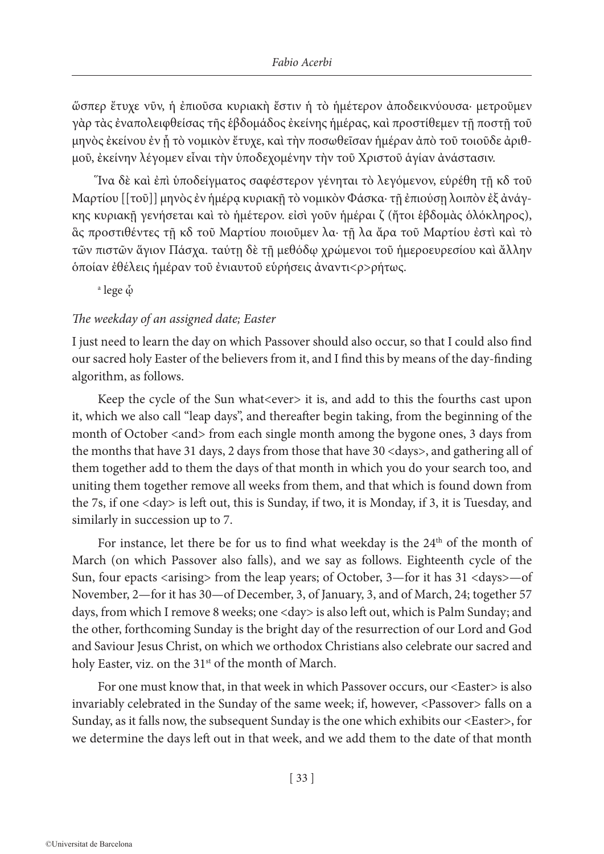ὥσπερ ἔτυχε νῦν, ἡ ἐπιοῦσα κυριακὴ ἔστιν ἡ τὸ ἡμέτερον ἀποδεικνύουσα· μετροῦμεν γὰρ τὰς ἐναπολειφθείσας τῆς ἑβδομάδος ἐκείνης ἡμέρας, καὶ προστίθεμεν τῇ ποστῇ τοῦ μηνὸς ἐκείνου ἐν ᾗ τὸ νομικὸν ἔτυχε, καὶ τὴν ποσωθεῖσαν ἡμέραν ἀπὸ τοῦ τοιοῦδε ἀριθμοῦ, ἐκείνην λέγομεν εἶναι τὴν ὑποδεχομένην τὴν τοῦ Χριστοῦ ἁγίαν ἀνάστασιν.

Ἵνα δὲ καὶ ἐπὶ ὑποδείγματος σαφέστερον γένηται τὸ λεγόμενον, εὑρέθη τῇ κδ τοῦ Μαρτίου [[τοῦ]] μηνὸς ἐν ἡμέρᾳ κυριακῇ τὸ νομικὸν Φάσκα· τῇ ἐπιούσῃ λοιπὸν ἐξ ἀνάγκης κυριακῇ γενήσεται καὶ τὸ ἡμέτερον. εἰσὶ γοῦν ἡμέραι ζ (ἤτοι ἑβδομὰς ὁλόκληρος), ἃς προστιθέντες τῇ κδ τοῦ Μαρτίου ποιοῦμεν λα· τῇ λα ἄρα τοῦ Μαρτίου ἐστὶ καὶ τὸ τῶν πιστῶν ἅγιον Πάσχα. ταύτῃ δὲ τῇ μεθόδῳ χρώμενοι τοῦ ἡμεροευρεσίου καὶ ἄλλην ὁποίαν ἐθέλεις ἡμέραν τοῦ ἐνιαυτοῦ εὑρήσεις ἀναντι<ρ>ρήτως.

 $^{\textrm{\tiny a}}$  lege  $\tilde{\psi}$ 

# *The weekday of an assigned date; Easter*

I just need to learn the day on which Passover should also occur, so that I could also find our sacred holy Easter of the believers from it, and I find this by means of the day-finding algorithm, as follows.

Keep the cycle of the Sun what<ever> it is, and add to this the fourths cast upon it, which we also call "leap days", and thereafter begin taking, from the beginning of the month of October <and> from each single month among the bygone ones, 3 days from the months that have 31 days, 2 days from those that have 30 <days>, and gathering all of them together add to them the days of that month in which you do your search too, and uniting them together remove all weeks from them, and that which is found down from the 7s, if one <day> is left out, this is Sunday, if two, it is Monday, if 3, it is Tuesday, and similarly in succession up to 7.

For instance, let there be for us to find what weekday is the  $24<sup>th</sup>$  of the month of March (on which Passover also falls), and we say as follows. Eighteenth cycle of the Sun, four epacts <arising> from the leap years; of October, 3—for it has 31 <days>—of November, 2—for it has 30—of December, 3, of January, 3, and of March, 24; together 57 days, from which I remove 8 weeks; one <day> is also left out, which is Palm Sunday; and the other, forthcoming Sunday is the bright day of the resurrection of our Lord and God and Saviour Jesus Christ, on which we orthodox Christians also celebrate our sacred and holy Easter, viz. on the 31<sup>st</sup> of the month of March.

For one must know that, in that week in which Passover occurs, our <Easter> is also invariably celebrated in the Sunday of the same week; if, however, <Passover> falls on a Sunday, as it falls now, the subsequent Sunday is the one which exhibits our <Easter>, for we determine the days left out in that week, and we add them to the date of that month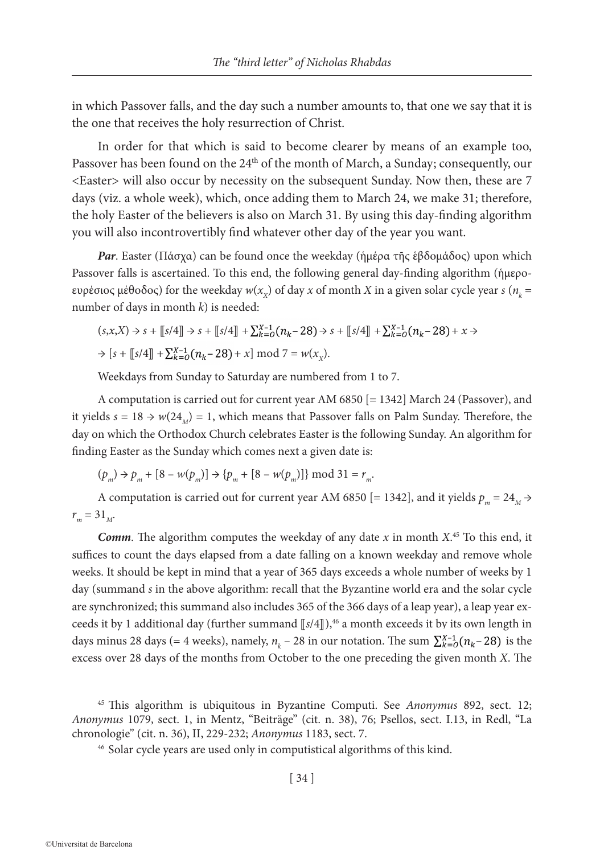in which Passover falls, and the day such a number amounts to, that one we say that it is the one that receives the holy resurrection of Christ.

In order for that which is said to become clearer by means of an example too, Passover has been found on the 24<sup>th</sup> of the month of March, a Sunday; consequently, our <Easter> will also occur by necessity on the subsequent Sunday. Now then, these are 7 days (viz. a whole week), which, once adding them to March 24, we make 31; therefore, the holy Easter of the believers is also on March 31. By using this day-finding algorithm you will also incontrovertibly find whatever other day of the year you want.

*Par*. Easter (Πάσχα) can be found once the weekday (ἡμέρα τῆς ἑβδομάδος) upon which Passover falls is ascertained. To this end, the following general day-finding algorithm (ἡμεροευρέσιος μέθοδος) for the weekday  $w(x_x)$  of day *x* of month *X* in a given solar cycle year *s* ( $n_k$  = number of days in month *k*) is needed:

$$
(s, x, X) \Rightarrow s + [s/4] \Rightarrow s + [s/4] + \sum_{k=0}^{X-1} (n_k - 28) \Rightarrow s + [s/4] + \sum_{k=0}^{X-1} (n_k - 28) + x \Rightarrow
$$
  

$$
\Rightarrow [s + [s/4] + \sum_{k=0}^{X-1} (n_k - 28) + x] \mod 7 = w(x_X).
$$

Weekdays from Sunday to Saturday are numbered from 1 to 7.

A computation is carried out for current year AM 6850 [= 1342] March 24 (Passover), and it yields  $s = 18 \rightarrow w(24_M) = 1$ , which means that Passover falls on Palm Sunday. Therefore, the day on which the Orthodox Church celebrates Easter is the following Sunday. An algorithm for finding Easter as the Sunday which comes next a given date is:

 $(p_m) \rightarrow p_m + [8 - w(p_m)] \rightarrow \{p_m + [8 - w(p_m)]\} \mod 31 = r_m$ .

A computation is carried out for current year AM 6850 [= 1342], and it yields  $p_m = 24_M$   $\rightarrow$  $r_m = 31_M$ .

*Comm*. The algorithm computes the weekday of any date *x* in month *X*. 45 To this end, it suffices to count the days elapsed from a date falling on a known weekday and remove whole weeks. It should be kept in mind that a year of 365 days exceeds a whole number of weeks by 1 day (summand *s* in the above algorithm: recall that the Byzantine world era and the solar cycle are synchronized; this summand also includes 365 of the 366 days of a leap year), a leap year exceeds it by 1 additional day (further summand  $\left[\sqrt{s/4}\right]$ ),<sup>46</sup> a month exceeds it by its own length in days minus 28 days (= 4 weeks), namely,  $n_k - 28$  in our notation. The sum  $\sum_{k=0}^{x-1} (n_k - 28)$  is the excess over 28 days of the months from October to the one preceding the given month *X*. The

<sup>45</sup> This algorithm is ubiquitous in Byzantine Computi. See *Anonymus* 892, sect. 12; *Anonymus* 1079, sect. 1, in Mentz, "Beiträge" (cit. n. 38), 76; Psellos, sect. I.13, in Redl, "La chronologie" (cit. n. 36), II, 229-232; *Anonymus* 1183, sect. 7.

<sup>46</sup> Solar cycle years are used only in computistical algorithms of this kind.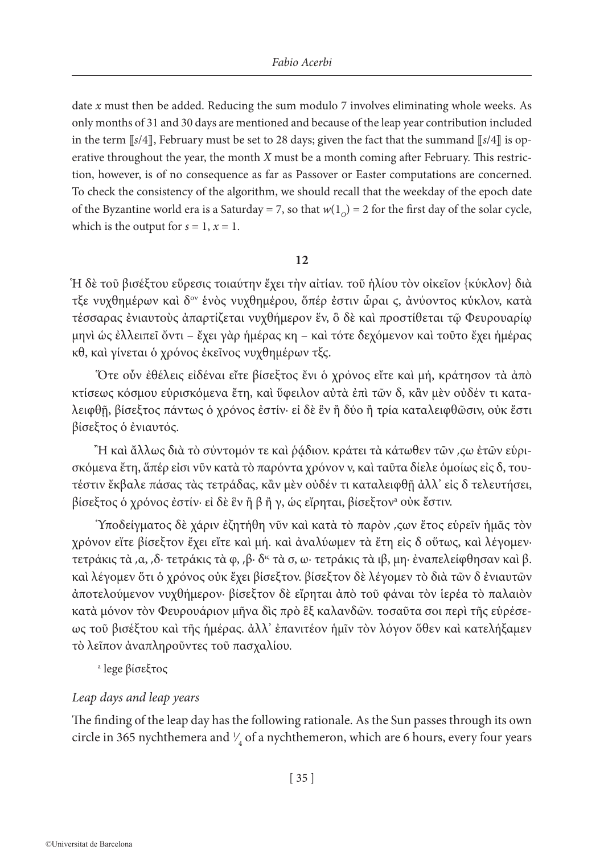date *x* must then be added. Reducing the sum modulo 7 involves eliminating whole weeks. As only months of 31 and 30 days are mentioned and because of the leap year contribution included in the term [*s*/4], February must be set to 28 days; given the fact that the summand [*s*/4] is operative throughout the year, the month *X* must be a month coming after February. This restriction, however, is of no consequence as far as Passover or Easter computations are concerned. To check the consistency of the algorithm, we should recall that the weekday of the epoch date of the Byzantine world era is a Saturday = 7, so that  $w(1<sub>O</sub>) = 2$  for the first day of the solar cycle, which is the output for  $s = 1$ ,  $x = 1$ .

## **12**

Ἡ δὲ τοῦ βισέξτου εὕρεσις τοιαύτην ἔχει τὴν αἰτίαν. τοῦ ἡλίου τὸν οἰκεῖον {κύκλον} διὰ τξε νυχθημέρων καὶ δον ἑνὸς νυχθημέρου, ὅπέρ ἐστιν ὧραι ϛ, ἀνύοντος κύκλον, κατὰ τέσσαρας ἐνιαυτοὺς ἀπαρτίζεται νυχθήμερον ἕν, ὃ δὲ καὶ προστίθεται τῷ Φευρουαρίῳ μηνὶ ὡς ἐλλειπεῖ ὄντι – ἔχει γὰρ ἡμέρας κη – καὶ τότε δεχόμενον καὶ τοῦτο ἔχει ἡμέρας κθ, καὶ γίνεται ὁ χρόνος ἐκεῖνος νυχθημέρων τξϛ.

Ὅτε οὖν ἐθέλεις εἰδέναι εἴτε βίσεξτος ἔνι ὁ χρόνος εἴτε καὶ μή, κράτησον τὰ ἀπὸ κτίσεως κόσμου εὑρισκόμενα ἔτη, καὶ ὕφειλον αὐτὰ ἐπὶ τῶν δ, κἂν μὲν οὐδέν τι καταλειφθῇ, βίσεξτος πάντως ὁ χρόνος ἐστίν· εἰ δὲ ἓν ἢ δύο ἢ τρία καταλειφθῶσιν, οὐκ ἔστι βίσεξτος ὁ ἐνιαυτός.

Ἢ καὶ ἄλλως διὰ τὸ σύντομόν τε καὶ ῥᾴδιον. κράτει τὰ κάτωθεν τῶν ͵ϛω ἐτῶν εὑρισκόμενα ἔτη, ἅπέρ εἰσι νῦν κατὰ τὸ παρόντα χρόνον ν, καὶ ταῦτα δίελε ὁμοίως εἰς δ, τουτέστιν ἔκβαλε πάσας τὰς τετράδας, κἂν μὲν οὐδέν τι καταλειφθῇ ἀλλ' εἰς δ τελευτήσει, βίσεξτος ὁ χρόνος ἐστίν· εἰ δὲ ἓν ἢ β ἢ γ, ὡς εἴρηται, βίσεξτονa οὐκ ἔστιν.

Ὑποδείγματος δὲ χάριν ἐζητήθη νῦν καὶ κατὰ τὸ παρὸν ͵ϛων ἔτος εὑρεῖν ἡμᾶς τὸν χρόνον εἴτε βίσεξτον ἔχει εἴτε καὶ μή. καὶ ἀναλύωμεν τὰ ἔτη εἰς δ οὕτως, καὶ λέγομεν· τετράκις τὰ ͵α, ͵δ· τετράκις τὰ φ, ͵β· δις τὰ σ, ω· τετράκις τὰ ιβ, μη· ἐναπελείφθησαν καὶ β. καὶ λέγομεν ὅτι ὁ χρόνος οὐκ ἔχει βίσεξτον. βίσεξτον δὲ λέγομεν τὸ διὰ τῶν δ ἐνιαυτῶν ἀποτελούμενον νυχθήμερον· βίσεξτον δὲ εἴρηται ἀπὸ τοῦ φάναι τὸν ἱερέα τὸ παλαιὸν κατὰ μόνον τὸν Φευρουάριον μῆνα δὶς πρὸ ἓξ καλανδῶν. τοσαῦτα σοι περὶ τῆς εὑρέσεως τοῦ βισέξτου καὶ τῆς ἡμέρας. ἀλλ' ἐπανιτέον ἡμῖν τὸν λόγον ὅθεν καὶ κατελήξαμεν τὸ λεῖπον ἀναπληροῦντες τοῦ πασχαλίου.

a lege βίσεξτος

# *Leap days and leap years*

The finding of the leap day has the following rationale. As the Sun passes through its own circle in 365 nychthemera and  $\frac{1}{4}$  of a nychthemeron, which are 6 hours, every four years ∕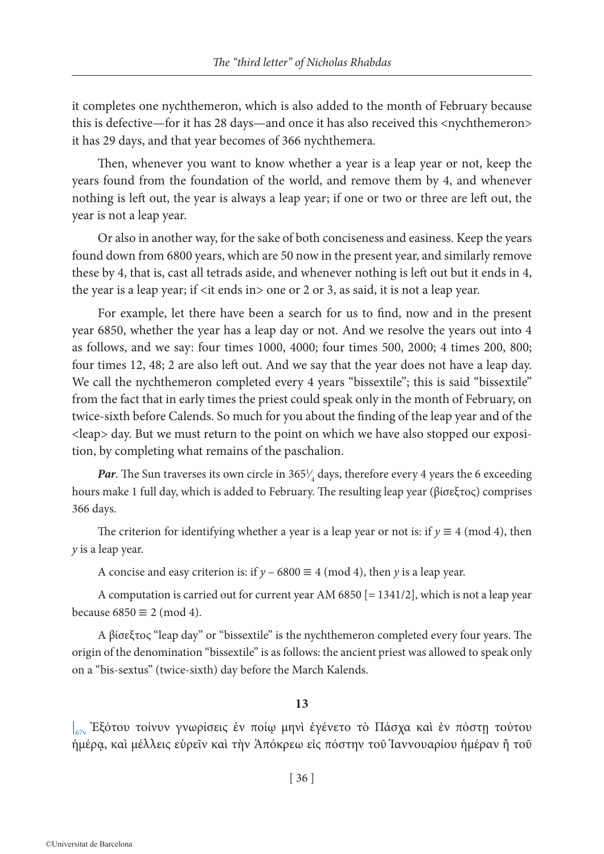it completes one nychthemeron, which is also added to the month of February because this is defective—for it has 28 days—and once it has also received this <nychthemeron> it has 29 days, and that year becomes of 366 nychthemera.

Then, whenever you want to know whether a year is a leap year or not, keep the years found from the foundation of the world, and remove them by 4, and whenever nothing is left out, the year is always a leap year; if one or two or three are left out, the year is not a leap year.

Or also in another way, for the sake of both conciseness and easiness. Keep the years found down from 6800 years, which are 50 now in the present year, and similarly remove these by 4, that is, cast all tetrads aside, and whenever nothing is left out but it ends in 4, the year is a leap year; if <it ends in> one or 2 or 3, as said, it is not a leap year.

For example, let there have been a search for us to find, now and in the present year 6850, whether the year has a leap day or not. And we resolve the years out into 4 as follows, and we say: four times 1000, 4000; four times 500, 2000; 4 times 200, 800; four times 12, 48; 2 are also left out. And we say that the year does not have a leap day. We call the nychthemeron completed every 4 years "bissextile"; this is said "bissextile" from the fact that in early times the priest could speak only in the month of February, on twice-sixth before Calends. So much for you about the finding of the leap year and of the <leap> day. But we must return to the point on which we have also stopped our exposition, by completing what remains of the paschalion.

**Par**. The Sun traverses its own circle in  $365\frac{1}{4}$  days, therefore every 4 years the 6 exceeding ∕ hours make 1 full day, which is added to February. The resulting leap year (βίσεξτος) comprises 366 days.

The criterion for identifying whether a year is a leap year or not is: if  $y \equiv 4 \pmod{4}$ , then *y* is a leap year.

A concise and easy criterion is: if  $y - 6800 \equiv 4 \pmod{4}$ , then *y* is a leap year.

A computation is carried out for current year AM 6850  $[= 1341/2]$ , which is not a leap year because  $6850 \equiv 2 \pmod{4}$ .

A βίσεξτος "leap day" or "bissextile" is the nychthemeron completed every four years. The origin of the denomination "bissextile" is as follows: the ancient priest was allowed to speak only on a "bis-sextus" (twice-sixth) day before the March Kalends.

#### **13**

| 67v Ἐξότου τοίνυν γνωρίσεις ἐν ποίῳ μηνὶ ἐγένετο τὸ Πάσχα καὶ ἐν πόστῃ τούτου ἡμέρᾳ, καὶ μέλλεις εὑρεῖν καὶ τὴν Ἀπόκρεω εἰς πόστην τοῦ Ἰαννουαρίου ἡμέραν ἢ τοῦ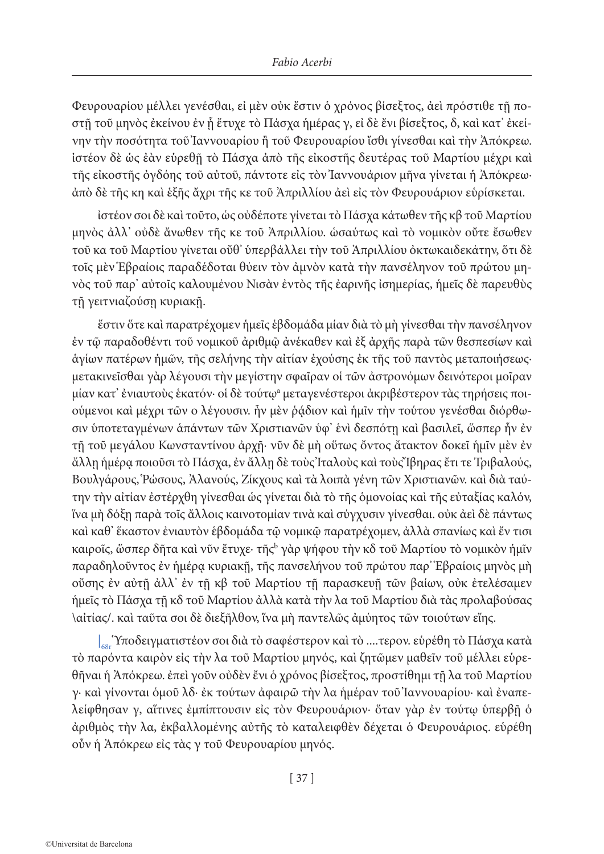Φευρουαρίου μέλλει γενέσθαι, εἰ μὲν οὐκ ἔστιν ὁ χρόνος βίσεξτος, ἀεὶ πρόστιθε τῇ ποστῇ τοῦ μηνὸς ἐκείνου ἐν ᾗ ἔτυχε τὸ Πάσχα ἡμέρας γ, εἰ δὲ ἔνι βίσεξτος, δ, καὶ κατ' ἐκείνην τὴν ποσότητα τοῦ Ἰαννουαρίου ἢ τοῦ Φευρουαρίου ἴσθι γίνεσθαι καὶ τὴν Ἀπόκρεω. ἰστέον δὲ ὡς ἐὰν εὑρεθῇ τὸ Πάσχα ἀπὸ τῆς εἰκοστῆς δευτέρας τοῦ Μαρτίου μέχρι καὶ τῆς εἰκοστῆς ὀγδόης τοῦ αὐτοῦ, πάντοτε εἰς τὸν Ἰαννουάριον μῆνα γίνεται ἡ Ἀπόκρεω· ἀπὸ δὲ τῆς κη καὶ ἑξῆς ἄχρι τῆς κε τοῦ Ἀπριλλίου ἀεὶ εἰς τὸν Φευρουάριον εὑρίσκεται.

ἰστέον σοι δὲ καὶ τοῦτο, ὡς οὐδέποτε γίνεται τὸ Πάσχα κάτωθεν τῆς κβ τοῦ Μαρτίου μηνὸς ἀλλ' οὐδὲ ἄνωθεν τῆς κε τοῦ Ἀπριλλίου. ὡσαύτως καὶ τὸ νομικὸν οὔτε ἔσωθεν τοῦ κα τοῦ Μαρτίου γίνεται οὔθ' ὑπερβάλλει τὴν τοῦ Ἀπριλλίου ὀκτωκαιδεκάτην, ὅτι δὲ τοῖς μὲν Ἑβραίοις παραδέδοται θύειν τὸν ἀμνὸν κατὰ τὴν πανσέληνον τοῦ πρώτου μηνὸς τοῦ παρ' αὐτοῖς καλουμένου Νισὰν ἐντὸς τῆς ἐαρινῆς ἰσημερίας, ἡμεῖς δὲ παρευθὺς τῇ γειτνιαζούσῃ κυριακῇ.

ἔστιν ὅτε καὶ παρατρέχομεν ἡμεῖς ἑβδομάδα μίαν διὰ τὸ μὴ γίνεσθαι τὴν πανσέληνον ἐν τῷ παραδοθέντι τοῦ νομικοῦ ἀριθμῷ ἀνέκαθεν καὶ ἐξ ἀρχῆς παρὰ τῶν θεσπεσίων καὶ ἁγίων πατέρων ἡμῶν, τῆς σελήνης τὴν αἰτίαν ἐχούσης ἐκ τῆς τοῦ παντὸς μεταποιήσεως· μετακινεῖσθαι γὰρ λέγουσι τὴν μεγίστην σφαῖραν οἱ τῶν ἀστρονόμων δεινότεροι μοῖραν μίαν κατ' ἐνιαυτοὺς ἑκατόν· οἱ δὲ τούτῳª μεταγενέστεροι ἀκριβέστερον τὰς τηρήσεις ποιούμενοι καὶ μέχρι τῶν ο λέγουσιν. ἦν μὲν ῥᾴδιον καὶ ἡμῖν τὴν τούτου γενέσθαι διόρθωσιν ὑποτεταγμένων ἁπάντων τῶν Χριστιανῶν ὑφ' ἑνὶ δεσπότῃ καὶ βασιλεῖ, ὥσπερ ἦν ἐν τῇ τοῦ μεγάλου Κωνσταντίνου ἀρχῇ· νῦν δὲ μὴ οὕτως ὄντος ἄτακτον δοκεῖ ἡμῖν μὲν ἐν ἄλλῃ ἡμέρᾳ ποιοῦσι τὸ Πάσχα, ἐν ἄλλῃ δὲ τοὺς Ἰταλοὺς καὶ τοὺς Ἴβηρας ἔτι τε Τριβαλούς, Βουλγάρους, Ῥώσους, Ἀλανούς, Ζίκχους καὶ τὰ λοιπὰ γένη τῶν Χριστιανῶν. καὶ διὰ ταύτην τὴν αἰτίαν ἐστέρχθη γίνεσθαι ὡς γίνεται διὰ τὸ τῆς ὁμονοίας καὶ τῆς εὐταξίας καλόν, ἵνα μὴ δόξῃ παρὰ τοῖς ἄλλοις καινοτομίαν τινὰ καὶ σύγχυσιν γίνεσθαι. οὐκ ἀεὶ δὲ πάντως καὶ καθ' ἕκαστον ἐνιαυτὸν ἑβδομάδα τῷ νομικῷ παρατρέχομεν, ἀλλὰ σπανίως καὶ ἔν τισι καιροῖς, ὥσπερ δῆτα καὶ νῦν ἔτυχε· τῆςʰ γὰρ ψήφου τὴν κδ τοῦ Μαρτίου τὸ νομικὸν ἡμῖν παραδηλοῦντος ἐν ἡμέρᾳ κυριακῇ, τῆς πανσελήνου τοῦ πρώτου παρ' Ἑβραίοις μηνὸς μὴ οὔσης ἐν αὐτῇ ἀλλ' ἐν τῇ κβ τοῦ Μαρτίου τῇ παρασκευῇ τῶν βαίων, οὐκ ἐτελέσαμεν ἡμεῖς τὸ Πάσχα τῇ κδ τοῦ Μαρτίου ἀλλὰ κατὰ τὴν λα τοῦ Μαρτίου διὰ τὰς προλαβούσας \αἰτίας/. καὶ ταῦτα σοι δὲ διεξῆλθον, ἵνα μὴ παντελῶς ἀμύητος τῶν τοιούτων εἴης.

 $\left.\right|_{68}$  Ύποδειγματιστέον σοι διὰ τὸ σαφέστερον καὶ τὸ ....τερον. εὑρέθη τὸ Πάσχα κατὰ τὸ παρόντα καιρὸν εἰς τὴν λα τοῦ Μαρτίου μηνός, καὶ ζητῶμεν μαθεῖν τοῦ μέλλει εὑρεθῆναι ἡ Ἀπόκρεω. ἐπεὶ γοῦν οὐδὲν ἔνι ὁ χρόνος βίσεξτος, προστίθημι τῇ λα τοῦ Μαρτίου γ· καὶ γίνονται ὁμοῦ λδ· ἐκ τούτων ἀφαιρῶ τὴν λα ἡμέραν τοῦ Ἰαννουαρίου· καὶ ἐναπελείφθησαν γ, αἵτινες ἐμπίπτουσιν εἰς τὸν Φευρουάριον· ὅταν γὰρ ἐν τούτῳ ὑπερβῇ ὁ ἀριθμὸς τὴν λα, ἐκβαλλομένης αὐτῆς τὸ καταλειφθὲν δέχεται ὁ Φευρουάριος. εὑρέθη οὖν ἡ Ἀπόκρεω εἰς τὰς γ τοῦ Φευρουαρίου μηνός.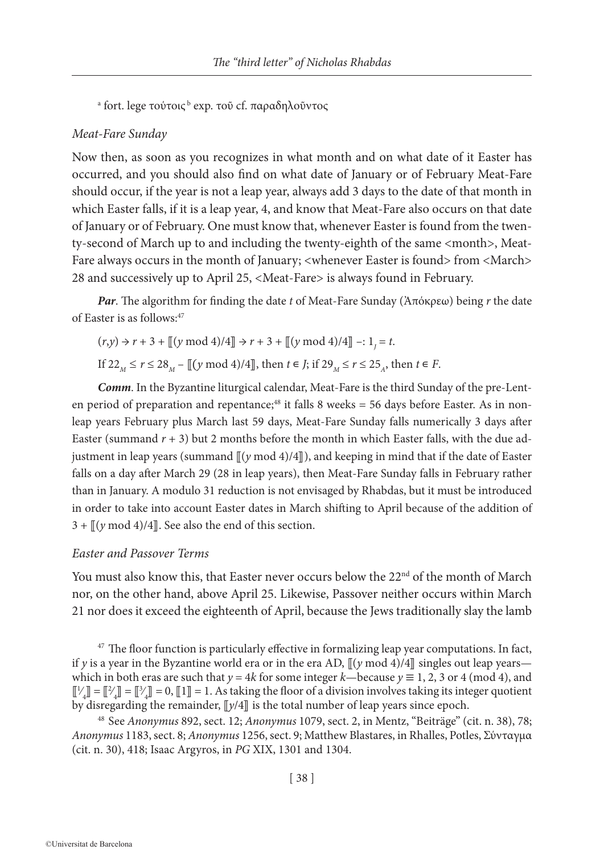<sup>a</sup> fort. lege τούτοις <sup>ь</sup> exp. τοῦ cf. παραδηλοῦντος

#### *Meat-Fare Sunday*

Now then, as soon as you recognizes in what month and on what date of it Easter has occurred, and you should also find on what date of January or of February Meat-Fare should occur, if the year is not a leap year, always add 3 days to the date of that month in which Easter falls, if it is a leap year, 4, and know that Meat-Fare also occurs on that date of January or of February. One must know that, whenever Easter is found from the twenty-second of March up to and including the twenty-eighth of the same <month>, Meat-Fare always occurs in the month of January; <whenever Easter is found> from <March> 28 and successively up to April 25, <Meat-Fare> is always found in February.

*Par*. The algorithm for finding the date *t* of Meat-Fare Sunday (Ἀπόκρεω) being *r* the date of Easter is as follows:47

$$
(r,y) \rightarrow r + 3 + [[(y \mod 4)/4]] \rightarrow r + 3 + [[(y \mod 4)/4]] -: 1j = t.
$$
  
If  $22_M \le r \le 28_M - [[(y \mod 4)/4]]$ , then  $t \in J$ ; if  $29_M \le r \le 25_A$ , then  $t \in F$ .

*Comm*. In the Byzantine liturgical calendar, Meat-Fare is the third Sunday of the pre-Lenten period of preparation and repentance;<sup>48</sup> it falls 8 weeks = 56 days before Easter. As in nonleap years February plus March last 59 days, Meat-Fare Sunday falls numerically 3 days after Easter (summand  $r + 3$ ) but 2 months before the month in which Easter falls, with the due adjustment in leap years (summand  $\left(\frac{y \mod 4}{4}\right)$ ), and keeping in mind that if the date of Easter falls on a day after March 29 (28 in leap years), then Meat-Fare Sunday falls in February rather than in January. A modulo 31 reduction is not envisaged by Rhabdas, but it must be introduced in order to take into account Easter dates in March shifting to April because of the addition of  $3 + \sqrt{(y \mod 4)/4}$ . See also the end of this section.

## *Easter and Passover Terms*

You must also know this, that Easter never occurs below the 22<sup>nd</sup> of the month of March nor, on the other hand, above April 25. Likewise, Passover neither occurs within March 21 nor does it exceed the eighteenth of April, because the Jews traditionally slay the lamb

 $47$  The floor function is particularly effective in formalizing leap year computations. In fact, if *y* is a year in the Byzantine world era or in the era AD,  $\left[\frac{\gamma \mod 4}{4}\right]$  singles out leap years which in both eras are such that  $y = 4k$  for some integer  $k$ —because  $y \equiv 1, 2, 3$  or 4 (mod 4), and  $\llbracket \frac{1}{4} \rrbracket = \llbracket \frac{3}{4} \rrbracket = \llbracket \frac{3}{4} \rrbracket = 0, \llbracket 1 \rrbracket = 1$ . As taking the floor of a division involves taking its integer quotient ∕ ∕ ∕ by disregarding the remainder,  $\left[\frac{y}{4}\right]$  is the total number of leap years since epoch.

<sup>48</sup> See *Anonymus* 892, sect. 12; *Anonymus* 1079, sect. 2, in Mentz, "Beiträge" (cit. n. 38), 78; *Anonymus* 1183, sect. 8; *Anonymus* 1256, sect. 9; Matthew Blastares, in Rhalles, Potles, Σύνταγμα (cit. n. 30), 418; Isaac Argyros, in *PG* XIX, 1301 and 1304.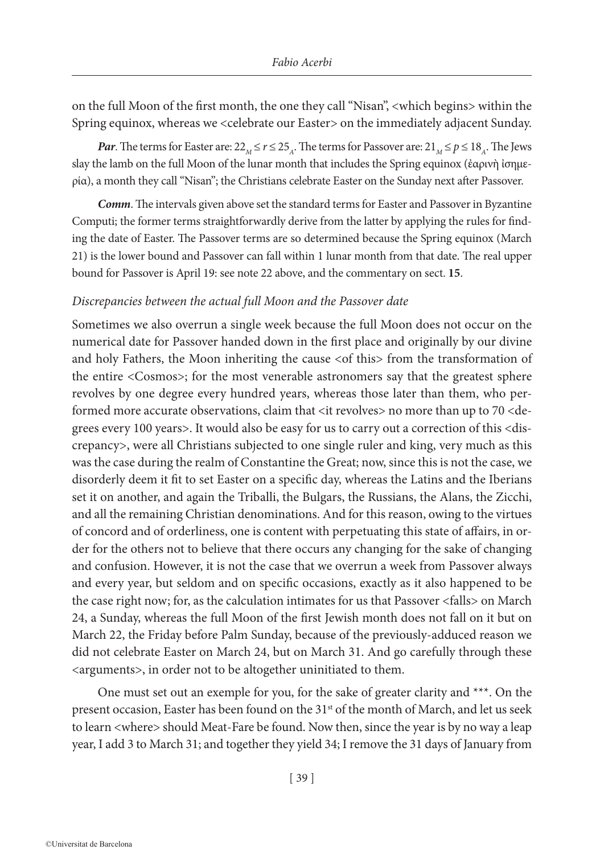on the full Moon of the first month, the one they call "Nisan", <which begins> within the Spring equinox, whereas we <celebrate our Easter> on the immediately adjacent Sunday.

*Par*. The terms for Easter are:  $22_M \le r \le 25_A$ . The terms for Passover are:  $21_M \le p \le 18_A$ . The Jews slay the lamb on the full Moon of the lunar month that includes the Spring equinox (ἐαρινὴ ἰσημερία), a month they call "Nisan"; the Christians celebrate Easter on the Sunday next after Passover.

*Comm*. The intervals given above set the standard terms for Easter and Passover in Byzantine Computi; the former terms straightforwardly derive from the latter by applying the rules for finding the date of Easter. The Passover terms are so determined because the Spring equinox (March 21) is the lower bound and Passover can fall within 1 lunar month from that date. The real upper bound for Passover is April 19: see note 22 above, and the commentary on sect. **15**.

## *Discrepancies between the actual full Moon and the Passover date*

Sometimes we also overrun a single week because the full Moon does not occur on the numerical date for Passover handed down in the first place and originally by our divine and holy Fathers, the Moon inheriting the cause  $\leq$  this from the transformation of the entire <Cosmos>; for the most venerable astronomers say that the greatest sphere revolves by one degree every hundred years, whereas those later than them, who performed more accurate observations, claim that <it revolves> no more than up to 70 <degrees every 100 years>. It would also be easy for us to carry out a correction of this <discrepancy>, were all Christians subjected to one single ruler and king, very much as this was the case during the realm of Constantine the Great; now, since this is not the case, we disorderly deem it fit to set Easter on a specific day, whereas the Latins and the Iberians set it on another, and again the Triballi, the Bulgars, the Russians, the Alans, the Zicchi, and all the remaining Christian denominations. And for this reason, owing to the virtues of concord and of orderliness, one is content with perpetuating this state of affairs, in order for the others not to believe that there occurs any changing for the sake of changing and confusion. However, it is not the case that we overrun a week from Passover always and every year, but seldom and on specific occasions, exactly as it also happened to be the case right now; for, as the calculation intimates for us that Passover <falls> on March 24, a Sunday, whereas the full Moon of the first Jewish month does not fall on it but on March 22, the Friday before Palm Sunday, because of the previously-adduced reason we did not celebrate Easter on March 24, but on March 31. And go carefully through these <arguments>, in order not to be altogether uninitiated to them.

One must set out an exemple for you, for the sake of greater clarity and \*\*\*. On the present occasion, Easter has been found on the 31<sup>st</sup> of the month of March, and let us seek to learn <where> should Meat-Fare be found. Now then, since the year is by no way a leap year, I add 3 to March 31; and together they yield 34; I remove the 31 days of January from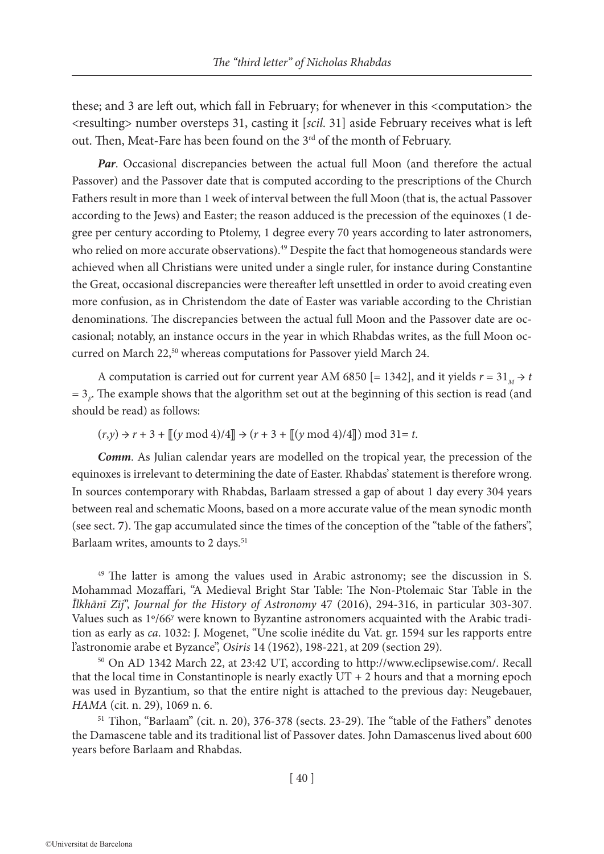these; and 3 are left out, which fall in February; for whenever in this <computation> the <resulting> number oversteps 31, casting it [*scil*. 31] aside February receives what is left out. Then, Meat-Fare has been found on the 3<sup>rd</sup> of the month of February.

*Par*. Occasional discrepancies between the actual full Moon (and therefore the actual Passover) and the Passover date that is computed according to the prescriptions of the Church Fathers result in more than 1 week of interval between the full Moon (that is, the actual Passover according to the Jews) and Easter; the reason adduced is the precession of the equinoxes (1 degree per century according to Ptolemy, 1 degree every 70 years according to later astronomers, who relied on more accurate observations).<sup>49</sup> Despite the fact that homogeneous standards were achieved when all Christians were united under a single ruler, for instance during Constantine the Great, occasional discrepancies were thereafter left unsettled in order to avoid creating even more confusion, as in Christendom the date of Easter was variable according to the Christian denominations. The discrepancies between the actual full Moon and the Passover date are occasional; notably, an instance occurs in the year in which Rhabdas writes, as the full Moon occurred on March 22,<sup>50</sup> whereas computations for Passover yield March 24.

A computation is carried out for current year AM 6850 [= 1342], and it yields  $r = 31<sub>M</sub> \rightarrow t$  $=$  3<sub>F</sub>. The example shows that the algorithm set out at the beginning of this section is read (and should be read) as follows:

 $(r,y) \rightarrow r + 3 + [(y \mod 4)/4] \rightarrow (r + 3 + [(y \mod 4)/4]) \mod 31 = t.$ 

*Comm*. As Julian calendar years are modelled on the tropical year, the precession of the equinoxes is irrelevant to determining the date of Easter. Rhabdas' statement is therefore wrong. In sources contemporary with Rhabdas, Barlaam stressed a gap of about 1 day every 304 years between real and schematic Moons, based on a more accurate value of the mean synodic month (see sect. **7**). The gap accumulated since the times of the conception of the "table of the fathers", Barlaam writes, amounts to 2 days.<sup>51</sup>

<sup>49</sup> The latter is among the values used in Arabic astronomy; see the discussion in S. Mohammad Mozaffari, "A Medieval Bright Star Table: The Non-Ptolemaic Star Table in the *Īlkhānī Zīj*", *Journal for the History of Astronomy* 47 (2016), 294-316, in particular 303-307. Values such as 1°/66<sup>y</sup> were known to Byzantine astronomers acquainted with the Arabic tradition as early as *ca*. 1032: J. Mogenet, "Une scolie inédite du Vat. gr. 1594 sur les rapports entre l'astronomie arabe et Byzance", *Osiris* 14 (1962), 198-221, at 209 (section 29).

<sup>50</sup> On AD 1342 March 22, at 23:42 UT, according to http://www.eclipsewise.com/. Recall that the local time in Constantinople is nearly exactly  $UT + 2$  hours and that a morning epoch was used in Byzantium, so that the entire night is attached to the previous day: Neugebauer, *HAMA* (cit. n. 29), 1069 n. 6.

<sup>51</sup> Tihon, "Barlaam" (cit. n. 20), 376-378 (sects. 23-29). The "table of the Fathers" denotes the Damascene table and its traditional list of Passover dates. John Damascenus lived about 600 years before Barlaam and Rhabdas.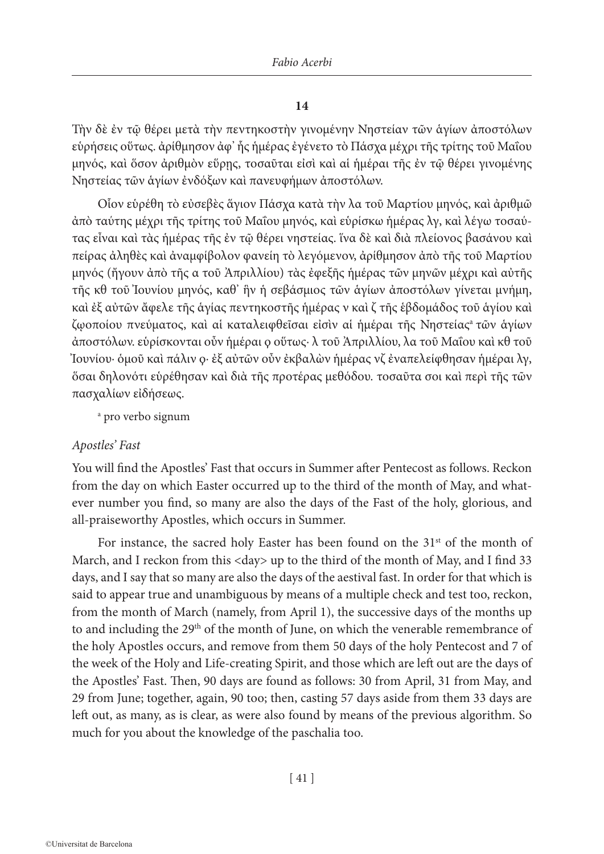# **14**

Τὴν δὲ ἐν τῷ θέρει μετὰ τὴν πεντηκοστὴν γινομένην Νηστείαν τῶν ἁγίων ἀποστόλων εὑρήσεις οὕτως. ἀρίθμησον ἀφ' ἧς ἡμέρας ἐγένετο τὸ Πάσχα μέχρι τῆς τρίτης τοῦ Μαΐου μηνός, καὶ ὅσον ἀριθμὸν εὕρῃς, τοσαῦται εἰσὶ καὶ αἱ ἡμέραι τῆς ἐν τῷ θέρει γινομένης Νηστείας τῶν ἁγίων ἐνδόξων καὶ πανευφήμων ἀποστόλων.

Οἷον εὑρέθη τὸ εὐσεβὲς ἅγιον Πάσχα κατὰ τὴν λα τοῦ Μαρτίου μηνός, καὶ ἀριθμῶ ἀπὸ ταύτης μέχρι τῆς τρίτης τοῦ Μαΐου μηνός, καὶ εὑρίσκω ἡμέρας λγ, καὶ λέγω τοσαύτας εἶναι καὶ τὰς ἡμέρας τῆς ἐν τῷ θέρει νηστείας. ἵνα δὲ καὶ διὰ πλείονος βασάνου καὶ πείρας ἀληθὲς καὶ ἀναμφίβολον φανείη τὸ λεγόμενον, ἀρίθμησον ἀπὸ τῆς τοῦ Μαρτίου μηνός (ἤγουν ἀπὸ τῆς α τοῦ Ἀπριλλίου) τὰς ἐφεξῆς ἡμέρας τῶν μηνῶν μέχρι καὶ αὐτῆς τῆς κθ τοῦ Ἰουνίου μηνός, καθ' ἣν ἡ σεβάσμιος τῶν ἁγίων ἀποστόλων γίνεται μνήμη, καὶ ἐξ αὐτῶν ἄφελε τῆς ἁγίας πεντηκοστῆς ἡμέρας ν καὶ ζ τῆς ἑβδομάδος τοῦ ἁγίου καὶ ζῳοποίου πνεύματος, καὶ αἱ καταλειφθεῖσαι εἰσὶν αἱ ἡμέραι τῆς Νηστείαςa τῶν ἁγίων ἀποστόλων. εὑρίσκονται οὖν ἡμέραι ϙ οὕτως· λ τοῦ Ἀπριλλίου, λα τοῦ Μαΐου καὶ κθ τοῦ Ἰουνίου· ὁμοῦ καὶ πάλιν ϙ· ἐξ αὐτῶν οὖν ἐκβαλὼν ἡμέρας νζ ἐναπελείφθησαν ἡμέραι λγ, ὅσαι δηλονότι εὑρέθησαν καὶ διὰ τῆς προτέρας μεθόδου. τοσαῦτα σοι καὶ περὶ τῆς τῶν πασχαλίων εἰδήσεως.

a pro verbo signum

# *Apostles' Fast*

You will find the Apostles' Fast that occurs in Summer after Pentecost as follows. Reckon from the day on which Easter occurred up to the third of the month of May, and whatever number you find, so many are also the days of the Fast of the holy, glorious, and all-praiseworthy Apostles, which occurs in Summer.

For instance, the sacred holy Easter has been found on the  $31<sup>st</sup>$  of the month of March, and I reckon from this <day> up to the third of the month of May, and I find 33 days, and I say that so many are also the days of the aestival fast. In order for that which is said to appear true and unambiguous by means of a multiple check and test too, reckon, from the month of March (namely, from April 1), the successive days of the months up to and including the 29<sup>th</sup> of the month of June, on which the venerable remembrance of the holy Αpostles occurs, and remove from them 50 days of the holy Pentecost and 7 of the week of the Holy and Life-creating Spirit, and those which are left out are the days of the Apostles' Fast. Then, 90 days are found as follows: 30 from April, 31 from May, and 29 from June; together, again, 90 too; then, casting 57 days aside from them 33 days are left out, as many, as is clear, as were also found by means of the previous algorithm. So much for you about the knowledge of the paschalia too.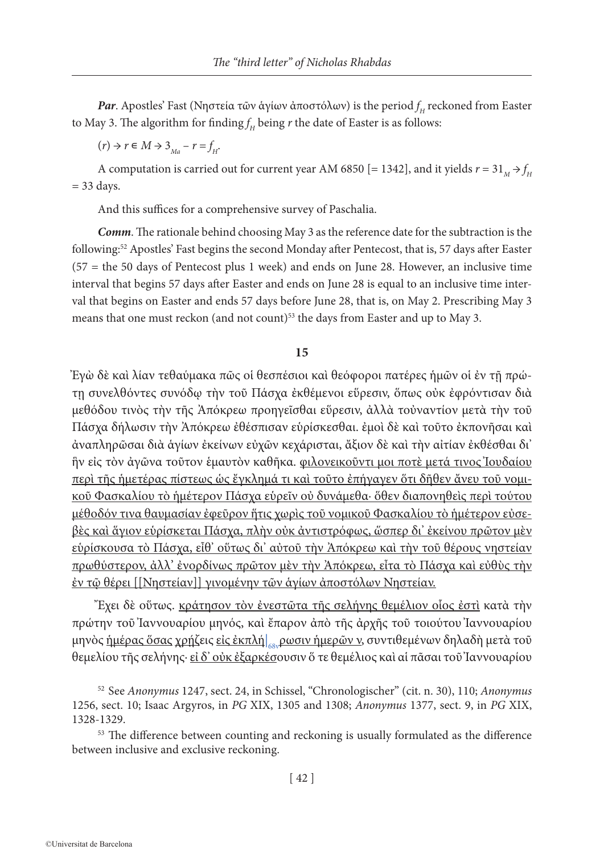*Par*. Apostles' Fast (Νηστεία τῶν ἁγίων ἀποστόλων) is the period *f <sup>H</sup>* reckoned from Easter to May 3. The algorithm for finding $f_{\scriptscriptstyle H}$  being  $r$  the date of Easter is as follows:

 $(r) \rightarrow r \in M \rightarrow 3_{Ma} - r = f_H$ .

A computation is carried out for current year AM 6850 [= 1342], and it yields  $r = 31^M \rightarrow f_H$  $= 33$  days.

And this suffices for a comprehensive survey of Paschalia.

*Comm*. The rationale behind choosing May 3 as the reference date for the subtraction is the following:52 Apostles' Fast begins the second Monday after Pentecost, that is, 57 days after Easter (57 = the 50 days of Pentecost plus 1 week) and ends on June 28. However, an inclusive time interval that begins 57 days after Easter and ends on June 28 is equal to an inclusive time interval that begins on Easter and ends 57 days before June 28, that is, on May 2. Prescribing May 3 means that one must reckon (and not count)<sup>53</sup> the days from Easter and up to May 3.

#### **15**

Ἐγὼ δὲ καὶ λίαν τεθαύμακα πῶς οἱ θεσπέσιοι καὶ θεόφοροι πατέρες ἡμῶν οἱ ἐν τῇ πρώτῃ συνελθόντες συνόδῳ τὴν τοῦ Πάσχα ἐκθέμενοι εὕρεσιν, ὅπως οὐκ ἐφρόντισαν διὰ μεθόδου τινὸς τὴν τῆς Ἀπόκρεω προηγεῖσθαι εὕρεσιν, ἀλλὰ τοὐναντίον μετὰ τὴν τοῦ Πάσχα δήλωσιν τὴν Ἀπόκρεω ἐθέσπισαν εὑρίσκεσθαι. ἐμοὶ δὲ καὶ τοῦτο ἐκπονῆσαι καὶ ἀναπληρῶσαι διὰ ἁγίων ἐκείνων εὐχῶν κεχάρισται, ἄξιον δὲ καὶ τὴν αἰτίαν ἐκθέσθαι δι' ἣν εἰς τὸν ἀγῶνα τοῦτον ἑμαυτὸν καθῆκα. φιλονεικοῦντι μοι ποτὲ μετά τινος Ἰουδαίου περὶ τῆς ἡμετέρας πίστεως ὡς ἔγκλημά τι καὶ τοῦτο ἐπήγαγεν ὅτι δῆθεν ἄνευ τοῦ νομικοῦ Φασκαλίου τὸ ἡμέτερον Πάσχα εὑρεῖν οὐ δυνάμεθα· ὅθεν διαπονηθεὶς περὶ τούτου μέθοδόν τινα θαυμασίαν ἐφεῦρον ἥτις χωρὶς τοῦ νομικοῦ Φασκαλίου τὸ ἡμέτερον εὐσεβὲς καὶ ἅγιον εὑρίσκεται Πάσχα, πλὴν οὐκ ἀντιστρόφως, ὥσπερ δι' ἐκείνου πρῶτον μὲν εὑρίσκουσα τὸ Πάσχα, εἶθ' οὕτως δι' αὐτοῦ τὴν Ἀπόκρεω καὶ τὴν τοῦ θέρους νηστείαν πρωθύστερον, ἀλλ' ἐνορδίνως πρῶτον μὲν τὴν Ἀπόκρεω, εἶτα τὸ Πάσχα καὶ εὐθὺς τὴν ἐν τῷ θέρει [[Νηστείαν]] γινομένην τῶν ἁγίων ἀποστόλων Νηστείαν.

Ἔχει δὲ οὕτως. κράτησον τὸν ἐνεστῶτα τῆς σελήνης θεμέλιον οἷος ἐστὶ κατὰ τὴν πρώτην τοῦ Ἰαννουαρίου μηνός, καὶ ἔπαρον ἀπὸ τῆς ἀρχῆς τοῦ τοιούτου Ἰαννουαρίου μηνὸς <u>ἡμέρας ὅσας χρήζ</u>εις <u>εἰς ἐκπλή|<sub>68ν</sub>ρωσιν ἡμερῶν ν,</u> συντιθεμένων δηλαδὴ μετὰ τοῦ θεμελίου τῆς σελήνης· εἰ δ' οὐκ ἐξαρκέσουσιν ὅ τε θεμέλιος καὶ αἱ πᾶσαι τοῦ Ἰαννουαρίου

<sup>52</sup> See *Anonymus* 1247, sect. 24, in Schissel, "Chronologischer" (cit. n. 30), 110; *Anonymus* 1256, sect. 10; Isaac Argyros, in *PG* XIX, 1305 and 1308; *Anonymus* 1377, sect. 9, in *PG* XIX, 1328-1329.

<sup>53</sup> The difference between counting and reckoning is usually formulated as the difference between inclusive and exclusive reckoning.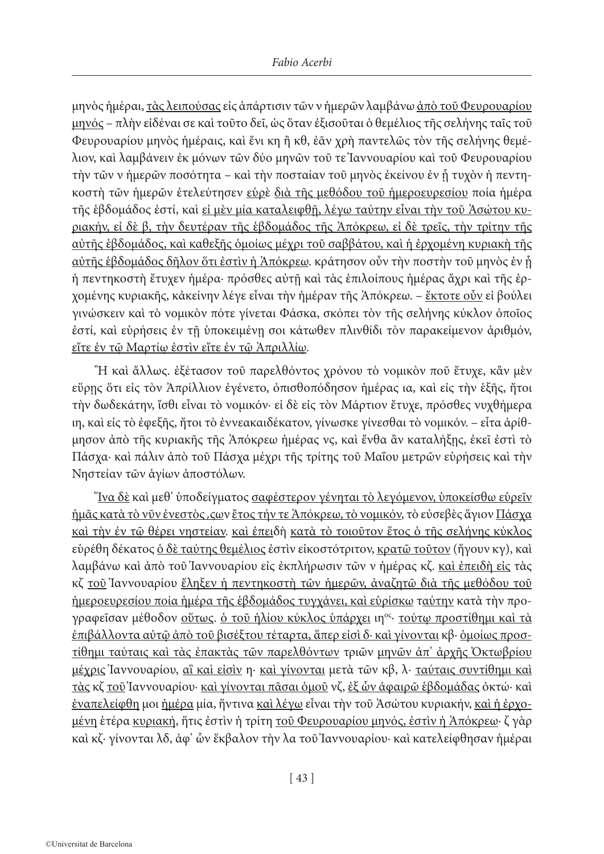μηνὸς ἡμέραι, τὰς λειπούσας εἰς ἀπάρτισιν τῶν ν ἡμερῶν λαμβάνω ἀπὸ τοῦ Φευρουαρίου μηνός – πλὴν εἰδέναι σε καὶ τοῦτο δεῖ, ὡς ὅταν ἐξισοῦται ὁ θεμέλιος τῆς σελήνης ταῖς τοῦ Φευρουαρίου μηνὸς ἡμέραις, καὶ ἔνι κη ἢ κθ, ἐᾶν χρὴ παντελῶς τὸν τῆς σελήνης θεμέλιον, καὶ λαμβάνειν ἐκ μόνων τῶν δύο μηνῶν τοῦ τε Ἰαννουαρίου καὶ τοῦ Φευρουαρίου τὴν τῶν ν ἡμερῶν ποσότητα – καὶ τὴν ποσταίαν τοῦ μηνὸς ἐκείνου ἐν ᾗ τυχὸν ἡ πεντηκοστὴ τῶν ἡμερῶν ἐτελεύτησεν εὑρὲ διὰ τῆς μεθόδου τοῦ ἡμεροευρεσίου ποία ἡμέρα τῆς ἑβδομάδος ἐστί, καὶ εἰ μὲν μία καταλειφθῇ, λέγω ταύτην εἶναι τὴν τοῦ Ἀσώτου κυριακήν, εἰ δὲ β, τὴν δευτέραν τῆς ἑβδομάδος τῆς Ἀπόκρεω, εἰ δὲ τρεῖς, τὴν τρίτην τῆς αὐτῆς ἑβδομάδος, καὶ καθεξῆς ὁμοίως μέχρι τοῦ σαββάτου, καὶ ἡ ἐρχομένη κυριακὴ τῆς αύτῆς ἑβδομάδος δῆλον ὅτι ἐστὶν ἡ Ἀπόκρεω. κράτησον οὖν τὴν ποστὴν τοῦ μηνὸς ἐν ἧ ἡ πεντηκοστὴ ἔτυχεν ἡμέρα· πρόσθες αὐτῇ καὶ τὰς ἐπιλοίπους ἡμέρας ἄχρι καὶ τῆς ἐρχομένης κυριακῆς, κἀκείνην λέγε εἶναι τὴν ἡμέραν τῆς Ἀπόκρεω. – ἔκτοτε οὖν εἰ βούλει γινώσκειν καὶ τὸ νομικὸν πότε γίνεται Φάσκα, σκόπει τὸν τῆς σελήνης κύκλον ὁποῖος ἐστί, καὶ εὑρήσεις ἐν τῇ ὑποκειμένῃ σοι κάτωθεν πλινθίδι τὸν παρακείμενον ἀριθμόν, εἴτε ἐν τῷ Μαρτίῳ ἐστὶν εἴτε ἐν τῷ Ἀπριλλίῳ.

Ἢ καὶ ἄλλως. ἐξέτασον τοῦ παρελθόντος χρόνου τὸ νομικὸν ποῦ ἔτυχε, κἂν μὲν εὕρῃς ὅτι εἰς τὸν Ἀπρίλλιον ἐγένετο, ὀπισθοπόδησον ἡμέρας ια, καὶ εἰς τὴν ἑξῆς, ἤτοι τὴν δωδεκάτην, ἴσθι εἶναι τὸ νομικόν· εἰ δὲ εἰς τὸν Μάρτιον ἔτυχε, πρόσθες νυχθήμερα ιη, καὶ εἰς τὸ ἐφεξῆς, ἤτοι τὸ ἐννεακαιδέκατον, γίνωσκε γίνεσθαι τὸ νομικόν. – εἶτα ἀρίθμησον ἀπὸ τῆς κυριακῆς τῆς Ἀπόκρεω ἡμέρας νϛ, καὶ ἔνθα ἂν καταλήξῃς, ἐκεῖ ἐστὶ τὸ Πάσχα· καὶ πάλιν ἀπὸ τοῦ Πάσχα μέχρι τῆς τρίτης τοῦ Μαΐου μετρῶν εὑρήσεις καὶ τὴν Νηστείαν τῶν ἁγίων ἀποστόλων.

Ἵνα δὲ καὶ μεθ' ὑποδείγματος σαφέστερον γένηται τὸ λεγόμενον, ὑποκείσθω εὑρεῖν ἡμᾶς κατὰ τὸ νῦν ἐνεστὸς ͵ϛων ἔτος τήν τε Ἀπόκρεω, τὸ νομικόν, τὸ εὐσεβὲς ἅγιον Πάσχα καὶ τὴν ἐν τῷ θέρει νηστείαν. καὶ ἐπειδὴ κατὰ τὸ τοιοῦτον ἔτος ὁ τῆς σελήνης κύκλος εὑρέθη δέκατος ὁ δὲ ταύτης θεμέλιος ἐστὶν εἰκοστότριτον, κρατῶ τοῦτον (ἤγουν κγ), καὶ λαμβάνω καὶ ἀπὸ τοῦ Ἰαννουαρίου εἰς ἐκπλήρωσιν τῶν ν ἡμέρας κζ. καὶ ἐπειδὴ εἰς τὰς κζ τοῦ Ιαννουαρίου <u>ἔληξεν ἡ πεντηκοστὴ τῶν ἡμερῶν, ἀναζητῶ διὰ τῆς μεθόδου τοῦ</u> ἡμεροευρεσίου ποία ἡμέρα τῆς ἑβδομάδος τυγχάνει, καὶ εὑρίσκω ταύτην κατὰ τὴν προγραφεΐσαν μέθοδον <u>οὕτως, ὁ τοῦ ἡλίου κύκλος ὑπάρχει</u> ιη<sup>ος</sup>· τούτω προστίθημι καὶ τὰ ἐπιβάλλοντα αὐτῷ ἀπὸ τοῦ βισέξτου τέταρτα, ἅπερ εἰσὶ δ· καὶ γίνονται κβ· ὁμοίως προστίθημι ταύταις καὶ τὰς ἐπακτὰς τῶν παρελθόντων τριῶν μηνῶν ἀπ' ἀρχῆς Ὀκτωβρίου μέχρις Ἰαννουαρίου, αἳ καὶ εἰσὶν η· καὶ γίνονται μετὰ τῶν κβ, λ· ταύταις συντίθημι καὶ τὰς κζ τοῦ Ἰαννουαρίου· καὶ γίνονται πᾶσαι ὁμοῦ νζ, ἐξ ὧν ἀφαιρῶ ἑβδομάδας ὀκτώ· καὶ ἐναπελείφθη μοι ἡμέρα μία, ἥντινα καὶ λέγω εἶναι τὴν τοῦ Ἀσώτου κυριακήν, καὶ ἡ ἐρχομένη ἑτέρα κυριακή, ἥτις ἐστὶν ἡ τρίτη τοῦ Φευρουαρίου μηνός, ἐστὶν ἡ Ἀπόκρεω· ζ γὰρ καὶ κζ· γίνονται λδ, ἀφ' ὧν ἔκβαλον τὴν λα τοῦ Ἰαννουαρίου· καὶ κατελείφθησαν ἡμέραι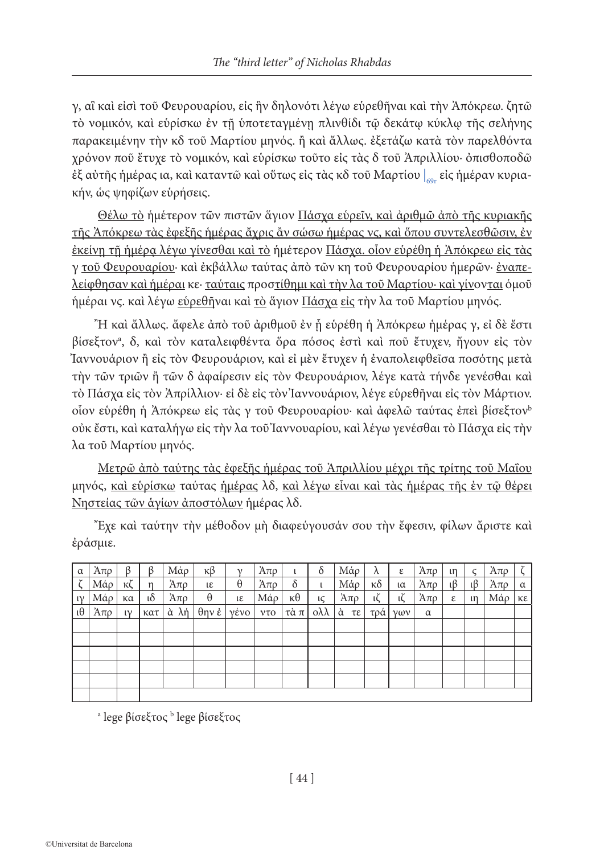γ, αἳ καὶ εἰσὶ τοῦ Φευρουαρίου, εἰς ἣν δηλονότι λέγω εὑρεθῆναι καὶ τὴν Ἀπόκρεω. ζητῶ τὸ νομικόν, καὶ εὑρίσκω ἐν τῇ ὑποτεταγμένῃ πλινθίδι τῷ δεκάτῳ κύκλῳ τῆς σελήνης παρακειμένην τὴν κδ τοῦ Μαρτίου μηνός. ἢ καὶ ἄλλως. ἐξετάζω κατὰ τὸν παρελθόντα χρόνον ποῦ ἔτυχε τὸ νομικόν, καὶ εὑρίσκω τοῦτο εἰς τὰς δ τοῦ Ἀπριλλίου· ὀπισθοποδῶ ἐξ αὐτῆς ἡμέρας ια, καὶ καταντῶ καὶ οὕτως εἰς τὰς κδ τοῦ Μαρτίου |<sub>69r</sub> εἰς ἡμέραν κυριακήν, ὡς ψηφίζων εὑρήσεις.

Θέλω τὸ ἡμέτερον τῶν πιστῶν ἅγιον Πάσχα εὑρεῖν, καὶ ἀριθμῶ ἀπὸ τῆς κυριακῆς τῆς Ἀπόκρεω τὰς ἐφεξῆς ἡμέρας ἄχρις ἂν σώσω ἡμέρας νϛ, καὶ ὅπου συντελεσθῶσιν, ἐν ἐκείνῃ τῇ ἡμέρᾳ λέγω γίνεσθαι καὶ τὸ ἡμέτερον Πάσχα. οἷον εὑρέθη ἡ Ἀπόκρεω εἰς τὰς γ τοῦ Φευρουαρίου· καὶ ἐκβάλλω ταύτας ἀπὸ τῶν κη τοῦ Φευρουαρίου ἡμερῶν· ἐναπελείφθησαν καὶ ἡμέραι κε· ταύταις προστίθημι καὶ τὴν λα τοῦ Μαρτίου· καὶ γίνονται ὁμοῦ ήμέραι νς. καὶ λέγω <u>εὑρεθῆ</u>ναι καὶ <u>τὸ</u> ἅγιον Πάσχα εἰς τὴν λα τοῦ Μαρτίου μηνός.

Ἢ καὶ ἄλλως. ἄφελε ἀπὸ τοῦ ἀριθμοῦ ἐν ᾗ εὑρέθη ἡ Ἀπόκρεω ἡμέρας γ, εἰ δὲ ἔστι βίσεξτονa , δ, καὶ τὸν καταλειφθέντα ὅρα πόσος ἐστὶ καὶ ποῦ ἔτυχεν, ἤγουν εἰς τὸν Ἰαννουάριον ἢ εἰς τὸν Φευρουάριον, καὶ εἰ μὲν ἔτυχεν ἡ ἐναπολειφθεῖσα ποσότης μετὰ τὴν τῶν τριῶν ἢ τῶν δ ἀφαίρεσιν εἰς τὸν Φευρουάριον, λέγε κατὰ τήνδε γενέσθαι καὶ τὸ Πάσχα εἰς τὸν Ἀπρίλλιον· εἰ δὲ εἰς τὸν Ἰαννουάριον, λέγε εὑρεθῆναι εἰς τὸν Μάρτιον. οἷον εὑρέθη ἡ Ἀπόκρεω εἰς τὰς γ τοῦ Φευρουαρίου· καὶ ἀφελῶ ταύτας ἐπεὶ βίσεξτονb οὐκ ἔστι, καὶ καταλήγω εἰς τὴν λα τοῦ Ἰαννουαρίου, καὶ λέγω γενέσθαι τὸ Πάσχα εἰς τὴν λα τοῦ Μαρτίου μηνός.

Μετρῶ ἀπὸ ταύτης τὰς ἐφεξῆς ἡμέρας τοῦ Ἀπριλλίου μέχρι τῆς τρίτης τοῦ Μαΐου μηνός, καὶ εὑρίσκω ταύτας ἡμέρας λδ, καὶ λέγω εἶναι καὶ τὰς ἡμέρας τῆς ἐν τῷ θέρει Νηστείας τῶν ἁγίων ἀποστόλων ἡμέρας λδ.

| $\alpha$      | Άπρ        | ß             | $\beta$       | Μάρ                  | $\kappa\beta$         | $\mathcal V$                  | $A\pi\rho$ | ι              | $\delta$               | Μάρ        | $\lambda$      | ε                   | Άπρ      | $\mathfrak{m}$ | $\varsigma$    | $A\pi\rho$ | $\zeta$        |
|---------------|------------|---------------|---------------|----------------------|-----------------------|-------------------------------|------------|----------------|------------------------|------------|----------------|---------------------|----------|----------------|----------------|------------|----------------|
|               | Μάρ        | ĸζ            | $\mathsf{n}$  | Άπρ                  | $l\epsilon$           | $\theta$                      | $A\pi\rho$ | $\delta$       | ι                      | Μάρ        | $\kappa\delta$ | $\iota\alpha$       | Άπρ      | $\iota\beta$   | $\iota\beta$   | $A\pi\rho$ | $\alpha$       |
| $\mathsf{IV}$ | Μάρ        | κα            | $\iota\delta$ | Άπρ                  | $\boldsymbol{\theta}$ | ιε                            | Μάρ        | $\kappa\theta$ | lζ                     | $A\pi\rho$ | ιζ             | ιζ                  | Άπρ      | ε              | $\mathfrak{m}$ | Μάρ        | $K\mathcal{E}$ |
| ι $θ$         | $A\pi\rho$ | $\mathsf{IV}$ | κατ           | $\alpha$ $\lambda$ ή | $\theta$ ην έ         | $\gamma \dot{\epsilon} \nu o$ | $v\tau o$  | τὰ π           | $\alpha\lambda\lambda$ | ά τε       | τρά            | $\gamma \omega \nu$ | $\alpha$ |                |                |            |                |
|               |            |               |               |                      |                       |                               |            |                |                        |            |                |                     |          |                |                |            |                |
|               |            |               |               |                      |                       |                               |            |                |                        |            |                |                     |          |                |                |            |                |
|               |            |               |               |                      |                       |                               |            |                |                        |            |                |                     |          |                |                |            |                |
|               |            |               |               |                      |                       |                               |            |                |                        |            |                |                     |          |                |                |            |                |
|               |            |               |               |                      |                       |                               |            |                |                        |            |                |                     |          |                |                |            |                |
|               |            |               |               |                      |                       |                               |            |                |                        |            |                |                     |          |                |                |            |                |

Ἔχε καὶ ταύτην τὴν μέθοδον μὴ διαφεύγουσάν σου τὴν ἔφεσιν, φίλων ἄριστε καὶ ἐράσμιε.

<sup>a</sup> lege βίσεξτος <sup>b</sup> lege βίσεξτος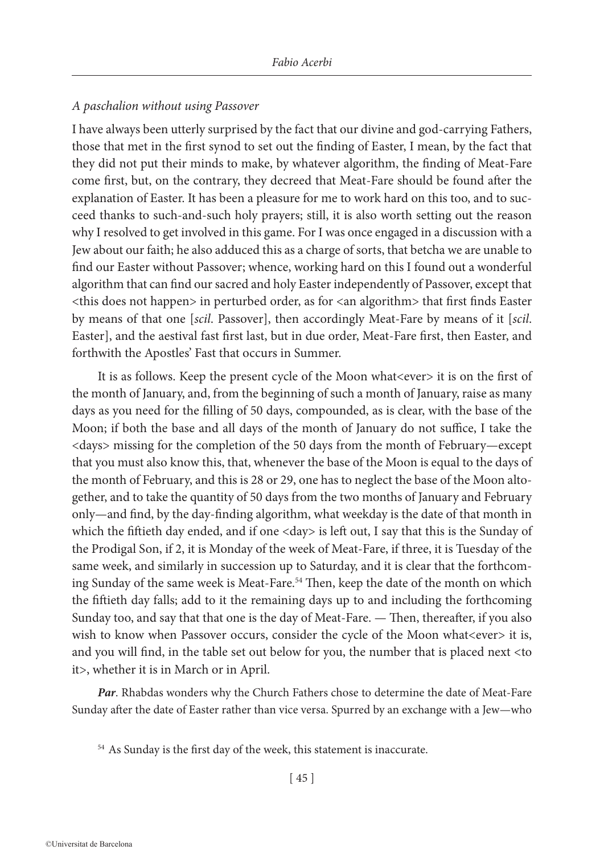# *A paschalion without using Passover*

I have always been utterly surprised by the fact that our divine and god-carrying Fathers, those that met in the first synod to set out the finding of Easter, I mean, by the fact that they did not put their minds to make, by whatever algorithm, the finding of Meat-Fare come first, but, on the contrary, they decreed that Meat-Fare should be found after the explanation of Easter. It has been a pleasure for me to work hard on this too, and to succeed thanks to such-and-such holy prayers; still, it is also worth setting out the reason why I resolved to get involved in this game. For I was once engaged in a discussion with a Jew about our faith; he also adduced this as a charge of sorts, that betcha we are unable to find our Easter without Passover; whence, working hard on this I found out a wonderful algorithm that can find our sacred and holy Easter independently of Passover, except that <this does not happen> in perturbed order, as for <an algorithm> that first finds Easter by means of that one [*scil*. Passover], then accordingly Meat-Fare by means of it [*scil*. Easter], and the aestival fast first last, but in due order, Meat-Fare first, then Easter, and forthwith the Apostles' Fast that occurs in Summer.

It is as follows. Keep the present cycle of the Moon what<ever> it is on the first of the month of January, and, from the beginning of such a month of January, raise as many days as you need for the filling of 50 days, compounded, as is clear, with the base of the Moon; if both the base and all days of the month of January do not suffice, I take the <days> missing for the completion of the 50 days from the month of February—except that you must also know this, that, whenever the base of the Moon is equal to the days of the month of February, and this is 28 or 29, one has to neglect the base of the Moon altogether, and to take the quantity of 50 days from the two months of January and February only—and find, by the day-finding algorithm, what weekday is the date of that month in which the fiftieth day ended, and if one <day> is left out, I say that this is the Sunday of the Prodigal Son, if 2, it is Monday of the week of Meat-Fare, if three, it is Tuesday of the same week, and similarly in succession up to Saturday, and it is clear that the forthcoming Sunday of the same week is Meat-Fare.<sup>54</sup> Then, keep the date of the month on which the fiftieth day falls; add to it the remaining days up to and including the forthcoming Sunday too, and say that that one is the day of Meat-Fare. — Then, thereafter, if you also wish to know when Passover occurs, consider the cycle of the Moon what<ever>it is, and you will find, in the table set out below for you, the number that is placed next <to it>, whether it is in March or in April.

*Par*. Rhabdas wonders why the Church Fathers chose to determine the date of Meat-Fare Sunday after the date of Easter rather than vice versa. Spurred by an exchange with a Jew—who

<sup>&</sup>lt;sup>54</sup> As Sunday is the first day of the week, this statement is inaccurate.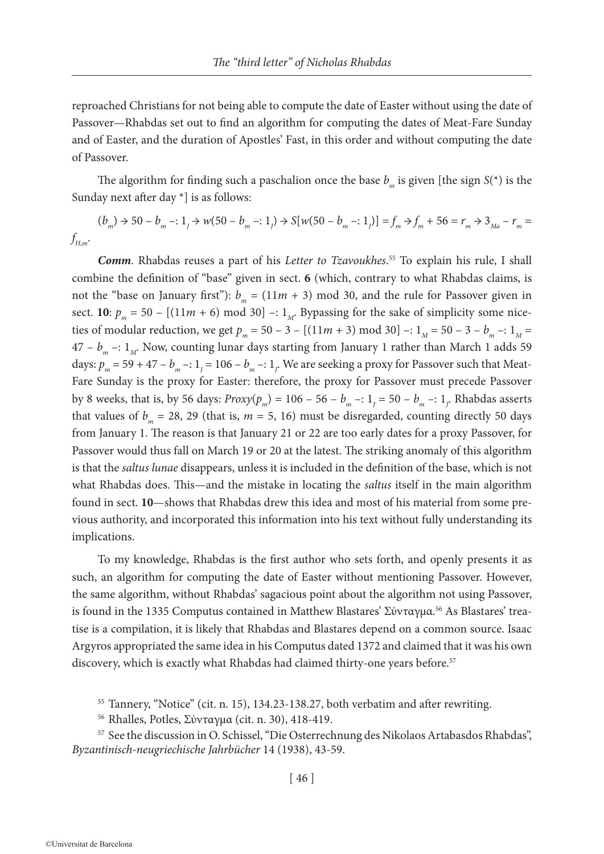reproached Christians for not being able to compute the date of Easter without using the date of Passover—Rhabdas set out to find an algorithm for computing the dates of Meat-Fare Sunday and of Easter, and the duration of Apostles' Fast, in this order and without computing the date of Passover.

The algorithm for finding such a paschalion once the base  $b_m$  is given [the sign  $S(\tau)$  is the Sunday next after day \*] is as follows:

 $(b_m) \rightarrow 50 - b_m -: 1, \rightarrow w(50 - b_m -: 1,) \rightarrow S[w(50 - b_m -: 1,)] = f_m \rightarrow f_m + 56 = r_m \rightarrow 3_{Ma} - r_m =$ *f <sup>H</sup>*,*<sup>m</sup>*.

*Comm*. Rhabdas reuses a part of his *Letter to Tzavoukhes*. 55 To explain his rule, I shall combine the definition of "base" given in sect. **6** (which, contrary to what Rhabdas claims, is not the "base on January first"):  $b_m = (11m + 3) \text{ mod } 30$ , and the rule for Passover given in sect. **10**:  $p_m = 50 - [(11m + 6) \text{ mod } 30] -: 1_M$ . By passing for the sake of simplicity some niceties of modular reduction, we get  $p_m = 50 - 3 - [(11m + 3) \text{ mod } 30] -: 1_M = 50 - 3 - b_m -: 1_M =$  $47 - b_m -: 1_M$ . Now, counting lunar days starting from January 1 rather than March 1 adds 59 days:  $p_m = 59 + 47 - b_m -: 1_j = 106 - b_m -: 1_j$ . We are seeking a proxy for Passover such that Meat-Fare Sunday is the proxy for Easter: therefore, the proxy for Passover must precede Passover by 8 weeks, that is, by 56 days:  $Proxy(p_m) = 106 - 56 - b_m - 1, 1 = 50 - b_m - 1,$  Rhabdas asserts that values of  $b_m = 28$ , 29 (that is,  $m = 5$ , 16) must be disregarded, counting directly 50 days from January 1. The reason is that January 21 or 22 are too early dates for a proxy Passover, for Passover would thus fall on March 19 or 20 at the latest. The striking anomaly of this algorithm is that the *saltus lunae* disappears, unless it is included in the definition of the base, which is not what Rhabdas does. This—and the mistake in locating the *saltus* itself in the main algorithm found in sect. **10**—shows that Rhabdas drew this idea and most of his material from some previous authority, and incorporated this information into his text without fully understanding its implications.

To my knowledge, Rhabdas is the first author who sets forth, and openly presents it as such, an algorithm for computing the date of Easter without mentioning Passover. However, the same algorithm, without Rhabdas' sagacious point about the algorithm not using Passover, is found in the 1335 Computus contained in Matthew Blastares' Σύνταγμα.<sup>56</sup> As Blastares' treatise is a compilation, it is likely that Rhabdas and Blastares depend on a common source. Isaac Argyros appropriated the same idea in his Computus dated 1372 and claimed that it was his own discovery, which is exactly what Rhabdas had claimed thirty-one years before.<sup>57</sup>

<sup>55</sup> Tannery, "Notice" (cit. n. 15), 134.23-138.27, both verbatim and after rewriting.

<sup>56</sup> Rhalles, Potles, Σύνταγμα (cit. n. 30), 418-419.

<sup>57</sup> See the discussion in O. Schissel, "Die Osterrechnung des Nikolaos Artabasdos Rhabdas", *Byzantinisch-neugriechische Jahrbücher* 14 (1938), 43-59.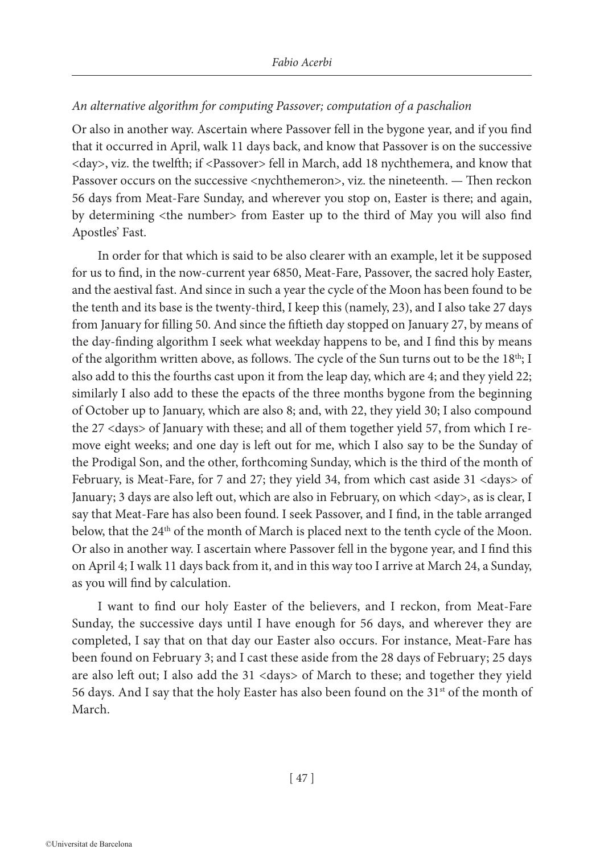# *An alternative algorithm for computing Passover; computation of a paschalion*

Or also in another way. Ascertain where Passover fell in the bygone year, and if you find that it occurred in April, walk 11 days back, and know that Passover is on the successive <day>, viz. the twelfth; if <Passover> fell in March, add 18 nychthemera, and know that Passover occurs on the successive <nychthemeron>, viz. the nineteenth. — Then reckon 56 days from Meat-Fare Sunday, and wherever you stop on, Easter is there; and again, by determining <the number> from Easter up to the third of May you will also find Apostles' Fast.

In order for that which is said to be also clearer with an example, let it be supposed for us to find, in the now-current year 6850, Meat-Fare, Passover, the sacred holy Easter, and the aestival fast. And since in such a year the cycle of the Moon has been found to be the tenth and its base is the twenty-third, I keep this (namely, 23), and I also take 27 days from January for filling 50. And since the fiftieth day stopped on January 27, by means of the day-finding algorithm I seek what weekday happens to be, and I find this by means of the algorithm written above, as follows. The cycle of the Sun turns out to be the  $18<sup>th</sup>$ ; I also add to this the fourths cast upon it from the leap day, which are 4; and they yield 22; similarly I also add to these the epacts of the three months bygone from the beginning of October up to January, which are also 8; and, with 22, they yield 30; I also compound the 27 <days> of January with these; and all of them together yield 57, from which I remove eight weeks; and one day is left out for me, which I also say to be the Sunday of the Prodigal Son, and the other, forthcoming Sunday, which is the third of the month of February, is Meat-Fare, for 7 and 27; they yield 34, from which cast aside 31 <days> of January; 3 days are also left out, which are also in February, on which <day>, as is clear, I say that Meat-Fare has also been found. I seek Passover, and I find, in the table arranged below, that the 24<sup>th</sup> of the month of March is placed next to the tenth cycle of the Moon. Or also in another way. I ascertain where Passover fell in the bygone year, and I find this on April 4; I walk 11 days back from it, and in this way too Ι arrive at March 24, a Sunday, as you will find by calculation.

I want to find our holy Easter of the believers, and I reckon, from Meat-Fare Sunday, the successive days until I have enough for 56 days, and wherever they are completed, I say that on that day our Easter also occurs. For instance, Meat-Fare has been found on February 3; and I cast these aside from the 28 days of February; 25 days are also left out; I also add the 31 <days> of March to these; and together they yield 56 days. And I say that the holy Easter has also been found on the  $31<sup>st</sup>$  of the month of March.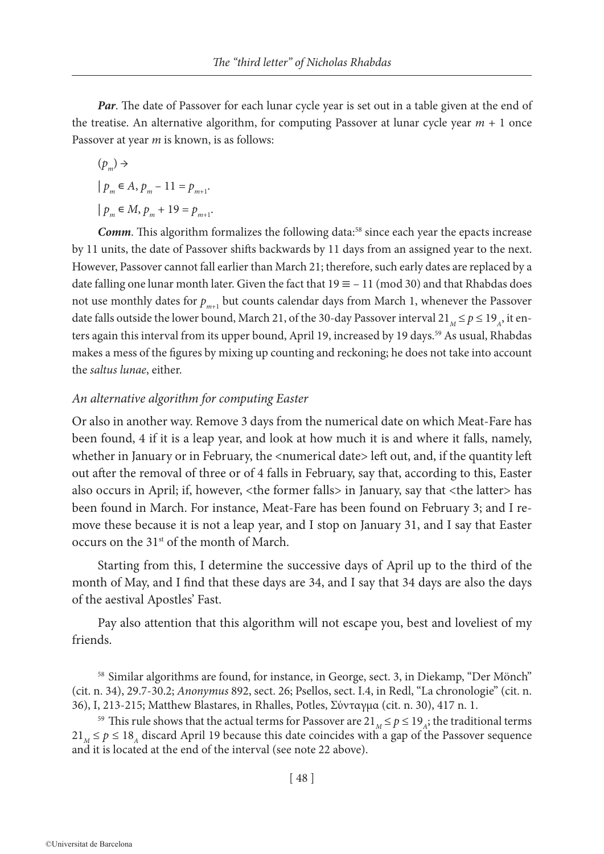*Par*. The date of Passover for each lunar cycle year is set out in a table given at the end of the treatise. An alternative algorithm, for computing Passover at lunar cycle year  $m + 1$  once Passover at year *m* is known, is as follows:

 $(p_{\ldots}) \rightarrow$  $| p_m \in A, p_m - 11 = p_{m+1}.$ 

 $| p_m \in M, p_m + 19 = p_{m+1}.$ 

**Comm**. This algorithm formalizes the following data:<sup>58</sup> since each year the epacts increase by 11 units, the date of Passover shifts backwards by 11 days from an assigned year to the next. However, Passover cannot fall earlier than March 21; therefore, such early dates are replaced by a date falling one lunar month later. Given the fact that  $19 \equiv -11 \pmod{30}$  and that Rhabdas does not use monthly dates for  $p_{m+1}$  but counts calendar days from March 1, whenever the Passover date falls outside the lower bound, March 21, of the 30-day Passover interval 21<sub>*M*</sub>  $\leq$  *p*  $\leq$  19<sub>*A*</sub>, it enters again this interval from its upper bound, April 19, increased by 19 days.<sup>59</sup> As usual, Rhabdas makes a mess of the figures by mixing up counting and reckoning; he does not take into account the *saltus lunae*, either.

## *An alternative algorithm for computing Easter*

Or also in another way. Remove 3 days from the numerical date on which Meat-Fare has been found, 4 if it is a leap year, and look at how much it is and where it falls, namely, whether in January or in February, the <numerical date> left out, and, if the quantity left out after the removal of three or of 4 falls in February, say that, according to this, Easter also occurs in April; if, however, <the former falls> in January, say that <the latter> has been found in March. For instance, Meat-Fare has been found on February 3; and I remove these because it is not a leap year, and I stop on January 31, and I say that Easter occurs on the 31st of the month of March.

Starting from this, I determine the successive days of April up to the third of the month of May, and I find that these days are 34, and I say that 34 days are also the days of the aestival Apostles' Fast.

Pay also attention that this algorithm will not escape you, best and loveliest of my friends.

<sup>58</sup> Similar algorithms are found, for instance, in George, sect. 3, in Diekamp, "Der Mönch" (cit. n. 34), 29.7-30.2; *Anonymus* 892, sect. 26; Psellos, sect. I.4, in Redl, "La chronologie" (cit. n. 36), I, 213-215; Matthew Blastares, in Rhalles, Potles, Σύνταγμα (cit. n. 30), 417 n. 1.

<sup>59</sup> This rule shows that the actual terms for Passover are  $21_M \le p \le 19_A$ ; the traditional terms  $21_M \le p \le 18_A$  discard April 19 because this date coincides with a gap of the Passover sequence and it is located at the end of the interval (see note 22 above).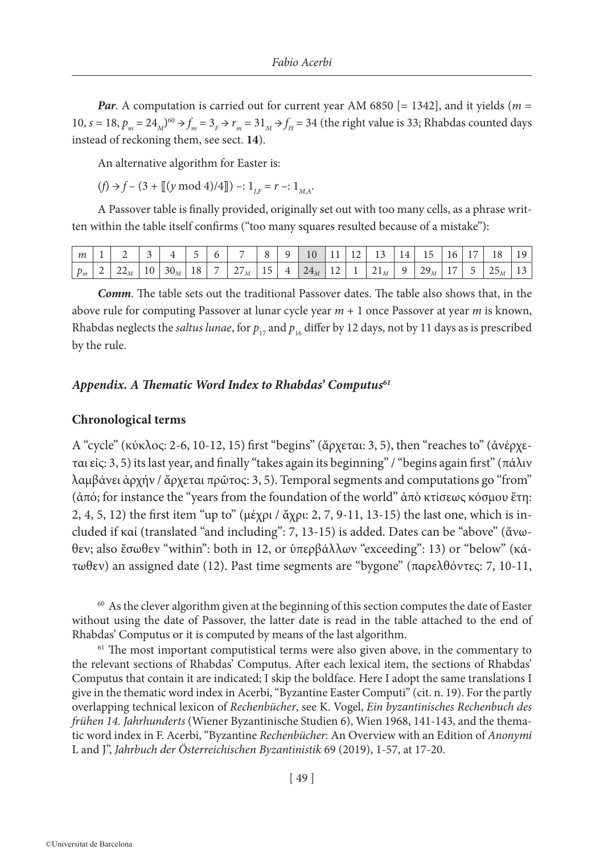*Par*. A computation is carried out for current year AM 6850 [= 1342], and it yields (*m* = 10,  $s = 18$ ,  $p_m = 24_M$ )<sup>60</sup>  $\rightarrow f_m = 3$ <sub>F</sub>  $\rightarrow r_m = 31$ <sub>M</sub>  $\rightarrow f_H = 34$  (the right value is 33; Rhabdas counted days instead of reckoning them, see sect. **14**).

An alternative algorithm for Easter is:

 $(f) \rightarrow f - (3 + [[(y \mod 4)/4]]) -: 1_{J,F} = r -: 1_{M,A}.$ 

A Passover table is finally provided, originally set out with too many cells, as a phrase written within the table itself confirms ("too many squares resulted because of a mistake"):

|  |  |  | $\mid m \mid 1 \mid 2 \mid 3 \mid 4 \mid 5 \mid 6 \mid 7 \mid 8 \mid 9 \mid 10 \mid 11 \mid 12 \mid 13 \mid 14 \mid 15 \mid 16 \mid 17 \mid 18 \mid 19$                                            |  |  |  |  |  |  |
|--|--|--|----------------------------------------------------------------------------------------------------------------------------------------------------------------------------------------------------|--|--|--|--|--|--|
|  |  |  | $\boxed{p_{m}$   2   22 <sub>M</sub>   10   30 <sub>M</sub>   18   7   27 <sub>M</sub>   15   4   24 <sub>M</sub>   12   1   21 <sub>M</sub>   9   29 <sub>M</sub>   17   5   25 <sub>M</sub>   13 |  |  |  |  |  |  |

*Comm*. The table sets out the traditional Passover dates. The table also shows that, in the above rule for computing Passover at lunar cycle year *m* + 1 once Passover at year *m* is known, Rhabdas neglects the *saltus lunae*, for  $p_{17}$  and  $p_{16}$  differ by 12 days, not by 11 days as is prescribed by the rule.

# Appendix. A Thematic Word Index to Rhabdas' Computus<sup>61</sup>

### **Chronological terms**

A "cycle" (κύκλος: 2-6, 10-12, 15) first "begins" (ἄρχεται: 3, 5), then "reaches to" (ἀνέρχεται εἰς: 3, 5) its last year, and finally "takes again its beginning" / "begins again first" (πάλιν λαμβάνει ἀρχήν / ἄρχεται πρῶτος: 3, 5). Temporal segments and computations go "from" (ἀπό; for instance the "years from the foundation of the world" ἀπὸ κτίσεως κόσμου ἔτη: 2, 4, 5, 12) the first item "up to" (μέχρι / ἄχρι: 2, 7, 9-11, 13-15) the last one, which is included if καί (translated "and including": 7, 13-15) is added. Dates can be "above" (ἄνωθεν; also ἔσωθεν "within": both in 12, or ὑπερβάλλων "exceeding": 13) or "below" (κάτωθεν) an assigned date (12). Past time segments are "bygone" (παρελθόντες: 7, 10-11,

 $60$  As the clever algorithm given at the beginning of this section computes the date of Easter without using the date of Passover, the latter date is read in the table attached to the end of Rhabdas' Computus or it is computed by means of the last algorithm.

<sup>61</sup> The most important computistical terms were also given above, in the commentary to the relevant sections of Rhabdas' Computus. After each lexical item, the sections of Rhabdas' Computus that contain it are indicated; I skip the boldface. Here I adopt the same translations I give in the thematic word index in Acerbi, "Byzantine Easter Computi" (cit. n. 19). For the partly overlapping technical lexicon of *Rechenbücher*, see K. Vogel, *Ein byzantinisches Rechenbuch des frühen 14. Jahrhunderts* (Wiener Byzantinische Studien 6), Wien 1968, 141-143, and the thematic word index in F. Acerbi, "Byzantine *Rechenbücher*: An Overview with an Edition of *Anonymi* L and J", *Jahrbuch der Österreichischen Byzantinistik* 69 (2019), 1-57, at 17-20.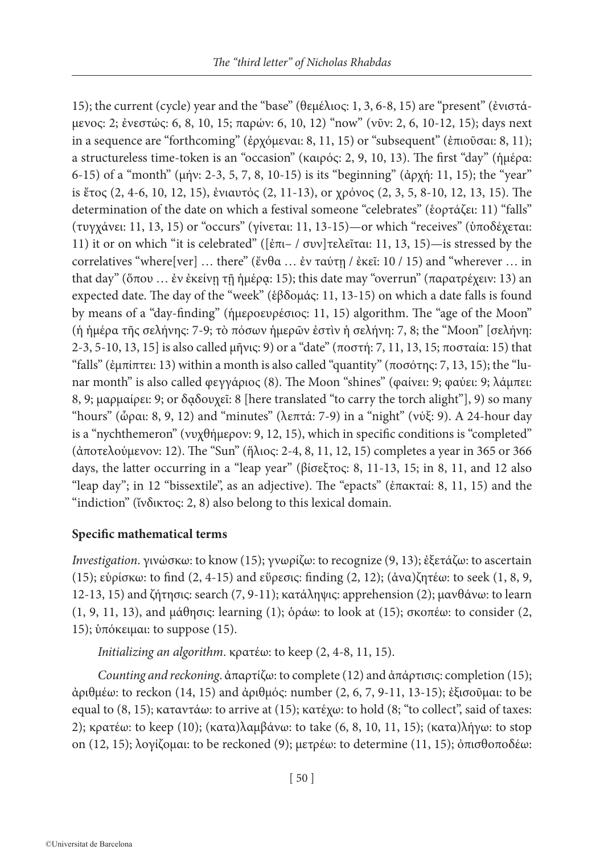15); the current (cycle) year and the "base" (θεμέλιος: 1, 3, 6-8, 15) are "present" (ἐνιστάμενος: 2; ἐνεστώς: 6, 8, 10, 15; παρών: 6, 10, 12) "now" (νῦν: 2, 6, 10-12, 15); days next in a sequence are "forthcoming" (ἐρχόμεναι: 8, 11, 15) or "subsequent" (ἐπιοῦσαι: 8, 11); a structureless time-token is an "occasion" (καιρός: 2, 9, 10, 13). The first "day" (ἡμέρα: 6-15) of a "month" (μήν: 2-3, 5, 7, 8, 10-15) is its "beginning" (ἀρχή: 11, 15); the "year" is ἔτος (2, 4-6, 10, 12, 15), ἐνιαυτός (2, 11-13), or χρόνος (2, 3, 5, 8-10, 12, 13, 15). The determination of the date on which a festival someone "celebrates" (ἑορτάζει: 11) "falls" (τυγχάνει: 11, 13, 15) or "occurs" (γίνεται: 11, 13-15)—or which "receives" (ὑποδέχεται: 11) it or on which "it is celebrated" ([ἐπι– / συν]τελεῖται: 11, 13, 15)—is stressed by the correlatives "where[ver] … there" (ἔνθα … ἐν ταύτῃ / ἐκεῖ: 10 / 15) and "wherever … in that day" (ὅπου ... ἐν ἐκείνῃ τῇ ἡμέρῳ: 15); this date may "overrun" (παρατρέχειν: 13) an expected date. The day of the "week" (ἑβδομάς: 11, 13-15) on which a date falls is found by means of a "day-finding" (ἡμεροευρέσιος: 11, 15) algorithm. The "age of the Moon" (ἡ ἡμέρα τῆς σελήνης: 7-9; τὸ πόσων ἡμερῶν ἐστὶν ἡ σελήνη: 7, 8; the "Moon" [σελήνη: 2-3, 5-10, 13, 15] is also called μῆνις: 9) or a "date" (ποστή: 7, 11, 13, 15; ποσταία: 15) that "falls" (έμπίπτει: 13) within a month is also called "quantity" (ποσότης: 7, 13, 15); the "lunar month" is also called φεγγάριος (8). The Moon "shines" (φαίνει: 9; φαύει: 9; λάμπει: 8, 9; μαρμαίρει: 9; or δᾳδουχεῖ: 8 [here translated "to carry the torch alight"], 9) so many "hours" (ὧραι: 8, 9, 12) and "minutes" (λεπτά: 7-9) in a "night" (νύξ: 9). A 24-hour day is a "nychthemeron" (νυχθήμερον: 9, 12, 15), which in specific conditions is "completed" (ἀποτελούμενον: 12). The "Sun" (ἥλιος: 2-4, 8, 11, 12, 15) completes a year in 365 or 366 days, the latter occurring in a "leap year" (βίσεξτος: 8, 11-13, 15; in 8, 11, and 12 also "leap day"; in 12 "bissextile", as an adjective). The "epacts" (ἐπακταί: 8, 11, 15) and the "indiction" (ἴνδικτος: 2, 8) also belong to this lexical domain.

# **Specific mathematical terms**

*Investigation*. γινώσκω: to know (15); γνωρίζω: to recognize (9, 13); ἐξετάζω: to ascertain (15); εὑρίσκω: to find (2, 4-15) and εὕρεσις: finding (2, 12); (ἀνα)ζητέω: to seek (1, 8, 9, 12-13, 15) and ζήτησις: search (7, 9-11); κατάληψις: apprehension (2); μανθάνω: to learn (1, 9, 11, 13), and μάθησις: learning (1); ὁράω: to look at (15); σκοπέω: to consider (2, 15); ὑπόκειμαι: to suppose (15).

*Initializing an algorithm*. κρατέω: to keep (2, 4-8, 11, 15).

*Counting and reckoning*. ἀπαρτίζω: to complete (12) and ἀπάρτισις: completion (15); ἀριθμέω: to reckon (14, 15) and ἀριθμός: number (2, 6, 7, 9-11, 13-15); ἐξισοῦμαι: to be equal to (8, 15); καταντάω: to arrive at (15); κατέχω: to hold (8; "to collect", said of taxes: 2); κρατέω: to keep (10); (κατα)λαμβάνω: to take (6, 8, 10, 11, 15); (κατα)λήγω: to stop on (12, 15); λογίζομαι: to be reckoned (9); μετρέω: to determine (11, 15); ὀπισθοποδέω: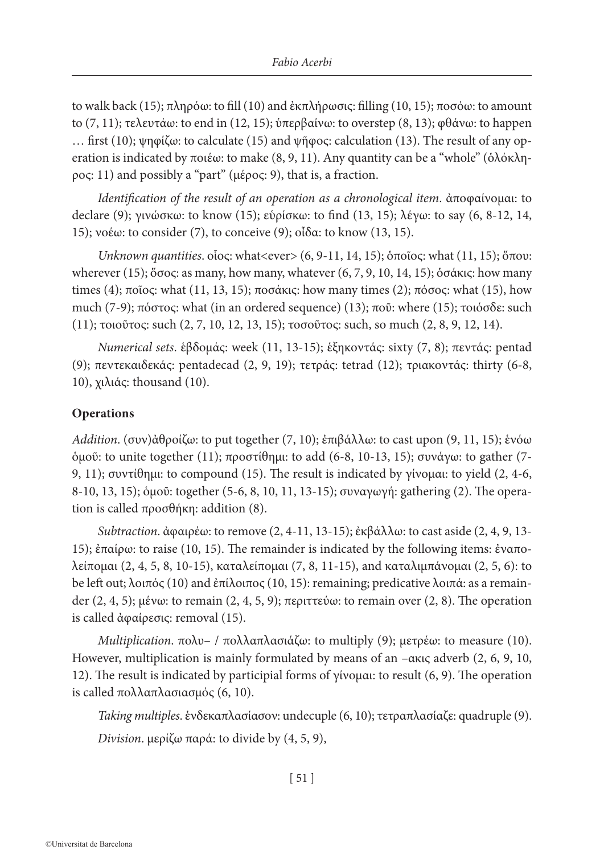to walk back (15); πληρόω: to fill (10) and ἐκπλήρωσις: filling (10, 15); ποσόω: to amount to (7, 11); τελευτάω: to end in (12, 15); ὑπερβαίνω: to overstep (8, 13); φθάνω: to happen … first (10); ψηφίζω: to calculate (15) and ψῆφος: calculation (13). Τhe result of any operation is indicated by ποιέω: to make  $(8, 9, 11)$ . Any quantity can be a "whole" (ὁλόκληρος: 11) and possibly a "part" (μέρος: 9), that is, a fraction.

*Identification of the result of an operation as a chronological item*. ἀποφαίνομαι: to declare (9); γινώσκω: to know (15); εὑρίσκω: to find (13, 15); λέγω: to say (6, 8-12, 14, 15); νοέω: to consider (7), to conceive (9); οἶδα: to know (13, 15).

*Unknown quantities*. οἷος: what<ever> (6, 9-11, 14, 15); ὁποῖος: what (11, 15); ὅπου: wherever (15); ὅσος: as many, how many, whatever (6, 7, 9, 10, 14, 15); ὁσάκις: how many times (4); ποῖος: what (11, 13, 15); ποσάκις: how many times (2); πόσος: what (15), how much (7-9); πόστος: what (in an ordered sequence) (13); ποῦ: where (15); τοιόσδε: such (11); τοιοῦτος: such (2, 7, 10, 12, 13, 15); τοσοῦτος: such, so much (2, 8, 9, 12, 14).

*Numerical sets*. ἑβδομάς: week (11, 13-15); ἑξηκοντάς: sixty (7, 8); πεντάς: pentad (9); πεντεκαιδεκάς: pentadecad (2, 9, 19); τετράς: tetrad (12); τριακοντάς: thirty (6-8, 10), χιλιάς: thousand (10).

# **Operations**

*Addition*. (συν)ἀθροίζω: to put together (7, 10); ἐπιβάλλω: to cast upon (9, 11, 15); ἑνόω ὁμοῦ: to unite together (11); προστίθημι: to add (6-8, 10-13, 15); συνάγω: to gather (7- 9, 11); συντίθημι: to compound (15). The result is indicated by γίνομαι: to yield (2, 4-6, 8-10, 13, 15); ὁμοῦ: together (5-6, 8, 10, 11, 13-15); συναγωγή: gathering (2). The operation is called προσθήκη: addition (8).

*Subtraction*. ἀφαιρέω: to remove (2, 4-11, 13-15); ἐκβάλλω: to cast aside (2, 4, 9, 13- 15); ἐπαίρω: to raise (10, 15). The remainder is indicated by the following items: ἐναπολείπομαι (2, 4, 5, 8, 10-15), καταλείπομαι (7, 8, 11-15), and καταλιμπάνομαι (2, 5, 6): to be left out; λοιπός (10) and ἐπίλοιπος (10, 15): remaining; predicative λοιπά: as a remainder (2, 4, 5); μένω: to remain (2, 4, 5, 9); περιττεύω: to remain over (2, 8). The operation is called ἀφαίρεσις: removal (15).

*Multiplication*. πολυ– / πολλαπλασιάζω: to multiply (9); μετρέω: to measure (10). However, multiplication is mainly formulated by means of an –ακις adverb (2, 6, 9, 10, 12). The result is indicated by participial forms of γίνομαι: to result (6, 9). The operation is called πολλαπλασιασμός (6, 10).

*Taking multiples*. ἑνδεκαπλασίασον: undecuple (6, 10); τετραπλασίαζε: quadruple (9).

*Division*. μερίζω παρά: to divide by (4, 5, 9),